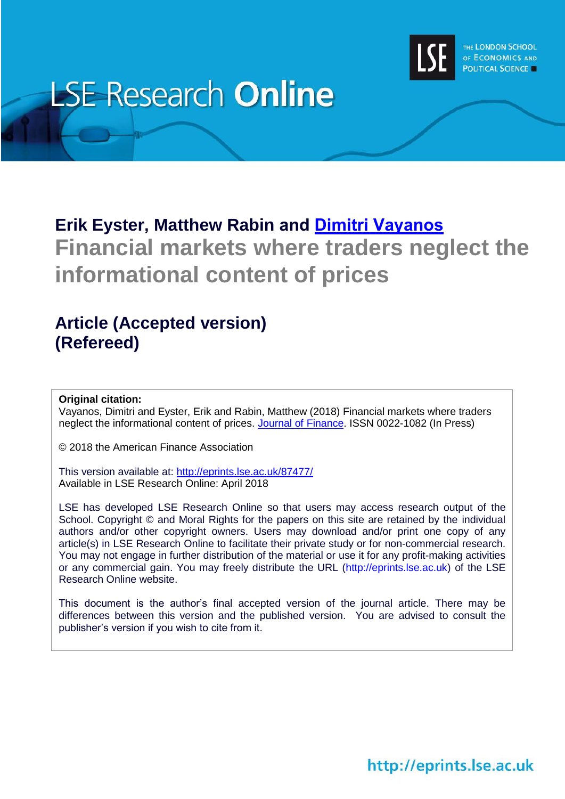

# **LSE Research Online**

# **Erik Eyster, Matthew Rabin and [Dimitri Vayanos](http://www.lse.ac.uk/researchAndExpertise/Experts/profile.aspx?KeyValue=d.vayanos@lse.ac.uk) Financial markets where traders neglect the informational content of prices**

# **Article (Accepted version) (Refereed)**

## **Original citation:**

Vayanos, Dimitri and Eyster, Erik and Rabin, Matthew (2018) Financial markets where traders neglect the informational content of prices. [Journal of Finance.](https://onlinelibrary.wiley.com/journal/15406261) ISSN 0022-1082 (In Press)

© 2018 the American Finance Association

This version available at:<http://eprints.lse.ac.uk/87477/> Available in LSE Research Online: April 2018

LSE has developed LSE Research Online so that users may access research output of the School. Copyright © and Moral Rights for the papers on this site are retained by the individual authors and/or other copyright owners. Users may download and/or print one copy of any article(s) in LSE Research Online to facilitate their private study or for non-commercial research. You may not engage in further distribution of the material or use it for any profit-making activities or any commercial gain. You may freely distribute the URL (http://eprints.lse.ac.uk) of the LSE Research Online website.

This document is the author's final accepted version of the journal article. There may be differences between this version and the published version. You are advised to consult the publisher's version if you wish to cite from it.

http://eprints.lse.ac.uk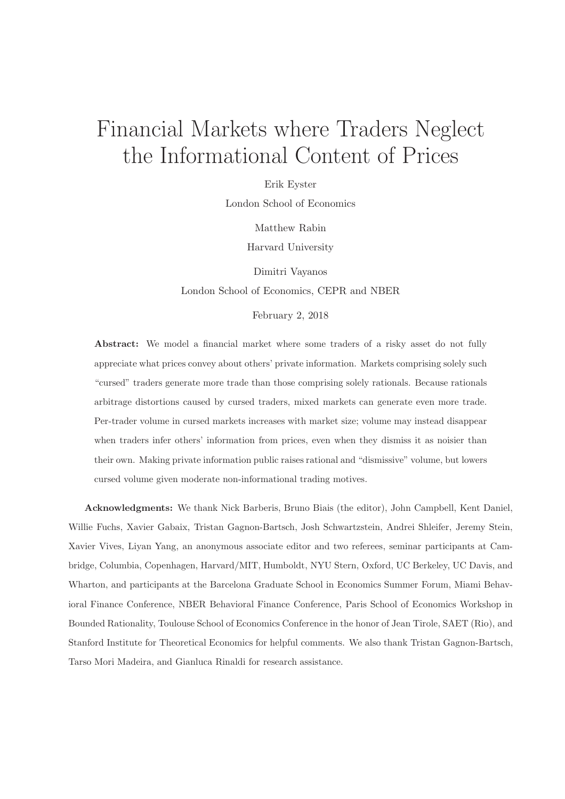# Financial Markets where Traders Neglect the Informational Content of Prices

Erik Eyster

London School of Economics

Matthew Rabin

Harvard University

Dimitri Vayanos London School of Economics, CEPR and NBER

February 2, 2018

Abstract: We model a financial market where some traders of a risky asset do not fully appreciate what prices convey about others' private information. Markets comprising solely such "cursed" traders generate more trade than those comprising solely rationals. Because rationals arbitrage distortions caused by cursed traders, mixed markets can generate even more trade. Per-trader volume in cursed markets increases with market size; volume may instead disappear when traders infer others' information from prices, even when they dismiss it as noisier than their own. Making private information public raises rational and "dismissive" volume, but lowers cursed volume given moderate non-informational trading motives.

Acknowledgments: We thank Nick Barberis, Bruno Biais (the editor), John Campbell, Kent Daniel, Willie Fuchs, Xavier Gabaix, Tristan Gagnon-Bartsch, Josh Schwartzstein, Andrei Shleifer, Jeremy Stein, Xavier Vives, Liyan Yang, an anonymous associate editor and two referees, seminar participants at Cambridge, Columbia, Copenhagen, Harvard/MIT, Humboldt, NYU Stern, Oxford, UC Berkeley, UC Davis, and Wharton, and participants at the Barcelona Graduate School in Economics Summer Forum, Miami Behavioral Finance Conference, NBER Behavioral Finance Conference, Paris School of Economics Workshop in Bounded Rationality, Toulouse School of Economics Conference in the honor of Jean Tirole, SAET (Rio), and Stanford Institute for Theoretical Economics for helpful comments. We also thank Tristan Gagnon-Bartsch, Tarso Mori Madeira, and Gianluca Rinaldi for research assistance.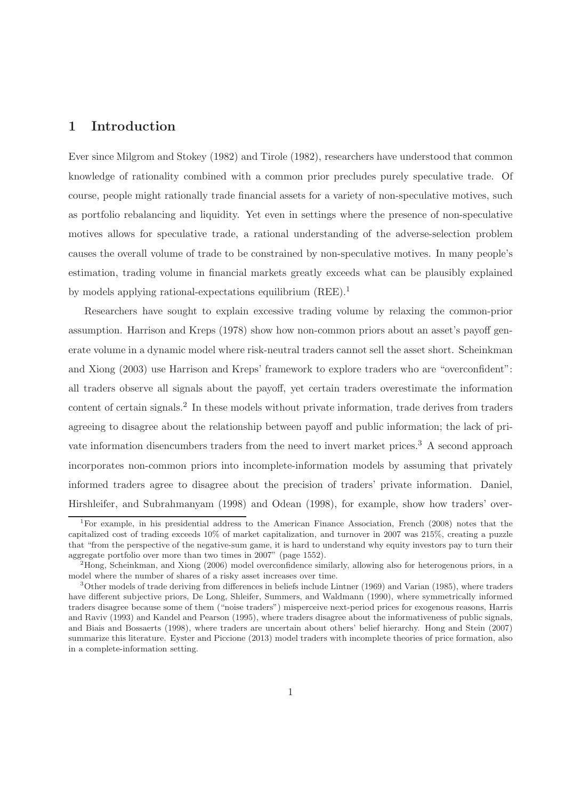# 1 Introduction

Ever since Milgrom and Stokey (1982) and Tirole (1982), researchers have understood that common knowledge of rationality combined with a common prior precludes purely speculative trade. Of course, people might rationally trade financial assets for a variety of non-speculative motives, such as portfolio rebalancing and liquidity. Yet even in settings where the presence of non-speculative motives allows for speculative trade, a rational understanding of the adverse-selection problem causes the overall volume of trade to be constrained by non-speculative motives. In many people's estimation, trading volume in financial markets greatly exceeds what can be plausibly explained by models applying rational-expectations equilibrium (REE).<sup>1</sup>

Researchers have sought to explain excessive trading volume by relaxing the common-prior assumption. Harrison and Kreps (1978) show how non-common priors about an asset's payoff generate volume in a dynamic model where risk-neutral traders cannot sell the asset short. Scheinkman and Xiong (2003) use Harrison and Kreps' framework to explore traders who are "overconfident": all traders observe all signals about the payoff, yet certain traders overestimate the information content of certain signals.<sup>2</sup> In these models without private information, trade derives from traders agreeing to disagree about the relationship between payoff and public information; the lack of private information disencumbers traders from the need to invert market prices.<sup>3</sup> A second approach incorporates non-common priors into incomplete-information models by assuming that privately informed traders agree to disagree about the precision of traders' private information. Daniel, Hirshleifer, and Subrahmanyam (1998) and Odean (1998), for example, show how traders' over-

<sup>&</sup>lt;sup>1</sup>For example, in his presidential address to the American Finance Association, French (2008) notes that the capitalized cost of trading exceeds 10% of market capitalization, and turnover in 2007 was 215%, creating a puzzle that "from the perspective of the negative-sum game, it is hard to understand why equity investors pay to turn their aggregate portfolio over more than two times in 2007" (page 1552).

<sup>2</sup>Hong, Scheinkman, and Xiong (2006) model overconfidence similarly, allowing also for heterogenous priors, in a model where the number of shares of a risky asset increases over time.

 $3$ Other models of trade deriving from differences in beliefs include Lintner (1969) and Varian (1985), where traders have different subjective priors, De Long, Shleifer, Summers, and Waldmann (1990), where symmetrically informed traders disagree because some of them ("noise traders") misperceive next-period prices for exogenous reasons, Harris and Raviv (1993) and Kandel and Pearson (1995), where traders disagree about the informativeness of public signals, and Biais and Bossaerts (1998), where traders are uncertain about others' belief hierarchy. Hong and Stein (2007) summarize this literature. Eyster and Piccione (2013) model traders with incomplete theories of price formation, also in a complete-information setting.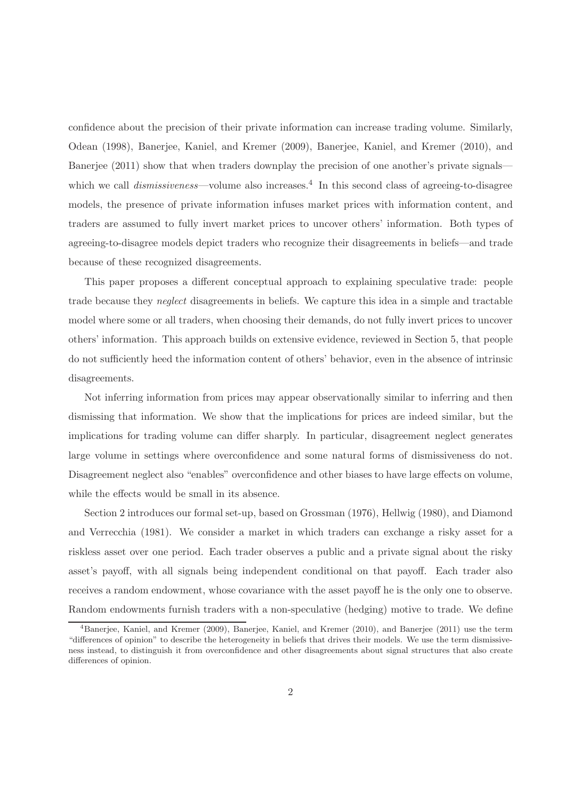confidence about the precision of their private information can increase trading volume. Similarly, Odean (1998), Banerjee, Kaniel, and Kremer (2009), Banerjee, Kaniel, and Kremer (2010), and Banerjee (2011) show that when traders downplay the precision of one another's private signals which we call *dismissiveness*—volume also increases.<sup>4</sup> In this second class of agreeing-to-disagree models, the presence of private information infuses market prices with information content, and traders are assumed to fully invert market prices to uncover others' information. Both types of agreeing-to-disagree models depict traders who recognize their disagreements in beliefs—and trade because of these recognized disagreements.

This paper proposes a different conceptual approach to explaining speculative trade: people trade because they neglect disagreements in beliefs. We capture this idea in a simple and tractable model where some or all traders, when choosing their demands, do not fully invert prices to uncover others' information. This approach builds on extensive evidence, reviewed in Section 5, that people do not sufficiently heed the information content of others' behavior, even in the absence of intrinsic disagreements.

Not inferring information from prices may appear observationally similar to inferring and then dismissing that information. We show that the implications for prices are indeed similar, but the implications for trading volume can differ sharply. In particular, disagreement neglect generates large volume in settings where overconfidence and some natural forms of dismissiveness do not. Disagreement neglect also "enables" overconfidence and other biases to have large effects on volume, while the effects would be small in its absence.

Section 2 introduces our formal set-up, based on Grossman (1976), Hellwig (1980), and Diamond and Verrecchia (1981). We consider a market in which traders can exchange a risky asset for a riskless asset over one period. Each trader observes a public and a private signal about the risky asset's payoff, with all signals being independent conditional on that payoff. Each trader also receives a random endowment, whose covariance with the asset payoff he is the only one to observe. Random endowments furnish traders with a non-speculative (hedging) motive to trade. We define

<sup>&</sup>lt;sup>4</sup>Banerjee, Kaniel, and Kremer (2009), Banerjee, Kaniel, and Kremer (2010), and Banerjee (2011) use the term "differences of opinion" to describe the heterogeneity in beliefs that drives their models. We use the term dismissiveness instead, to distinguish it from overconfidence and other disagreements about signal structures that also create differences of opinion.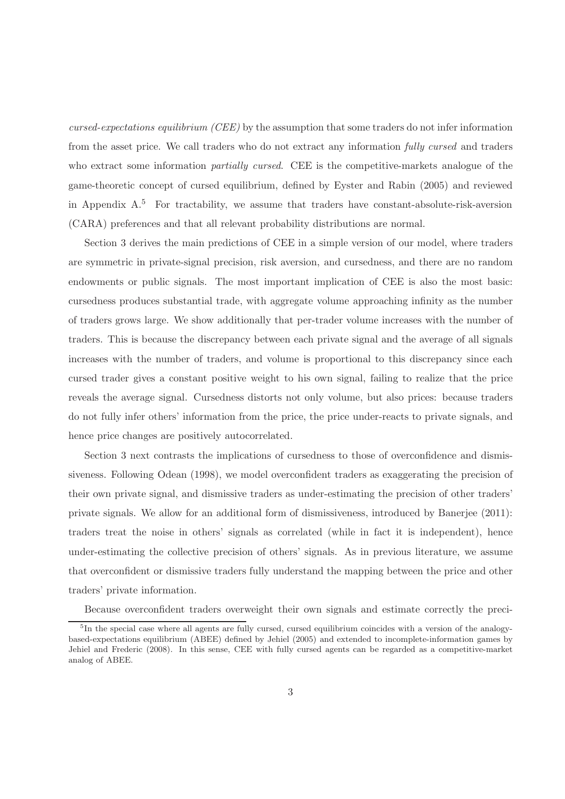cursed-expectations equilibrium (CEE) by the assumption that some traders do not infer information from the asset price. We call traders who do not extract any information fully cursed and traders who extract some information *partially cursed*. CEE is the competitive-markets analogue of the game-theoretic concept of cursed equilibrium, defined by Eyster and Rabin (2005) and reviewed in Appendix  $A$ <sup>5</sup> For tractability, we assume that traders have constant-absolute-risk-aversion (CARA) preferences and that all relevant probability distributions are normal.

Section 3 derives the main predictions of CEE in a simple version of our model, where traders are symmetric in private-signal precision, risk aversion, and cursedness, and there are no random endowments or public signals. The most important implication of CEE is also the most basic: cursedness produces substantial trade, with aggregate volume approaching infinity as the number of traders grows large. We show additionally that per-trader volume increases with the number of traders. This is because the discrepancy between each private signal and the average of all signals increases with the number of traders, and volume is proportional to this discrepancy since each cursed trader gives a constant positive weight to his own signal, failing to realize that the price reveals the average signal. Cursedness distorts not only volume, but also prices: because traders do not fully infer others' information from the price, the price under-reacts to private signals, and hence price changes are positively autocorrelated.

Section 3 next contrasts the implications of cursedness to those of overconfidence and dismissiveness. Following Odean (1998), we model overconfident traders as exaggerating the precision of their own private signal, and dismissive traders as under-estimating the precision of other traders' private signals. We allow for an additional form of dismissiveness, introduced by Banerjee (2011): traders treat the noise in others' signals as correlated (while in fact it is independent), hence under-estimating the collective precision of others' signals. As in previous literature, we assume that overconfident or dismissive traders fully understand the mapping between the price and other traders' private information.

Because overconfident traders overweight their own signals and estimate correctly the preci-

<sup>&</sup>lt;sup>5</sup>In the special case where all agents are fully cursed, cursed equilibrium coincides with a version of the analogybased-expectations equilibrium (ABEE) defined by Jehiel (2005) and extended to incomplete-information games by Jehiel and Frederic (2008). In this sense, CEE with fully cursed agents can be regarded as a competitive-market analog of ABEE.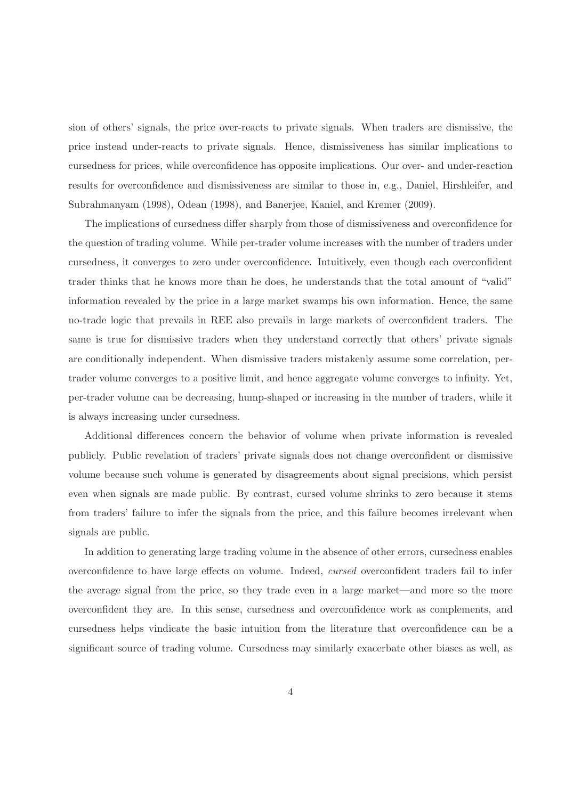sion of others' signals, the price over-reacts to private signals. When traders are dismissive, the price instead under-reacts to private signals. Hence, dismissiveness has similar implications to cursedness for prices, while overconfidence has opposite implications. Our over- and under-reaction results for overconfidence and dismissiveness are similar to those in, e.g., Daniel, Hirshleifer, and Subrahmanyam (1998), Odean (1998), and Banerjee, Kaniel, and Kremer (2009).

The implications of cursedness differ sharply from those of dismissiveness and overconfidence for the question of trading volume. While per-trader volume increases with the number of traders under cursedness, it converges to zero under overconfidence. Intuitively, even though each overconfident trader thinks that he knows more than he does, he understands that the total amount of "valid" information revealed by the price in a large market swamps his own information. Hence, the same no-trade logic that prevails in REE also prevails in large markets of overconfident traders. The same is true for dismissive traders when they understand correctly that others' private signals are conditionally independent. When dismissive traders mistakenly assume some correlation, pertrader volume converges to a positive limit, and hence aggregate volume converges to infinity. Yet, per-trader volume can be decreasing, hump-shaped or increasing in the number of traders, while it is always increasing under cursedness.

Additional differences concern the behavior of volume when private information is revealed publicly. Public revelation of traders' private signals does not change overconfident or dismissive volume because such volume is generated by disagreements about signal precisions, which persist even when signals are made public. By contrast, cursed volume shrinks to zero because it stems from traders' failure to infer the signals from the price, and this failure becomes irrelevant when signals are public.

In addition to generating large trading volume in the absence of other errors, cursedness enables overconfidence to have large effects on volume. Indeed, cursed overconfident traders fail to infer the average signal from the price, so they trade even in a large market—and more so the more overconfident they are. In this sense, cursedness and overconfidence work as complements, and cursedness helps vindicate the basic intuition from the literature that overconfidence can be a significant source of trading volume. Cursedness may similarly exacerbate other biases as well, as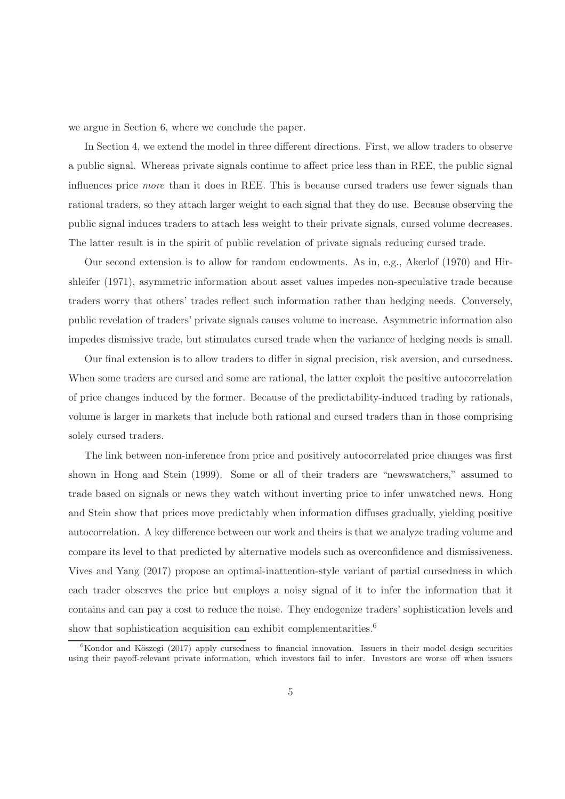we argue in Section 6, where we conclude the paper.

In Section 4, we extend the model in three different directions. First, we allow traders to observe a public signal. Whereas private signals continue to affect price less than in REE, the public signal influences price more than it does in REE. This is because cursed traders use fewer signals than rational traders, so they attach larger weight to each signal that they do use. Because observing the public signal induces traders to attach less weight to their private signals, cursed volume decreases. The latter result is in the spirit of public revelation of private signals reducing cursed trade.

Our second extension is to allow for random endowments. As in, e.g., Akerlof (1970) and Hirshleifer (1971), asymmetric information about asset values impedes non-speculative trade because traders worry that others' trades reflect such information rather than hedging needs. Conversely, public revelation of traders' private signals causes volume to increase. Asymmetric information also impedes dismissive trade, but stimulates cursed trade when the variance of hedging needs is small.

Our final extension is to allow traders to differ in signal precision, risk aversion, and cursedness. When some traders are cursed and some are rational, the latter exploit the positive autocorrelation of price changes induced by the former. Because of the predictability-induced trading by rationals, volume is larger in markets that include both rational and cursed traders than in those comprising solely cursed traders.

The link between non-inference from price and positively autocorrelated price changes was first shown in Hong and Stein (1999). Some or all of their traders are "newswatchers," assumed to trade based on signals or news they watch without inverting price to infer unwatched news. Hong and Stein show that prices move predictably when information diffuses gradually, yielding positive autocorrelation. A key difference between our work and theirs is that we analyze trading volume and compare its level to that predicted by alternative models such as overconfidence and dismissiveness. Vives and Yang (2017) propose an optimal-inattention-style variant of partial cursedness in which each trader observes the price but employs a noisy signal of it to infer the information that it contains and can pay a cost to reduce the noise. They endogenize traders' sophistication levels and show that sophistication acquisition can exhibit complementarities. $6$ 

 $6$ Kondor and Köszegi (2017) apply cursedness to financial innovation. Issuers in their model design securities using their payoff-relevant private information, which investors fail to infer. Investors are worse off when issuers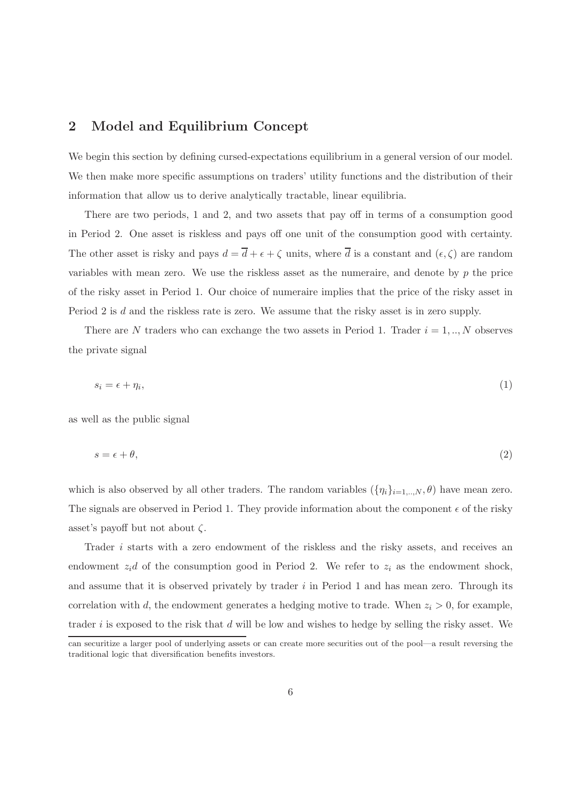# 2 Model and Equilibrium Concept

We begin this section by defining cursed-expectations equilibrium in a general version of our model. We then make more specific assumptions on traders' utility functions and the distribution of their information that allow us to derive analytically tractable, linear equilibria.

There are two periods, 1 and 2, and two assets that pay off in terms of a consumption good in Period 2. One asset is riskless and pays off one unit of the consumption good with certainty. The other asset is risky and pays  $d = \overline{d} + \epsilon + \zeta$  units, where  $\overline{d}$  is a constant and  $(\epsilon, \zeta)$  are random variables with mean zero. We use the riskless asset as the numeraire, and denote by  $p$  the price of the risky asset in Period 1. Our choice of numeraire implies that the price of the risky asset in Period 2 is d and the riskless rate is zero. We assume that the risky asset is in zero supply.

There are N traders who can exchange the two assets in Period 1. Trader  $i = 1, ..., N$  observes the private signal

$$
s_i = \epsilon + \eta_i,\tag{1}
$$

as well as the public signal

$$
s = \epsilon + \theta,\tag{2}
$$

which is also observed by all other traders. The random variables  $(\{\eta_i\}_{i=1,..,N}, \theta)$  have mean zero. The signals are observed in Period 1. They provide information about the component  $\epsilon$  of the risky asset's payoff but not about  $\zeta$ .

Trader i starts with a zero endowment of the riskless and the risky assets, and receives an endowment  $z_i$ d of the consumption good in Period 2. We refer to  $z_i$  as the endowment shock, and assume that it is observed privately by trader  $i$  in Period 1 and has mean zero. Through its correlation with d, the endowment generates a hedging motive to trade. When  $z_i > 0$ , for example, trader i is exposed to the risk that d will be low and wishes to hedge by selling the risky asset. We

can securitize a larger pool of underlying assets or can create more securities out of the pool—a result reversing the traditional logic that diversification benefits investors.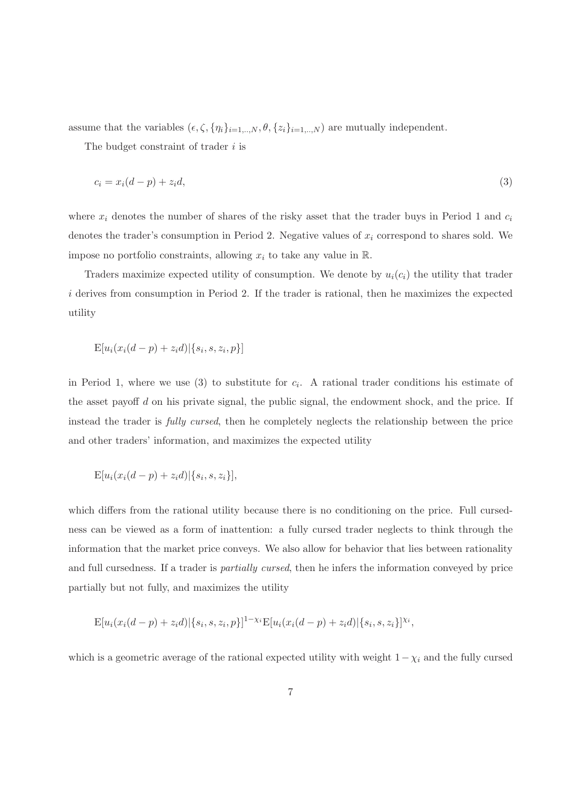assume that the variables  $(\epsilon, \zeta, \{\eta_i\}_{i=1,..,N}, \theta, \{z_i\}_{i=1,..,N})$  are mutually independent.

The budget constraint of trader  $i$  is

$$
c_i = x_i(d-p) + z_i d,\tag{3}
$$

where  $x_i$  denotes the number of shares of the risky asset that the trader buys in Period 1 and  $c_i$ denotes the trader's consumption in Period 2. Negative values of  $x_i$  correspond to shares sold. We impose no portfolio constraints, allowing  $x_i$  to take any value in  $\mathbb{R}$ .

Traders maximize expected utility of consumption. We denote by  $u_i(c_i)$  the utility that trader i derives from consumption in Period 2. If the trader is rational, then he maximizes the expected utility

$$
E[u_i(x_i(d-p) + z_i d) | \{s_i, s, z_i, p\}]
$$

in Period 1, where we use (3) to substitute for  $c_i$ . A rational trader conditions his estimate of the asset payoff  $d$  on his private signal, the public signal, the endowment shock, and the price. If instead the trader is fully cursed, then he completely neglects the relationship between the price and other traders' information, and maximizes the expected utility

$$
E[u_i(x_i(d-p) + z_i d)|\{s_i, s, z_i\}],
$$

which differs from the rational utility because there is no conditioning on the price. Full cursedness can be viewed as a form of inattention: a fully cursed trader neglects to think through the information that the market price conveys. We also allow for behavior that lies between rationality and full cursedness. If a trader is *partially cursed*, then he infers the information conveyed by price partially but not fully, and maximizes the utility

$$
E[u_i(x_i(d-p)+z_i d)|\{s_i,s,z_i,p\}]^{1-\chi_i}E[u_i(x_i(d-p)+z_i d)|\{s_i,s,z_i\}]^{X_i},
$$

which is a geometric average of the rational expected utility with weight  $1-\chi_i$  and the fully cursed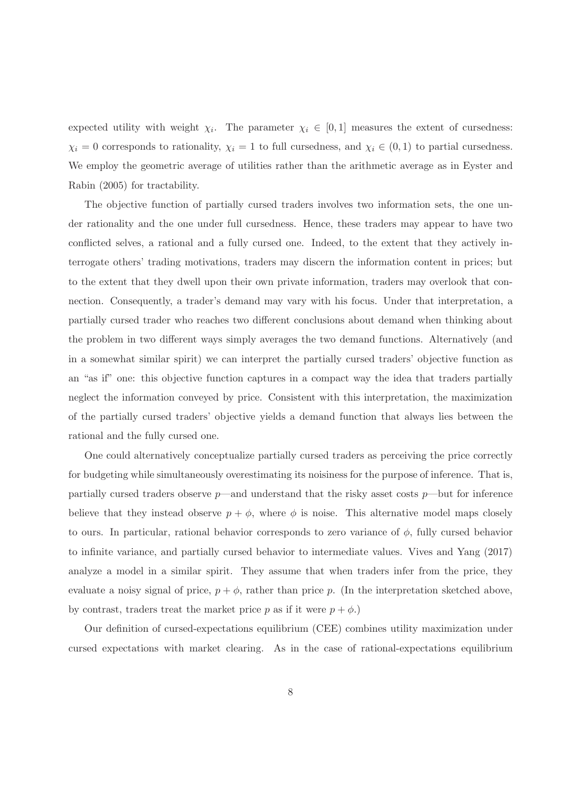expected utility with weight  $\chi_i$ . The parameter  $\chi_i \in [0,1]$  measures the extent of cursedness:  $\chi_i = 0$  corresponds to rationality,  $\chi_i = 1$  to full cursedness, and  $\chi_i \in (0, 1)$  to partial cursedness. We employ the geometric average of utilities rather than the arithmetic average as in Eyster and Rabin (2005) for tractability.

The objective function of partially cursed traders involves two information sets, the one under rationality and the one under full cursedness. Hence, these traders may appear to have two conflicted selves, a rational and a fully cursed one. Indeed, to the extent that they actively interrogate others' trading motivations, traders may discern the information content in prices; but to the extent that they dwell upon their own private information, traders may overlook that connection. Consequently, a trader's demand may vary with his focus. Under that interpretation, a partially cursed trader who reaches two different conclusions about demand when thinking about the problem in two different ways simply averages the two demand functions. Alternatively (and in a somewhat similar spirit) we can interpret the partially cursed traders' objective function as an "as if" one: this objective function captures in a compact way the idea that traders partially neglect the information conveyed by price. Consistent with this interpretation, the maximization of the partially cursed traders' objective yields a demand function that always lies between the rational and the fully cursed one.

One could alternatively conceptualize partially cursed traders as perceiving the price correctly for budgeting while simultaneously overestimating its noisiness for the purpose of inference. That is, partially cursed traders observe  $p$ —and understand that the risky asset costs  $p$ —but for inference believe that they instead observe  $p + \phi$ , where  $\phi$  is noise. This alternative model maps closely to ours. In particular, rational behavior corresponds to zero variance of  $\phi$ , fully cursed behavior to infinite variance, and partially cursed behavior to intermediate values. Vives and Yang (2017) analyze a model in a similar spirit. They assume that when traders infer from the price, they evaluate a noisy signal of price,  $p + \phi$ , rather than price p. (In the interpretation sketched above, by contrast, traders treat the market price p as if it were  $p + \phi$ .

Our definition of cursed-expectations equilibrium (CEE) combines utility maximization under cursed expectations with market clearing. As in the case of rational-expectations equilibrium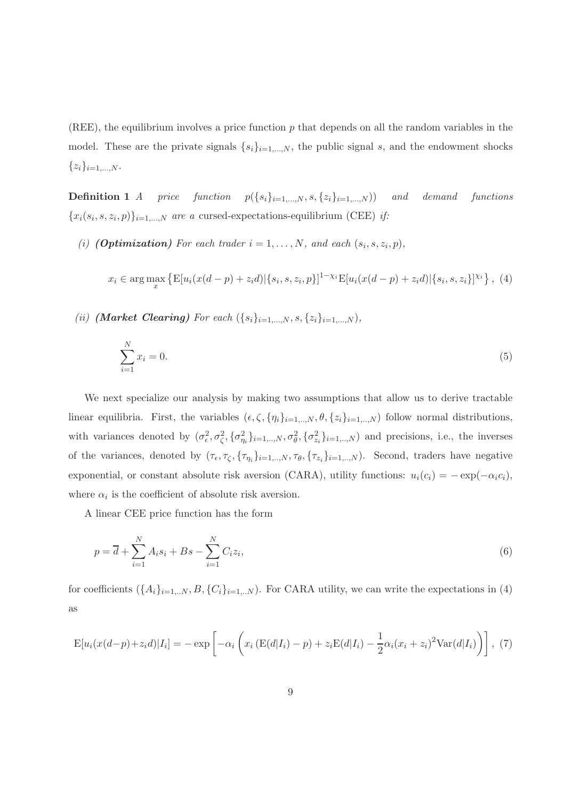(REE), the equilibrium involves a price function  $p$  that depends on all the random variables in the model. These are the private signals  $\{s_i\}_{i=1,\dots,N}$ , the public signal s, and the endowment shocks  $\{z_i\}_{i=1,...,N}$ .

**Definition 1** A price function  $p({s_i}_{i=1,\ldots,N}, s, {z_i}_{i=1,\ldots,N})$  and demand functions  ${x_i(s_i, s, z_i, p)}_{i=1,\dots,N}$  are a cursed-expectations-equilibrium (CEE) if:

(i) **(Optimization)** For each trader  $i = 1, ..., N$ , and each  $(s_i, s, z_i, p)$ ,

$$
x_i \in \arg\max_x \left\{ \mathbb{E}[u_i(x(d-p) + z_i d) | \{s_i, s, z_i, p\}]^{1-\chi_i} \mathbb{E}[u_i(x(d-p) + z_i d) | \{s_i, s, z_i\}]^{\chi_i} \right\}, (4)
$$

(ii) (Market Clearing) For each  $({s_i}_{i=1,...,N}, {s, {z_i}_{i=1,...,N}})$ ,

$$
\sum_{i=1}^{N} x_i = 0.
$$
\n(5)

We next specialize our analysis by making two assumptions that allow us to derive tractable linear equilibria. First, the variables  $(\epsilon, \zeta, \{\eta_i\}_{i=1,\dots,N}, \theta, \{z_i\}_{i=1,\dots,N})$  follow normal distributions, with variances denoted by  $(\sigma_{\epsilon}^2, \sigma_{\zeta}^2, {\{\sigma_{\eta_i}^2\}}_{i=1,\dots,N}, \sigma_{\theta}^2, {\{\sigma_{z_i}^2\}}_{i=1,\dots,N})$  and precisions, i.e., the inverses of the variances, denoted by  $(\tau_{\epsilon}, \tau_{\zeta}, \{\tau_{\eta_i}\}_{i=1,..,N}, \tau_{\theta}, \{\tau_{z_i}\}_{i=1,..,N})$ . Second, traders have negative exponential, or constant absolute risk aversion (CARA), utility functions:  $u_i(c_i) = -\exp(-\alpha_i c_i)$ , where  $\alpha_i$  is the coefficient of absolute risk aversion.

A linear CEE price function has the form

$$
p = \overline{d} + \sum_{i=1}^{N} A_i s_i + B s - \sum_{i=1}^{N} C_i z_i,
$$
\n(6)

for coefficients  $(\{A_i\}_{i=1,..N}, B, \{C_i\}_{i=1,..N})$ . For CARA utility, we can write the expectations in (4) as

$$
\mathcal{E}[u_i(x(d-p)+z_i d)|I_i] = -\exp\left[-\alpha_i\left(x_i\left(\mathcal{E}(d|I_i) - p\right) + z_i\mathcal{E}(d|I_i) - \frac{1}{2}\alpha_i(x_i+z_i)^2 \text{Var}(d|I_i)\right)\right],\tag{7}
$$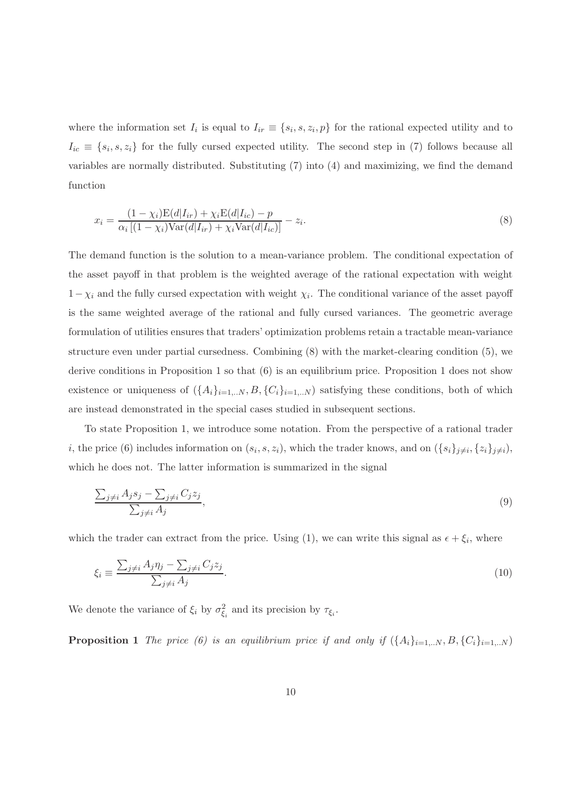where the information set  $I_i$  is equal to  $I_{ir} \equiv \{s_i, s, z_i, p\}$  for the rational expected utility and to  $I_{ic} \equiv \{s_i, s, z_i\}$  for the fully cursed expected utility. The second step in (7) follows because all variables are normally distributed. Substituting (7) into (4) and maximizing, we find the demand function

$$
x_i = \frac{(1 - \chi_i)\mathcal{E}(d|I_{ir}) + \chi_i\mathcal{E}(d|I_{ic}) - p}{\alpha_i \left[ (1 - \chi_i)\mathcal{V}\text{ar}(d|I_{ir}) + \chi_i\mathcal{V}\text{ar}(d|I_{ic}) \right]} - z_i.
$$
\n
$$
(8)
$$

The demand function is the solution to a mean-variance problem. The conditional expectation of the asset payoff in that problem is the weighted average of the rational expectation with weight  $1-\chi_i$  and the fully cursed expectation with weight  $\chi_i$ . The conditional variance of the asset payoff is the same weighted average of the rational and fully cursed variances. The geometric average formulation of utilities ensures that traders' optimization problems retain a tractable mean-variance structure even under partial cursedness. Combining (8) with the market-clearing condition (5), we derive conditions in Proposition 1 so that (6) is an equilibrium price. Proposition 1 does not show existence or uniqueness of  $(\{A_i\}_{i=1...N}, B, \{C_i\}_{i=1...N})$  satisfying these conditions, both of which are instead demonstrated in the special cases studied in subsequent sections.

To state Proposition 1, we introduce some notation. From the perspective of a rational trader *i*, the price (6) includes information on  $(s_i, s, z_i)$ , which the trader knows, and on  $(\{s_i\}_{j\neq i}, \{z_i\}_{j\neq i})$ , which he does not. The latter information is summarized in the signal

$$
\frac{\sum_{j\neq i} A_j s_j - \sum_{j\neq i} C_j z_j}{\sum_{j\neq i} A_j},\tag{9}
$$

which the trader can extract from the price. Using (1), we can write this signal as  $\epsilon + \xi_i$ , where

$$
\xi_i \equiv \frac{\sum_{j \neq i} A_j \eta_j - \sum_{j \neq i} C_j z_j}{\sum_{j \neq i} A_j}.\tag{10}
$$

We denote the variance of  $\xi_i$  by  $\sigma_{\xi_i}^2$  and its precision by  $\tau_{\xi_i}$ .

**Proposition 1** The price (6) is an equilibrium price if and only if  $(\{A_i\}_{i=1...N}, B, \{C_i\}_{i=1...N})$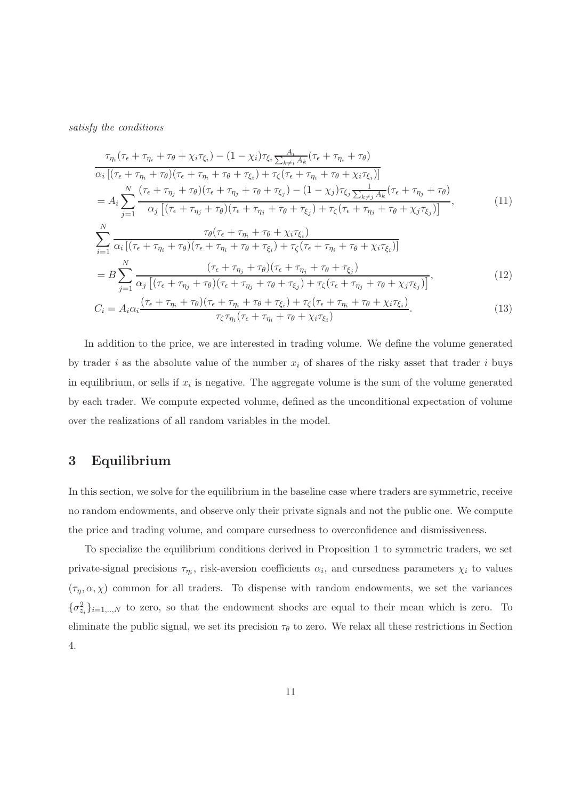satisfy the conditions

$$
\tau_{\eta_i}(\tau_{\epsilon} + \tau_{\eta_i} + \tau_{\theta} + \chi_i \tau_{\xi_i}) - (1 - \chi_i) \tau_{\xi_i} \frac{A_i}{\sum_{k \neq i} A_k} (\tau_{\epsilon} + \tau_{\eta_i} + \tau_{\theta})
$$
\n
$$
\alpha_i \left[ (\tau_{\epsilon} + \tau_{\eta_i} + \tau_{\theta}) (\tau_{\epsilon} + \tau_{\eta_i} + \tau_{\theta} + \tau_{\xi_i}) + \tau_{\zeta} (\tau_{\epsilon} + \tau_{\eta_i} + \tau_{\theta} + \chi_i \tau_{\xi_i}) \right]
$$
\n
$$
= A_i \sum_{j=1}^N \frac{(\tau_{\epsilon} + \tau_{\eta_j} + \tau_{\theta}) (\tau_{\epsilon} + \tau_{\eta_j} + \tau_{\theta} + \tau_{\xi_j}) - (1 - \chi_j) \tau_{\xi_j} \frac{1}{\sum_{k \neq j} A_k} (\tau_{\epsilon} + \tau_{\eta_j} + \tau_{\theta})}{\alpha_j \left[ (\tau_{\epsilon} + \tau_{\eta_j} + \tau_{\theta}) (\tau_{\epsilon} + \tau_{\eta_j} + \tau_{\theta} + \tau_{\xi_j}) + \tau_{\zeta} (\tau_{\epsilon} + \tau_{\eta_j} + \tau_{\theta} + \chi_j \tau_{\xi_j}) \right]}, \qquad (11)
$$
\n
$$
\sum_{i=1}^N \frac{\tau_{\theta}(\tau_{\epsilon} + \tau_{\eta_i} + \tau_{\theta} + \chi_i \tau_{\xi_i})}{\alpha_i \left[ (\tau_{\epsilon} + \tau_{\eta_i} + \tau_{\theta}) (\tau_{\epsilon} + \tau_{\eta_i} + \tau_{\theta} + \tau_{\xi_i}) + \tau_{\zeta} (\tau_{\epsilon} + \tau_{\eta_i} + \tau_{\theta} + \chi_i \tau_{\xi_i}) \right]}
$$
\n
$$
= B \sum_{j=1}^N \frac{(\tau_{\epsilon} + \tau_{\eta_j} + \tau_{\theta}) (\tau_{\epsilon} + \tau_{\eta_j} + \tau_{\theta} + \tau_{\xi_j})}{\alpha_j \left[ (\tau_{\epsilon} + \tau_{\eta_j} + \tau_{\theta}) (\tau_{\epsilon} + \tau_{\eta_j} + \tau_{\theta} + \tau_{\xi_j}) + \tau_{\zeta} (\tau_{\epsilon} + \tau_{\eta_j} + \tau_{\theta} + \chi_j \tau_{\xi
$$

In addition to the price, we are interested in trading volume. We define the volume generated by trader i as the absolute value of the number  $x_i$  of shares of the risky asset that trader i buys in equilibrium, or sells if  $x_i$  is negative. The aggregate volume is the sum of the volume generated by each trader. We compute expected volume, defined as the unconditional expectation of volume over the realizations of all random variables in the model.

# 3 Equilibrium

In this section, we solve for the equilibrium in the baseline case where traders are symmetric, receive no random endowments, and observe only their private signals and not the public one. We compute the price and trading volume, and compare cursedness to overconfidence and dismissiveness.

To specialize the equilibrium conditions derived in Proposition 1 to symmetric traders, we set private-signal precisions  $\tau_{\eta_i}$ , risk-aversion coefficients  $\alpha_i$ , and cursedness parameters  $\chi_i$  to values  $(\tau_n, \alpha, \chi)$  common for all traders. To dispense with random endowments, we set the variances  ${\{\sigma_{z_i}^2\}_{i=1,..,N}}$  to zero, so that the endowment shocks are equal to their mean which is zero. To eliminate the public signal, we set its precision  $\tau_{\theta}$  to zero. We relax all these restrictions in Section 4.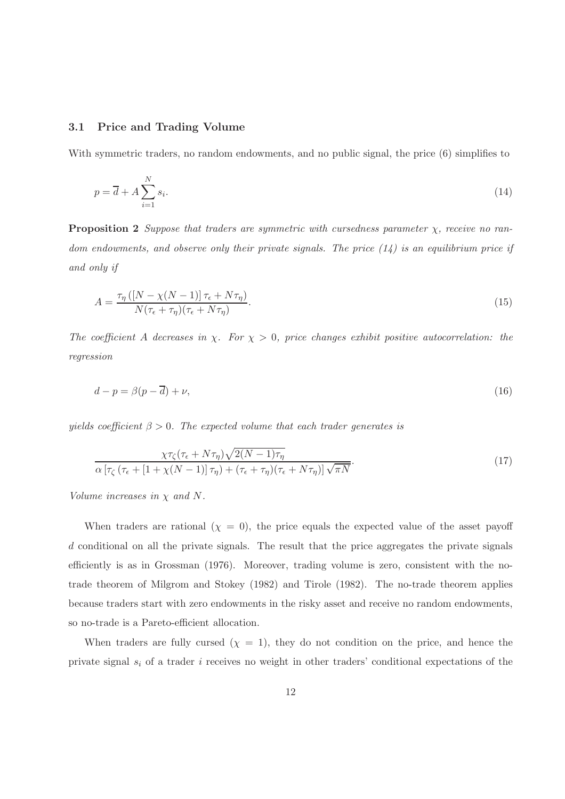### 3.1 Price and Trading Volume

With symmetric traders, no random endowments, and no public signal, the price  $(6)$  simplifies to

$$
p = \overline{d} + A \sum_{i=1}^{N} s_i.
$$
\n<sup>(14)</sup>

**Proposition 2** Suppose that traders are symmetric with cursedness parameter  $\chi$ , receive no random endowments, and observe only their private signals. The price  $(14)$  is an equilibrium price if and only if

$$
A = \frac{\tau_{\eta} \left( \left[ N - \chi(N-1) \right] \tau_{\epsilon} + N \tau_{\eta} \right)}{N(\tau_{\epsilon} + \tau_{\eta}) (\tau_{\epsilon} + N \tau_{\eta})}.
$$
\n
$$
(15)
$$

The coefficient A decreases in  $\chi$ . For  $\chi > 0$ , price changes exhibit positive autocorrelation: the regression

$$
d - p = \beta(p - \overline{d}) + \nu,\tag{16}
$$

yields coefficient  $\beta > 0$ . The expected volume that each trader generates is

$$
\frac{\chi\tau_{\zeta}(\tau_{\epsilon} + N\tau_{\eta})\sqrt{2(N-1)\tau_{\eta}}}{\alpha\left[\tau_{\zeta}\left(\tau_{\epsilon} + \left[1 + \chi(N-1)\right]\tau_{\eta}\right) + \left(\tau_{\epsilon} + \tau_{\eta}\right)\left(\tau_{\epsilon} + N\tau_{\eta}\right)\right]\sqrt{\pi N}}.\tag{17}
$$

Volume increases in  $\chi$  and  $N$ .

When traders are rational  $(\chi = 0)$ , the price equals the expected value of the asset payoff d conditional on all the private signals. The result that the price aggregates the private signals efficiently is as in Grossman (1976). Moreover, trading volume is zero, consistent with the notrade theorem of Milgrom and Stokey (1982) and Tirole (1982). The no-trade theorem applies because traders start with zero endowments in the risky asset and receive no random endowments, so no-trade is a Pareto-efficient allocation.

When traders are fully cursed  $(\chi = 1)$ , they do not condition on the price, and hence the private signal  $s_i$  of a trader i receives no weight in other traders' conditional expectations of the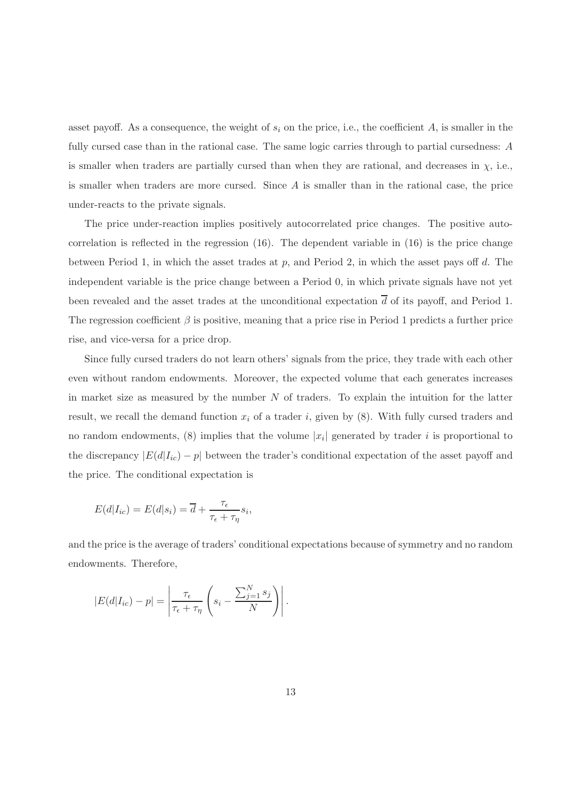asset payoff. As a consequence, the weight of  $s_i$  on the price, i.e., the coefficient A, is smaller in the fully cursed case than in the rational case. The same logic carries through to partial cursedness: A is smaller when traders are partially cursed than when they are rational, and decreases in  $\chi$ , i.e., is smaller when traders are more cursed. Since  $A$  is smaller than in the rational case, the price under-reacts to the private signals.

The price under-reaction implies positively autocorrelated price changes. The positive autocorrelation is reflected in the regression (16). The dependent variable in (16) is the price change between Period 1, in which the asset trades at p, and Period 2, in which the asset pays off d. The independent variable is the price change between a Period 0, in which private signals have not yet been revealed and the asset trades at the unconditional expectation  $\overline{d}$  of its payoff, and Period 1. The regression coefficient  $\beta$  is positive, meaning that a price rise in Period 1 predicts a further price rise, and vice-versa for a price drop.

Since fully cursed traders do not learn others' signals from the price, they trade with each other even without random endowments. Moreover, the expected volume that each generates increases in market size as measured by the number  $N$  of traders. To explain the intuition for the latter result, we recall the demand function  $x_i$  of a trader i, given by  $(8)$ . With fully cursed traders and no random endowments, (8) implies that the volume  $|x_i|$  generated by trader i is proportional to the discrepancy  $|E(d|I_{ic}) - p|$  between the trader's conditional expectation of the asset payoff and the price. The conditional expectation is

$$
E(d|I_{ic}) = E(d|s_i) = \overline{d} + \frac{\tau_{\epsilon}}{\tau_{\epsilon} + \tau_{\eta}} s_i,
$$

and the price is the average of traders' conditional expectations because of symmetry and no random endowments. Therefore,

$$
|E(d|I_{ic}) - p| = \left| \frac{\tau_{\epsilon}}{\tau_{\epsilon} + \tau_{\eta}} \left( s_i - \frac{\sum_{j=1}^{N} s_j}{N} \right) \right|.
$$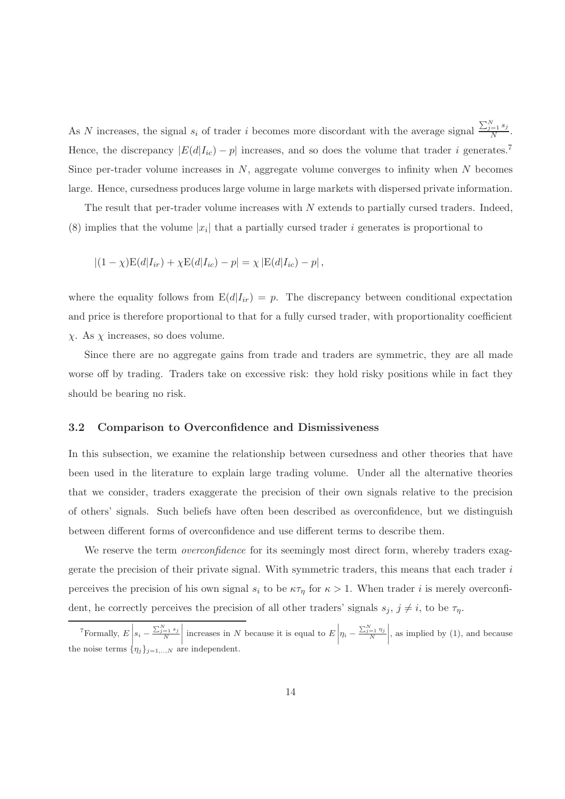As N increases, the signal  $s_i$  of trader i becomes more discordant with the average signal  $\frac{\sum_{j=1}^{N} s_j}{N}$  $\frac{=113}{N}$ . Hence, the discrepancy  $|E(d|I_{ic}) - p|$  increases, and so does the volume that trader i generates.<sup>7</sup> Since per-trader volume increases in  $N$ , aggregate volume converges to infinity when  $N$  becomes large. Hence, cursedness produces large volume in large markets with dispersed private information.

The result that per-trader volume increases with N extends to partially cursed traders. Indeed, (8) implies that the volume  $|x_i|$  that a partially cursed trader i generates is proportional to

$$
|(1 - \chi)E(d|I_{ir}) + \chi E(d|I_{ic}) - p| = \chi |E(d|I_{ic}) - p|,
$$

where the equality follows from  $E(d|I_{ir}) = p$ . The discrepancy between conditional expectation and price is therefore proportional to that for a fully cursed trader, with proportionality coefficient  $\chi$ . As  $\chi$  increases, so does volume.

Since there are no aggregate gains from trade and traders are symmetric, they are all made worse off by trading. Traders take on excessive risk: they hold risky positions while in fact they should be bearing no risk.

#### 3.2 Comparison to Overconfidence and Dismissiveness

In this subsection, we examine the relationship between cursedness and other theories that have been used in the literature to explain large trading volume. Under all the alternative theories that we consider, traders exaggerate the precision of their own signals relative to the precision of others' signals. Such beliefs have often been described as overconfidence, but we distinguish between different forms of overconfidence and use different terms to describe them.

We reserve the term *overconfidence* for its seemingly most direct form, whereby traders exaggerate the precision of their private signal. With symmetric traders, this means that each trader i perceives the precision of his own signal  $s_i$  to be  $\kappa \tau_\eta$  for  $\kappa > 1$ . When trader i is merely overconfident, he correctly perceives the precision of all other traders' signals  $s_j$ ,  $j \neq i$ , to be  $\tau_{\eta}$ .

 $\left\lceil \begin{array}{c} 7 \text{Formally, } E \end{array} \right\rceil$  $s_i - \frac{\sum_{j=1}^{N} s_j}{N}$  $\begin{array}{c} \begin{array}{c} \begin{array}{c} \begin{array}{c} \end{array}\\ \end{array} \end{array} \end{array}$ increases in N because it is equal to  $E\Big|$  $\eta_i - \frac{\sum_{j=1}^N \eta_j}{N}$  $\begin{array}{c} \begin{array}{c} \begin{array}{c} \begin{array}{c} \end{array}\\ \begin{array}{c} \end{array} \end{array} \end{array} \end{array}$ , as implied by (1), and because the noise terms  $\{\eta_j\}_{j=1,\dots,N}$  are independent.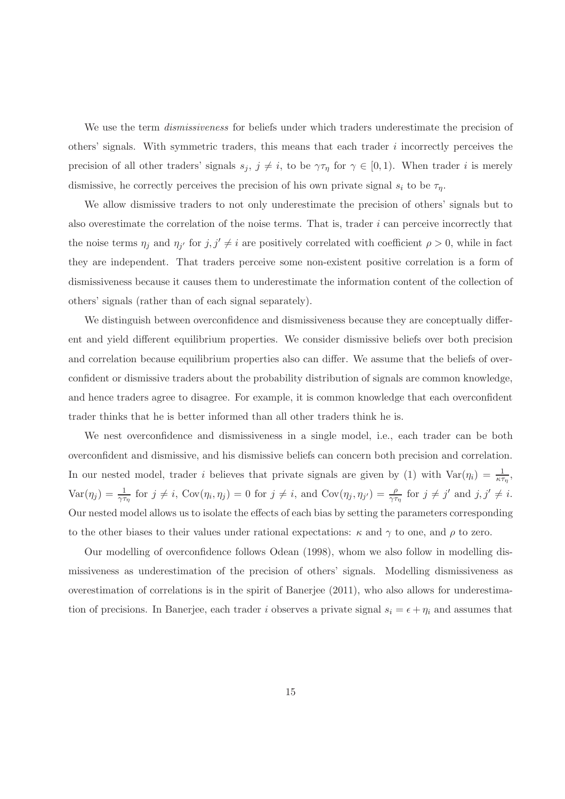We use the term *dismissiveness* for beliefs under which traders underestimate the precision of others' signals. With symmetric traders, this means that each trader  $i$  incorrectly perceives the precision of all other traders' signals  $s_j, j \neq i$ , to be  $\gamma \tau_\eta$  for  $\gamma \in [0, 1)$ . When trader i is merely dismissive, he correctly perceives the precision of his own private signal  $s_i$  to be  $\tau_{\eta}$ .

We allow dismissive traders to not only underestimate the precision of others' signals but to also overestimate the correlation of the noise terms. That is, trader  $i$  can perceive incorrectly that the noise terms  $\eta_j$  and  $\eta_{j'}$  for  $j, j' \neq i$  are positively correlated with coefficient  $\rho > 0$ , while in fact they are independent. That traders perceive some non-existent positive correlation is a form of dismissiveness because it causes them to underestimate the information content of the collection of others' signals (rather than of each signal separately).

We distinguish between overconfidence and dismissiveness because they are conceptually different and yield different equilibrium properties. We consider dismissive beliefs over both precision and correlation because equilibrium properties also can differ. We assume that the beliefs of overconfident or dismissive traders about the probability distribution of signals are common knowledge, and hence traders agree to disagree. For example, it is common knowledge that each overconfident trader thinks that he is better informed than all other traders think he is.

We nest overconfidence and dismissiveness in a single model, i.e., each trader can be both overconfident and dismissive, and his dismissive beliefs can concern both precision and correlation. In our nested model, trader i believes that private signals are given by (1) with  $Var(\eta_i) = \frac{1}{\kappa \tau_{\eta}},$  $Var(\eta_j) = \frac{1}{\gamma \tau_{\eta}}$  for  $j \neq i$ ,  $Cov(\eta_i, \eta_j) = 0$  for  $j \neq i$ , and  $Cov(\eta_j, \eta_{j'}) = \frac{\rho}{\gamma \tau_{\eta}}$  for  $j \neq j'$  and  $j, j' \neq i$ . Our nested model allows us to isolate the effects of each bias by setting the parameters corresponding to the other biases to their values under rational expectations:  $\kappa$  and  $\gamma$  to one, and  $\rho$  to zero.

Our modelling of overconfidence follows Odean (1998), whom we also follow in modelling dismissiveness as underestimation of the precision of others' signals. Modelling dismissiveness as overestimation of correlations is in the spirit of Banerjee (2011), who also allows for underestimation of precisions. In Banerjee, each trader i observes a private signal  $s_i = \epsilon + \eta_i$  and assumes that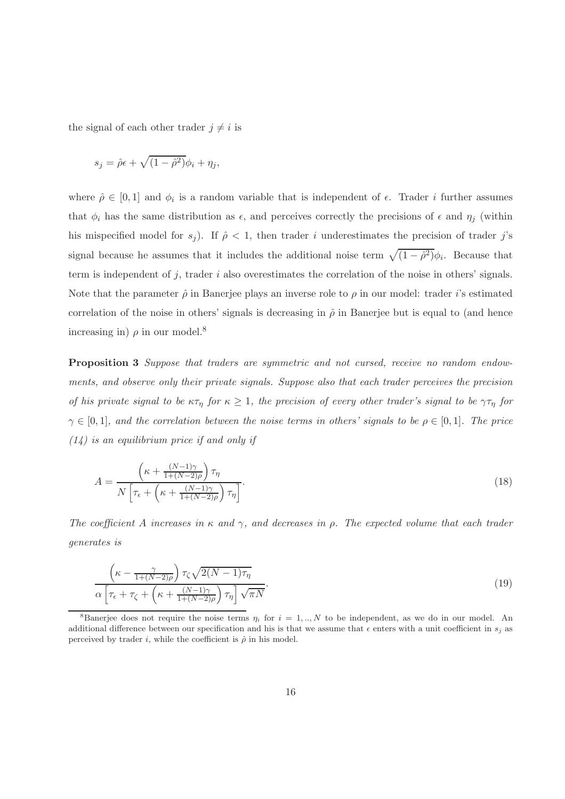the signal of each other trader  $j \neq i$  is

$$
s_j = \hat{\rho}\epsilon + \sqrt{(1-\hat{\rho}^2)}\phi_i + \eta_j,
$$

where  $\hat{\rho} \in [0,1]$  and  $\phi_i$  is a random variable that is independent of  $\epsilon$ . Trader i further assumes that  $\phi_i$  has the same distribution as  $\epsilon$ , and perceives correctly the precisions of  $\epsilon$  and  $\eta_j$  (within his mispecified model for  $s_j$ ). If  $\hat{\rho} < 1$ , then trader i underestimates the precision of trader j's signal because he assumes that it includes the additional noise term  $\sqrt{(1 - \hat{\rho}^2)}\phi_i$ . Because that term is independent of  $j$ , trader  $i$  also overestimates the correlation of the noise in others' signals. Note that the parameter  $\hat{\rho}$  in Banerjee plays an inverse role to  $\rho$  in our model: trader *i*'s estimated correlation of the noise in others' signals is decreasing in  $\hat{\rho}$  in Banerjee but is equal to (and hence increasing in)  $\rho$  in our model.<sup>8</sup>

Proposition 3 Suppose that traders are symmetric and not cursed, receive no random endowments, and observe only their private signals. Suppose also that each trader perceives the precision of his private signal to be  $\kappa\tau_{\eta}$  for  $\kappa \geq 1$ , the precision of every other trader's signal to be  $\gamma\tau_{\eta}$  for  $\gamma \in [0,1]$ , and the correlation between the noise terms in others' signals to be  $\rho \in [0,1]$ . The price  $(14)$  is an equilibrium price if and only if

$$
A = \frac{\left(\kappa + \frac{(N-1)\gamma}{1 + (N-2)\rho}\right)\tau_{\eta}}{N\left[\tau_{\epsilon} + \left(\kappa + \frac{(N-1)\gamma}{1 + (N-2)\rho}\right)\tau_{\eta}\right]}.
$$
\n(18)

The coefficient A increases in  $\kappa$  and  $\gamma$ , and decreases in  $\rho$ . The expected volume that each trader generates is

$$
\frac{\left(\kappa - \frac{\gamma}{1 + (N-2)\rho}\right)\tau_{\zeta}\sqrt{2(N-1)\tau_{\eta}}}{\alpha\left[\tau_{\epsilon} + \tau_{\zeta} + \left(\kappa + \frac{(N-1)\gamma}{1 + (N-2)\rho}\right)\tau_{\eta}\right]\sqrt{\pi N}}.
$$
\n(19)

<sup>&</sup>lt;sup>8</sup>Banerjee does not require the noise terms  $\eta_i$  for  $i = 1, ..., N$  to be independent, as we do in our model. An additional difference between our specification and his is that we assume that  $\epsilon$  enters with a unit coefficient in  $s_i$  as perceived by trader i, while the coefficient is  $\hat{\rho}$  in his model.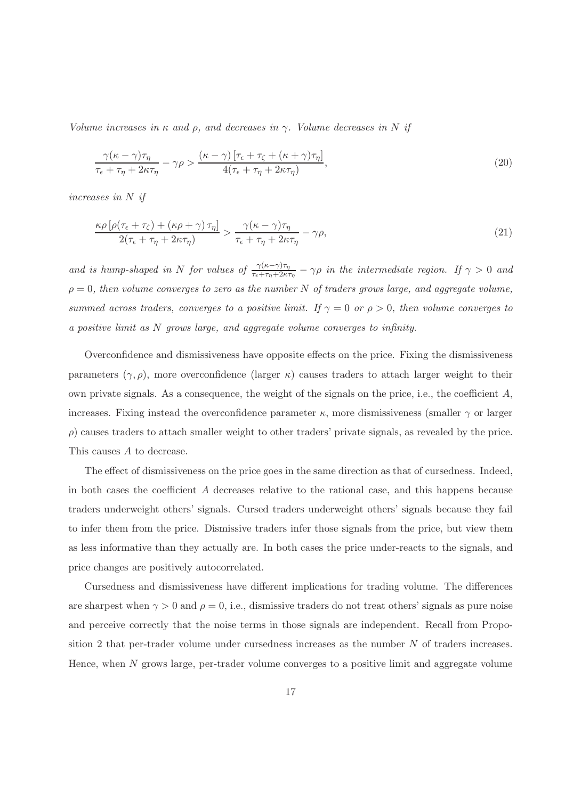Volume increases in  $\kappa$  and  $\rho$ , and decreases in  $\gamma$ . Volume decreases in N if

$$
\frac{\gamma(\kappa-\gamma)\tau_{\eta}}{\tau_{\epsilon}+\tau_{\eta}+2\kappa\tau_{\eta}} - \gamma\rho > \frac{(\kappa-\gamma)\left[\tau_{\epsilon}+\tau_{\zeta}+(\kappa+\gamma)\tau_{\eta}\right]}{4(\tau_{\epsilon}+\tau_{\eta}+2\kappa\tau_{\eta})},\tag{20}
$$

increases in N if

$$
\frac{\kappa \rho \left[ \rho (\tau_{\epsilon} + \tau_{\zeta}) + (\kappa \rho + \gamma) \, \tau_{\eta} \right]}{2(\tau_{\epsilon} + \tau_{\eta} + 2\kappa \tau_{\eta})} > \frac{\gamma (\kappa - \gamma) \tau_{\eta}}{\tau_{\epsilon} + \tau_{\eta} + 2\kappa \tau_{\eta}} - \gamma \rho,
$$
\n
$$
(21)
$$

and is hump-shaped in N for values of  $\frac{\gamma(\kappa-\gamma)\tau_{\eta}}{\tau_{\epsilon}+\tau_{\eta}+2\kappa\tau_{\eta}} - \gamma \rho$  in the intermediate region. If  $\gamma > 0$  and  $\rho = 0$ , then volume converges to zero as the number N of traders grows large, and aggregate volume, summed across traders, converges to a positive limit. If  $\gamma = 0$  or  $\rho > 0$ , then volume converges to a positive limit as N grows large, and aggregate volume converges to infinity.

Overconfidence and dismissiveness have opposite effects on the price. Fixing the dismissiveness parameters  $(\gamma, \rho)$ , more overconfidence (larger  $\kappa$ ) causes traders to attach larger weight to their own private signals. As a consequence, the weight of the signals on the price, i.e., the coefficient  $A$ , increases. Fixing instead the overconfidence parameter  $\kappa$ , more dismissiveness (smaller  $\gamma$  or larger  $\rho$ ) causes traders to attach smaller weight to other traders' private signals, as revealed by the price. This causes A to decrease.

The effect of dismissiveness on the price goes in the same direction as that of cursedness. Indeed, in both cases the coefficient A decreases relative to the rational case, and this happens because traders underweight others' signals. Cursed traders underweight others' signals because they fail to infer them from the price. Dismissive traders infer those signals from the price, but view them as less informative than they actually are. In both cases the price under-reacts to the signals, and price changes are positively autocorrelated.

Cursedness and dismissiveness have different implications for trading volume. The differences are sharpest when  $\gamma > 0$  and  $\rho = 0$ , i.e., dismissive traders do not treat others' signals as pure noise and perceive correctly that the noise terms in those signals are independent. Recall from Proposition 2 that per-trader volume under cursedness increases as the number N of traders increases. Hence, when N grows large, per-trader volume converges to a positive limit and aggregate volume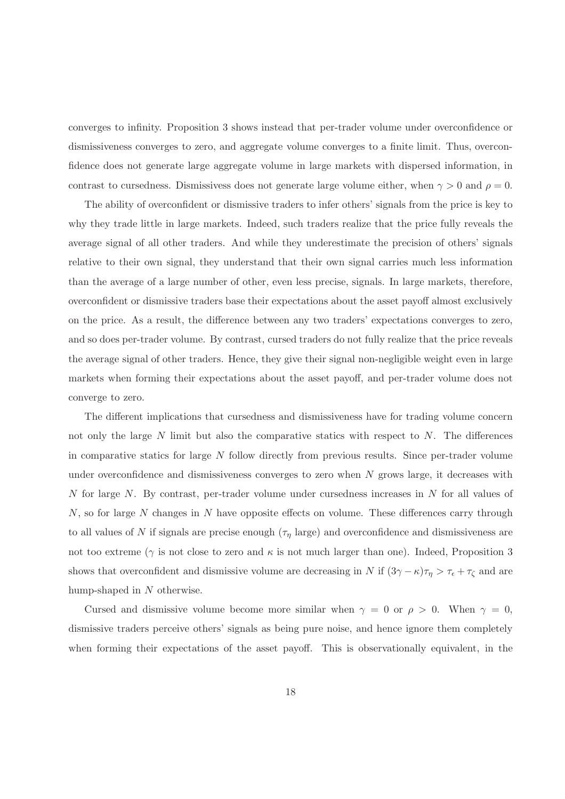converges to infinity. Proposition 3 shows instead that per-trader volume under overconfidence or dismissiveness converges to zero, and aggregate volume converges to a finite limit. Thus, overconfidence does not generate large aggregate volume in large markets with dispersed information, in contrast to cursedness. Dismissivess does not generate large volume either, when  $\gamma > 0$  and  $\rho = 0$ .

The ability of overconfident or dismissive traders to infer others' signals from the price is key to why they trade little in large markets. Indeed, such traders realize that the price fully reveals the average signal of all other traders. And while they underestimate the precision of others' signals relative to their own signal, they understand that their own signal carries much less information than the average of a large number of other, even less precise, signals. In large markets, therefore, overconfident or dismissive traders base their expectations about the asset payoff almost exclusively on the price. As a result, the difference between any two traders' expectations converges to zero, and so does per-trader volume. By contrast, cursed traders do not fully realize that the price reveals the average signal of other traders. Hence, they give their signal non-negligible weight even in large markets when forming their expectations about the asset payoff, and per-trader volume does not converge to zero.

The different implications that cursedness and dismissiveness have for trading volume concern not only the large  $N$  limit but also the comparative statics with respect to  $N$ . The differences in comparative statics for large N follow directly from previous results. Since per-trader volume under overconfidence and dismissiveness converges to zero when  $N$  grows large, it decreases with N for large N. By contrast, per-trader volume under cursedness increases in N for all values of  $N$ , so for large N changes in N have opposite effects on volume. These differences carry through to all values of N if signals are precise enough  $(\tau<sub>\eta</sub>$  large) and overconfidence and dismissiveness are not too extreme ( $\gamma$  is not close to zero and  $\kappa$  is not much larger than one). Indeed, Proposition 3 shows that overconfident and dismissive volume are decreasing in N if  $(3\gamma - \kappa)\tau_\eta > \tau_\epsilon + \tau_\zeta$  and are hump-shaped in N otherwise.

Cursed and dismissive volume become more similar when  $\gamma = 0$  or  $\rho > 0$ . When  $\gamma = 0$ , dismissive traders perceive others' signals as being pure noise, and hence ignore them completely when forming their expectations of the asset payoff. This is observationally equivalent, in the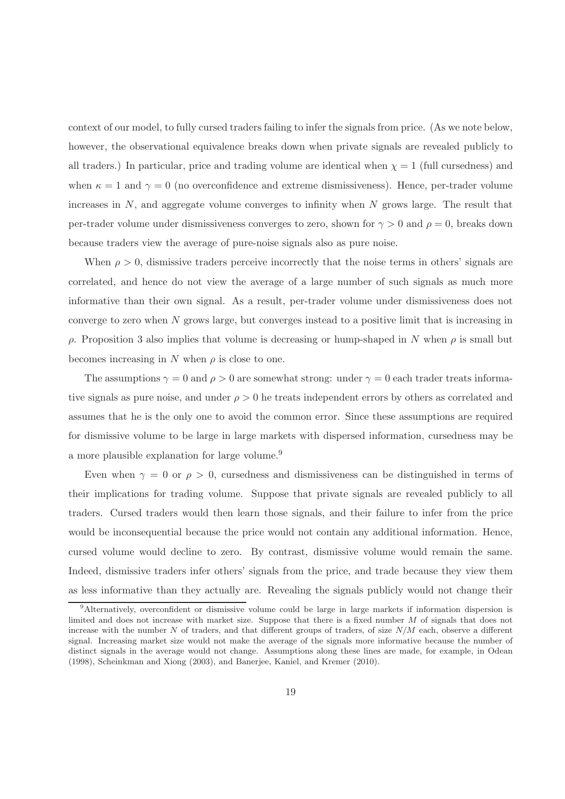context of our model, to fully cursed traders failing to infer the signals from price. (As we note below, however, the observational equivalence breaks down when private signals are revealed publicly to all traders.) In particular, price and trading volume are identical when  $\chi = 1$  (full cursedness) and when  $\kappa = 1$  and  $\gamma = 0$  (no overconfidence and extreme dismissiveness). Hence, per-trader volume increases in  $N$ , and aggregate volume converges to infinity when  $N$  grows large. The result that per-trader volume under dismissiveness converges to zero, shown for  $\gamma > 0$  and  $\rho = 0$ , breaks down because traders view the average of pure-noise signals also as pure noise.

When  $\rho > 0$ , dismissive traders perceive incorrectly that the noise terms in others' signals are correlated, and hence do not view the average of a large number of such signals as much more informative than their own signal. As a result, per-trader volume under dismissiveness does not converge to zero when N grows large, but converges instead to a positive limit that is increasing in ρ. Proposition 3 also implies that volume is decreasing or hump-shaped in N when ρ is small but becomes increasing in N when  $\rho$  is close to one.

The assumptions  $\gamma = 0$  and  $\rho > 0$  are somewhat strong: under  $\gamma = 0$  each trader treats informative signals as pure noise, and under  $\rho > 0$  he treats independent errors by others as correlated and assumes that he is the only one to avoid the common error. Since these assumptions are required for dismissive volume to be large in large markets with dispersed information, cursedness may be a more plausible explanation for large volume.<sup>9</sup>

Even when  $\gamma = 0$  or  $\rho > 0$ , cursedness and dismissiveness can be distinguished in terms of their implications for trading volume. Suppose that private signals are revealed publicly to all traders. Cursed traders would then learn those signals, and their failure to infer from the price would be inconsequential because the price would not contain any additional information. Hence, cursed volume would decline to zero. By contrast, dismissive volume would remain the same. Indeed, dismissive traders infer others' signals from the price, and trade because they view them as less informative than they actually are. Revealing the signals publicly would not change their

<sup>9</sup>Alternatively, overconfident or dismissive volume could be large in large markets if information dispersion is limited and does not increase with market size. Suppose that there is a fixed number M of signals that does not increase with the number N of traders, and that different groups of traders, of size  $N/M$  each, observe a different signal. Increasing market size would not make the average of the signals more informative because the number of distinct signals in the average would not change. Assumptions along these lines are made, for example, in Odean (1998), Scheinkman and Xiong (2003), and Banerjee, Kaniel, and Kremer (2010).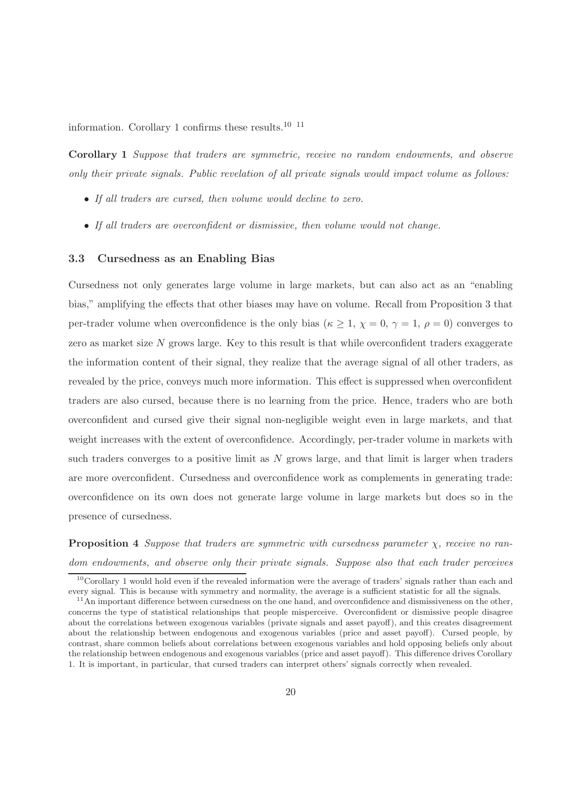information. Corollary 1 confirms these results.<sup>10 11</sup>

Corollary 1 Suppose that traders are symmetric, receive no random endowments, and observe only their private signals. Public revelation of all private signals would impact volume as follows:

- If all traders are cursed, then volume would decline to zero.
- If all traders are overconfident or dismissive, then volume would not change.

#### 3.3 Cursedness as an Enabling Bias

Cursedness not only generates large volume in large markets, but can also act as an "enabling bias," amplifying the effects that other biases may have on volume. Recall from Proposition 3 that per-trader volume when overconfidence is the only bias ( $\kappa \geq 1$ ,  $\chi = 0$ ,  $\gamma = 1$ ,  $\rho = 0$ ) converges to zero as market size N grows large. Key to this result is that while overconfident traders exaggerate the information content of their signal, they realize that the average signal of all other traders, as revealed by the price, conveys much more information. This effect is suppressed when overconfident traders are also cursed, because there is no learning from the price. Hence, traders who are both overconfident and cursed give their signal non-negligible weight even in large markets, and that weight increases with the extent of overconfidence. Accordingly, per-trader volume in markets with such traders converges to a positive limit as  $N$  grows large, and that limit is larger when traders are more overconfident. Cursedness and overconfidence work as complements in generating trade: overconfidence on its own does not generate large volume in large markets but does so in the presence of cursedness.

**Proposition 4** Suppose that traders are symmetric with cursedness parameter  $\chi$ , receive no random endowments, and observe only their private signals. Suppose also that each trader perceives

 $10$ Corollary 1 would hold even if the revealed information were the average of traders' signals rather than each and every signal. This is because with symmetry and normality, the average is a sufficient statistic for all the signals.

 $11$ An important difference between cursedness on the one hand, and overconfidence and dismissiveness on the other, concerns the type of statistical relationships that people misperceive. Overconfident or dismissive people disagree about the correlations between exogenous variables (private signals and asset payoff), and this creates disagreement about the relationship between endogenous and exogenous variables (price and asset payoff). Cursed people, by contrast, share common beliefs about correlations between exogenous variables and hold opposing beliefs only about the relationship between endogenous and exogenous variables (price and asset payoff). This difference drives Corollary 1. It is important, in particular, that cursed traders can interpret others' signals correctly when revealed.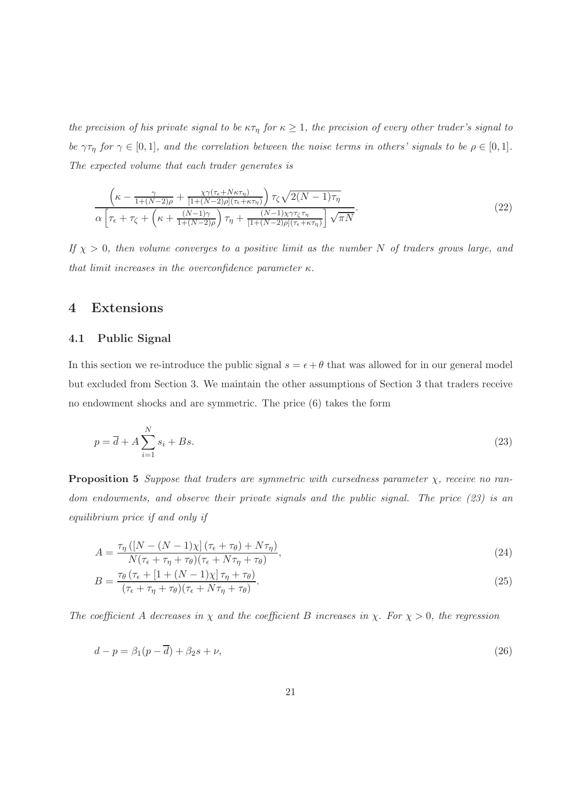the precision of his private signal to be  $\kappa \tau_{\eta}$  for  $\kappa \geq 1$ , the precision of every other trader's signal to be  $\gamma\tau_{\eta}$  for  $\gamma \in [0,1]$ , and the correlation between the noise terms in others' signals to be  $\rho \in [0,1]$ . The expected volume that each trader generates is

$$
\frac{\left(\kappa - \frac{\gamma}{1 + (N-2)\rho} + \frac{\chi\gamma(\tau_{\epsilon} + N\kappa\tau_{\eta})}{[1 + (N-2)\rho](\tau_{\epsilon} + \kappa\tau_{\eta})}\right)\tau_{\zeta}\sqrt{2(N-1)\tau_{\eta}}}{\alpha\left[\tau_{\epsilon} + \tau_{\zeta} + \left(\kappa + \frac{(N-1)\gamma}{1 + (N-2)\rho}\right)\tau_{\eta} + \frac{(N-1)\chi\gamma\tau_{\zeta}\tau_{\eta}}{[1 + (N-2)\rho](\tau_{\epsilon} + \kappa\tau_{\eta})}\right]\sqrt{\pi N}}.
$$
\n(22)

If  $\chi > 0$ , then volume converges to a positive limit as the number N of traders grows large, and that limit increases in the overconfidence parameter  $\kappa$ .

# 4 Extensions

### 4.1 Public Signal

In this section we re-introduce the public signal  $s = \epsilon + \theta$  that was allowed for in our general model but excluded from Section 3. We maintain the other assumptions of Section 3 that traders receive no endowment shocks and are symmetric. The price (6) takes the form

$$
p = \overline{d} + A \sum_{i=1}^{N} s_i + Bs. \tag{23}
$$

**Proposition 5** Suppose that traders are symmetric with cursedness parameter  $\chi$ , receive no random endowments, and observe their private signals and the public signal. The price (23) is an equilibrium price if and only if

$$
A = \frac{\tau_{\eta} \left( \left[N - (N - 1)\chi\right] \left(\tau_{\epsilon} + \tau_{\theta}\right) + N\tau_{\eta} \right)}{N(\tau_{\epsilon} + \tau_{\eta} + \tau_{\theta})(\tau_{\epsilon} + N\tau_{\eta} + \tau_{\theta})},\tag{24}
$$

$$
B = \frac{\tau_{\theta} \left(\tau_{\epsilon} + \left[1 + (N - 1)\chi\right] \tau_{\eta} + \tau_{\theta}\right)}{(\tau_{\epsilon} + \tau_{\eta} + \tau_{\theta})(\tau_{\epsilon} + N\tau_{\eta} + \tau_{\theta})}.
$$
\n(25)

The coefficient A decreases in  $\chi$  and the coefficient B increases in  $\chi$ . For  $\chi > 0$ , the regression

$$
d - p = \beta_1 (p - \overline{d}) + \beta_2 s + \nu,\tag{26}
$$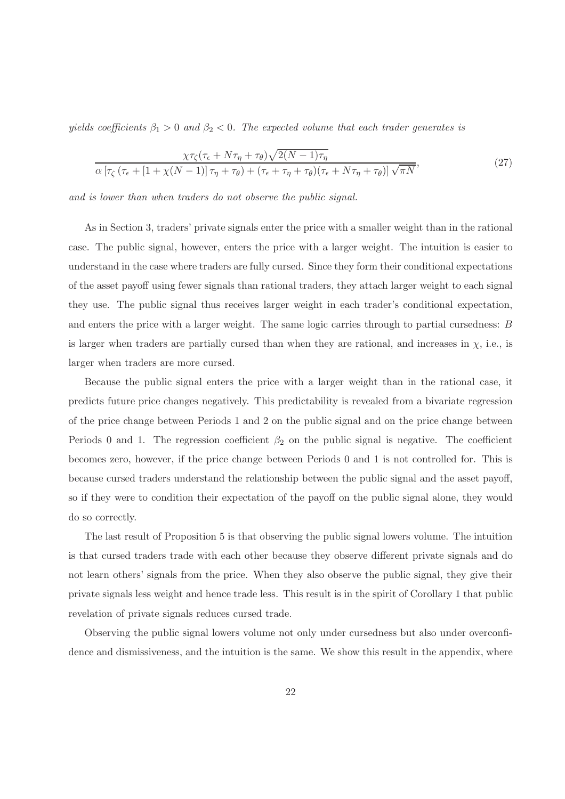yields coefficients  $\beta_1 > 0$  and  $\beta_2 < 0$ . The expected volume that each trader generates is

$$
\frac{\chi\tau_{\zeta}(\tau_{\epsilon} + N\tau_{\eta} + \tau_{\theta})\sqrt{2(N-1)\tau_{\eta}}}{\alpha\left[\tau_{\zeta}\left(\tau_{\epsilon} + [1 + \chi(N-1)]\,\tau_{\eta} + \tau_{\theta}\right) + \left(\tau_{\epsilon} + \tau_{\eta} + \tau_{\theta}\right)\left(\tau_{\epsilon} + N\tau_{\eta} + \tau_{\theta}\right)\right]\sqrt{\pi N}},\tag{27}
$$

and is lower than when traders do not observe the public signal.

As in Section 3, traders' private signals enter the price with a smaller weight than in the rational case. The public signal, however, enters the price with a larger weight. The intuition is easier to understand in the case where traders are fully cursed. Since they form their conditional expectations of the asset payoff using fewer signals than rational traders, they attach larger weight to each signal they use. The public signal thus receives larger weight in each trader's conditional expectation, and enters the price with a larger weight. The same logic carries through to partial cursedness: B is larger when traders are partially cursed than when they are rational, and increases in  $\chi$ , i.e., is larger when traders are more cursed.

Because the public signal enters the price with a larger weight than in the rational case, it predicts future price changes negatively. This predictability is revealed from a bivariate regression of the price change between Periods 1 and 2 on the public signal and on the price change between Periods 0 and 1. The regression coefficient  $\beta_2$  on the public signal is negative. The coefficient becomes zero, however, if the price change between Periods 0 and 1 is not controlled for. This is because cursed traders understand the relationship between the public signal and the asset payoff, so if they were to condition their expectation of the payoff on the public signal alone, they would do so correctly.

The last result of Proposition 5 is that observing the public signal lowers volume. The intuition is that cursed traders trade with each other because they observe different private signals and do not learn others' signals from the price. When they also observe the public signal, they give their private signals less weight and hence trade less. This result is in the spirit of Corollary 1 that public revelation of private signals reduces cursed trade.

Observing the public signal lowers volume not only under cursedness but also under overconfidence and dismissiveness, and the intuition is the same. We show this result in the appendix, where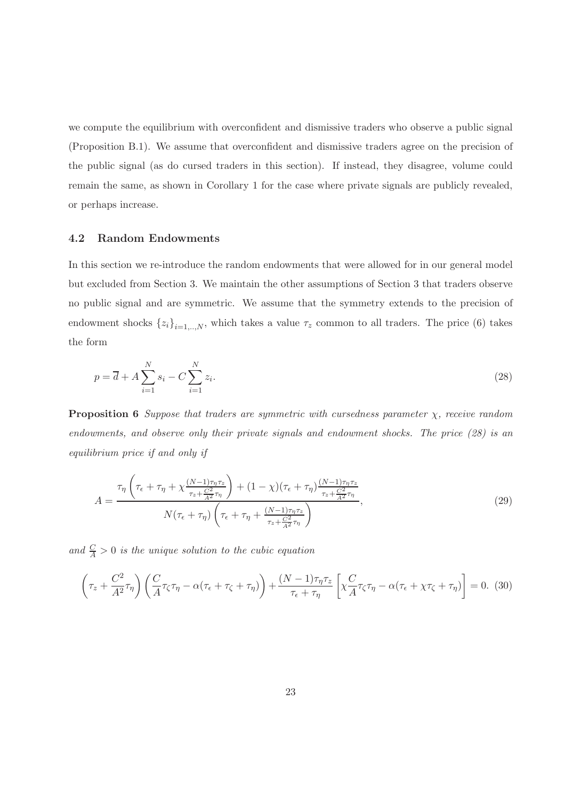we compute the equilibrium with overconfident and dismissive traders who observe a public signal (Proposition B.1). We assume that overconfident and dismissive traders agree on the precision of the public signal (as do cursed traders in this section). If instead, they disagree, volume could remain the same, as shown in Corollary 1 for the case where private signals are publicly revealed, or perhaps increase.

#### 4.2 Random Endowments

In this section we re-introduce the random endowments that were allowed for in our general model but excluded from Section 3. We maintain the other assumptions of Section 3 that traders observe no public signal and are symmetric. We assume that the symmetry extends to the precision of endowment shocks  $\{z_i\}_{i=1,..,N}$ , which takes a value  $\tau_z$  common to all traders. The price (6) takes the form

$$
p = \overline{d} + A \sum_{i=1}^{N} s_i - C \sum_{i=1}^{N} z_i.
$$
\n(28)

**Proposition 6** Suppose that traders are symmetric with cursedness parameter  $\chi$ , receive random endowments, and observe only their private signals and endowment shocks. The price (28) is an equilibrium price if and only if

$$
A = \frac{\tau_{\eta} \left(\tau_{\epsilon} + \tau_{\eta} + \chi \frac{(N-1)\tau_{\eta}\tau_{z}}{\tau_{z} + \frac{C^{2}}{A^{2}}\tau_{\eta}}\right) + (1-\chi)\left(\tau_{\epsilon} + \tau_{\eta}\right) \frac{(N-1)\tau_{\eta}\tau_{z}}{\tau_{z} + \frac{C^{2}}{A^{2}}\tau_{\eta}}}{N(\tau_{\epsilon} + \tau_{\eta}) \left(\tau_{\epsilon} + \tau_{\eta} + \frac{(N-1)\tau_{\eta}\tau_{z}}{\tau_{z} + \frac{C^{2}}{A^{2}}\tau_{\eta}}\right)},
$$
\n(29)

and  $\frac{C}{A} > 0$  is the unique solution to the cubic equation

$$
\left(\tau_z + \frac{C^2}{A^2}\tau_\eta\right) \left(\frac{C}{A}\tau_\zeta\tau_\eta - \alpha(\tau_\epsilon + \tau_\zeta + \tau_\eta)\right) + \frac{(N-1)\tau_\eta\tau_z}{\tau_\epsilon + \tau_\eta} \left[\chi\frac{C}{A}\tau_\zeta\tau_\eta - \alpha(\tau_\epsilon + \chi\tau_\zeta + \tau_\eta)\right] = 0. \tag{30}
$$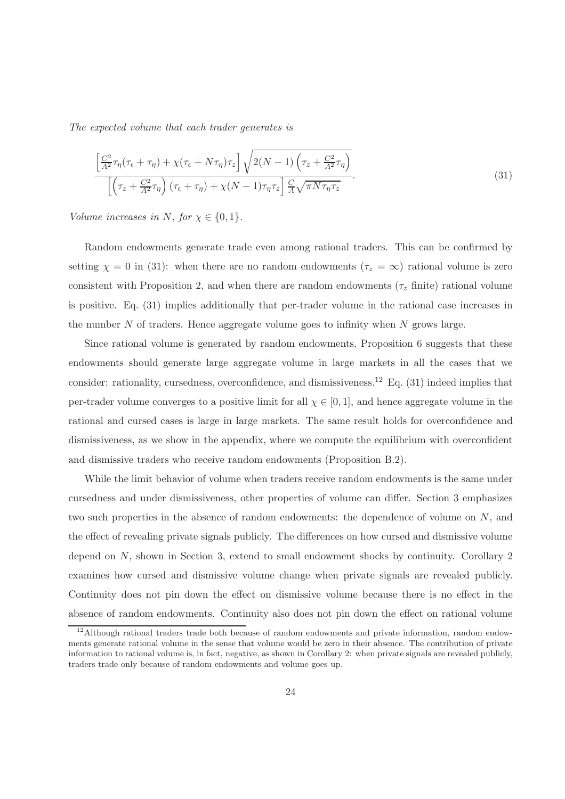The expected volume that each trader generates is

$$
\frac{\left[\frac{C^2}{A^2}\tau_\eta(\tau_\epsilon + \tau_\eta) + \chi(\tau_\epsilon + N\tau_\eta)\tau_z\right]\sqrt{2(N-1)\left(\tau_z + \frac{C^2}{A^2}\tau_\eta\right)}}{\left[\left(\tau_z + \frac{C^2}{A^2}\tau_\eta\right)(\tau_\epsilon + \tau_\eta) + \chi(N-1)\tau_\eta\tau_z\right]\frac{C}{A}\sqrt{\pi N\tau_\eta\tau_z}}.
$$
\n(31)

Volume increases in N, for  $\chi \in \{0,1\}$ .

Random endowments generate trade even among rational traders. This can be confirmed by setting  $\chi = 0$  in (31): when there are no random endowments ( $\tau_z = \infty$ ) rational volume is zero consistent with Proposition 2, and when there are random endowments ( $\tau$ <sub>z</sub> finite) rational volume is positive. Eq. (31) implies additionally that per-trader volume in the rational case increases in the number  $N$  of traders. Hence aggregate volume goes to infinity when  $N$  grows large.

Since rational volume is generated by random endowments, Proposition 6 suggests that these endowments should generate large aggregate volume in large markets in all the cases that we consider: rationality, cursedness, overconfidence, and dismissiveness.<sup>12</sup> Eq. (31) indeed implies that per-trader volume converges to a positive limit for all  $\chi \in [0,1]$ , and hence aggregate volume in the rational and cursed cases is large in large markets. The same result holds for overconfidence and dismissiveness, as we show in the appendix, where we compute the equilibrium with overconfident and dismissive traders who receive random endowments (Proposition B.2).

While the limit behavior of volume when traders receive random endowments is the same under cursedness and under dismissiveness, other properties of volume can differ. Section 3 emphasizes two such properties in the absence of random endowments: the dependence of volume on N, and the effect of revealing private signals publicly. The differences on how cursed and dismissive volume depend on N, shown in Section 3, extend to small endowment shocks by continuity. Corollary 2 examines how cursed and dismissive volume change when private signals are revealed publicly. Continuity does not pin down the effect on dismissive volume because there is no effect in the absence of random endowments. Continuity also does not pin down the effect on rational volume

<sup>&</sup>lt;sup>12</sup>Although rational traders trade both because of random endowments and private information, random endowments generate rational volume in the sense that volume would be zero in their absence. The contribution of private information to rational volume is, in fact, negative, as shown in Corollary 2: when private signals are revealed publicly, traders trade only because of random endowments and volume goes up.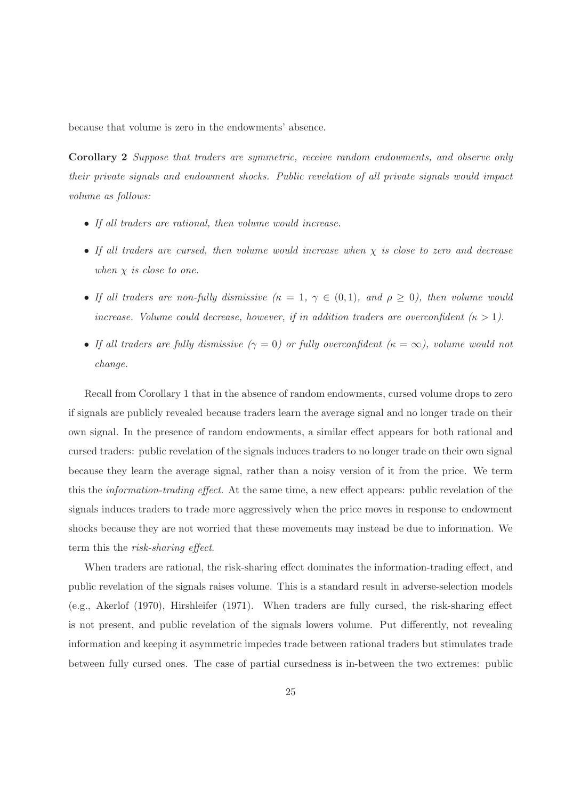because that volume is zero in the endowments' absence.

Corollary 2 Suppose that traders are symmetric, receive random endowments, and observe only their private signals and endowment shocks. Public revelation of all private signals would impact volume as follows:

- If all traders are rational, then volume would increase.
- If all traders are cursed, then volume would increase when  $\chi$  is close to zero and decrease when  $\chi$  is close to one.
- If all traders are non-fully dismissive  $(\kappa = 1, \gamma \in (0, 1),$  and  $\rho \ge 0)$ , then volume would increase. Volume could decrease, however, if in addition traders are overconfident  $(\kappa > 1)$ .
- If all traders are fully dismissive  $(\gamma = 0)$  or fully overconfident  $(\kappa = \infty)$ , volume would not change.

Recall from Corollary 1 that in the absence of random endowments, cursed volume drops to zero if signals are publicly revealed because traders learn the average signal and no longer trade on their own signal. In the presence of random endowments, a similar effect appears for both rational and cursed traders: public revelation of the signals induces traders to no longer trade on their own signal because they learn the average signal, rather than a noisy version of it from the price. We term this the information-trading effect. At the same time, a new effect appears: public revelation of the signals induces traders to trade more aggressively when the price moves in response to endowment shocks because they are not worried that these movements may instead be due to information. We term this the risk-sharing effect.

When traders are rational, the risk-sharing effect dominates the information-trading effect, and public revelation of the signals raises volume. This is a standard result in adverse-selection models (e.g., Akerlof (1970), Hirshleifer (1971). When traders are fully cursed, the risk-sharing effect is not present, and public revelation of the signals lowers volume. Put differently, not revealing information and keeping it asymmetric impedes trade between rational traders but stimulates trade between fully cursed ones. The case of partial cursedness is in-between the two extremes: public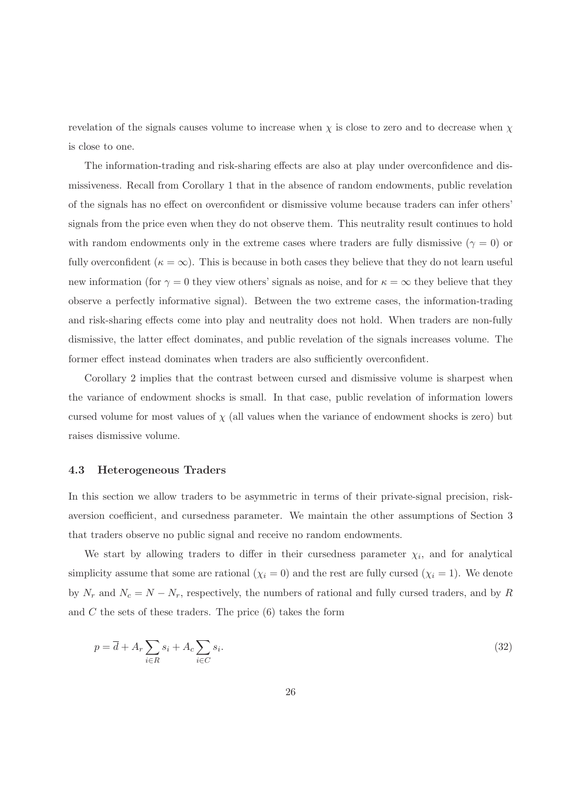revelation of the signals causes volume to increase when  $\chi$  is close to zero and to decrease when  $\chi$ is close to one.

The information-trading and risk-sharing effects are also at play under overconfidence and dismissiveness. Recall from Corollary 1 that in the absence of random endowments, public revelation of the signals has no effect on overconfident or dismissive volume because traders can infer others' signals from the price even when they do not observe them. This neutrality result continues to hold with random endowments only in the extreme cases where traders are fully dismissive ( $\gamma = 0$ ) or fully overconfident ( $\kappa = \infty$ ). This is because in both cases they believe that they do not learn useful new information (for  $\gamma = 0$  they view others' signals as noise, and for  $\kappa = \infty$  they believe that they observe a perfectly informative signal). Between the two extreme cases, the information-trading and risk-sharing effects come into play and neutrality does not hold. When traders are non-fully dismissive, the latter effect dominates, and public revelation of the signals increases volume. The former effect instead dominates when traders are also sufficiently overconfident.

Corollary 2 implies that the contrast between cursed and dismissive volume is sharpest when the variance of endowment shocks is small. In that case, public revelation of information lowers cursed volume for most values of  $\chi$  (all values when the variance of endowment shocks is zero) but raises dismissive volume.

#### 4.3 Heterogeneous Traders

In this section we allow traders to be asymmetric in terms of their private-signal precision, riskaversion coefficient, and cursedness parameter. We maintain the other assumptions of Section 3 that traders observe no public signal and receive no random endowments.

We start by allowing traders to differ in their cursedness parameter  $\chi_i$ , and for analytical simplicity assume that some are rational  $(\chi_i = 0)$  and the rest are fully cursed  $(\chi_i = 1)$ . We denote by  $N_r$  and  $N_c = N - N_r$ , respectively, the numbers of rational and fully cursed traders, and by R and  $C$  the sets of these traders. The price  $(6)$  takes the form

$$
p = \overline{d} + A_r \sum_{i \in R} s_i + A_c \sum_{i \in C} s_i.
$$
\n(32)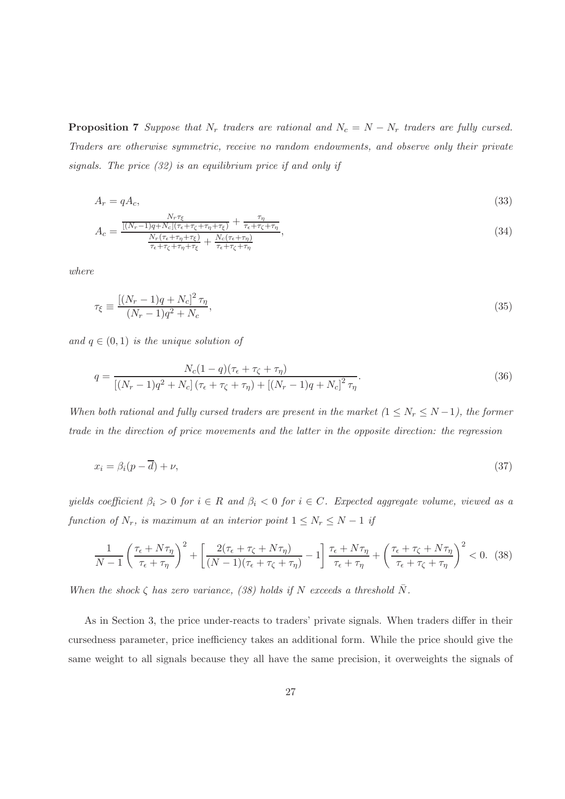**Proposition 7** Suppose that  $N_r$  traders are rational and  $N_c = N - N_r$  traders are fully cursed. Traders are otherwise symmetric, receive no random endowments, and observe only their private signals. The price (32) is an equilibrium price if and only if

$$
A_r = qA_c,\tag{33}
$$

$$
A_c = \frac{\frac{N_r \tau_{\xi}}{[(N_r - 1)q + N_c](\tau_{\epsilon} + \tau_{\zeta} + \tau_{\eta} + \tau_{\xi})} + \frac{\tau_{\eta}}{\tau_{\epsilon} + \tau_{\zeta} + \tau_{\eta}}}{\frac{N_r(\tau_{\epsilon} + \tau_{\eta} + \tau_{\xi})}{\tau_{\epsilon} + \tau_{\zeta} + \tau_{\eta} + \tau_{\xi}} + \frac{N_c(\tau_{\epsilon} + \tau_{\eta})}{\tau_{\epsilon} + \tau_{\zeta} + \tau_{\eta}}},
$$
\n(34)

where

$$
\tau_{\xi} \equiv \frac{[(N_r - 1)q + N_c]^2 \tau_{\eta}}{(N_r - 1)q^2 + N_c},\tag{35}
$$

and  $q \in (0, 1)$  is the unique solution of

$$
q = \frac{N_c(1-q)(\tau_{\epsilon} + \tau_{\zeta} + \tau_{\eta})}{[(N_r - 1)q^2 + N_c](\tau_{\epsilon} + \tau_{\zeta} + \tau_{\eta}) + [(N_r - 1)q + N_c]^2 \tau_{\eta}}.
$$
\n(36)

When both rational and fully cursed traders are present in the market  $(1 \le N_r \le N-1)$ , the former trade in the direction of price movements and the latter in the opposite direction: the regression

$$
x_i = \beta_i (p - \overline{d}) + \nu,\tag{37}
$$

yields coefficient  $\beta_i > 0$  for  $i \in R$  and  $\beta_i < 0$  for  $i \in C$ . Expected aggregate volume, viewed as a function of  $N_r$ , is maximum at an interior point  $1 \leq N_r \leq N-1$  if

$$
\frac{1}{N-1} \left(\frac{\tau_{\epsilon} + N\tau_{\eta}}{\tau_{\epsilon} + \tau_{\eta}}\right)^{2} + \left[\frac{2(\tau_{\epsilon} + \tau_{\zeta} + N\tau_{\eta})}{(N-1)(\tau_{\epsilon} + \tau_{\zeta} + \tau_{\eta})} - 1\right] \frac{\tau_{\epsilon} + N\tau_{\eta}}{\tau_{\epsilon} + \tau_{\eta}} + \left(\frac{\tau_{\epsilon} + \tau_{\zeta} + N\tau_{\eta}}{\tau_{\epsilon} + \tau_{\zeta} + \tau_{\eta}}\right)^{2} < 0.
$$
 (38)

When the shock  $\zeta$  has zero variance, (38) holds if N exceeds a threshold  $\overline{N}$ .

As in Section 3, the price under-reacts to traders' private signals. When traders differ in their cursedness parameter, price inefficiency takes an additional form. While the price should give the same weight to all signals because they all have the same precision, it overweights the signals of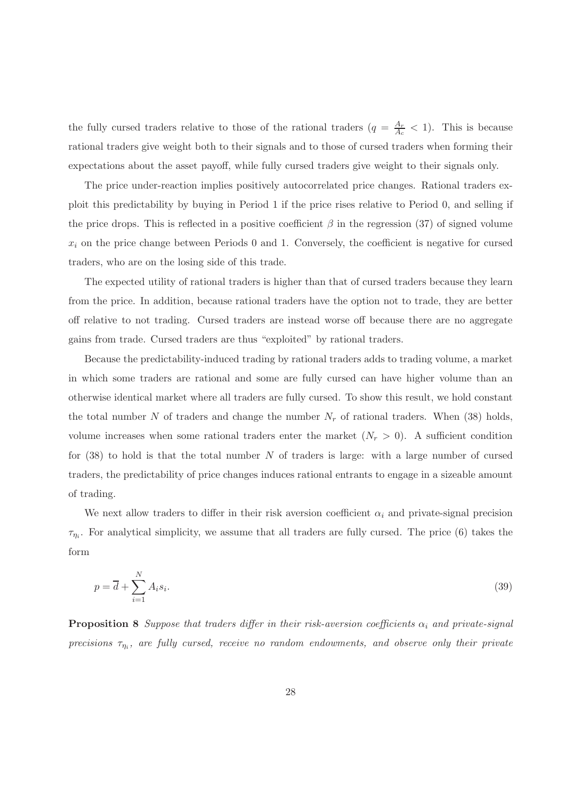the fully cursed traders relative to those of the rational traders  $(q = \frac{A_r}{A_c})$  $\frac{A_r}{A_c}$  < 1). This is because rational traders give weight both to their signals and to those of cursed traders when forming their expectations about the asset payoff, while fully cursed traders give weight to their signals only.

The price under-reaction implies positively autocorrelated price changes. Rational traders exploit this predictability by buying in Period 1 if the price rises relative to Period 0, and selling if the price drops. This is reflected in a positive coefficient  $\beta$  in the regression (37) of signed volume  $x_i$  on the price change between Periods 0 and 1. Conversely, the coefficient is negative for cursed traders, who are on the losing side of this trade.

The expected utility of rational traders is higher than that of cursed traders because they learn from the price. In addition, because rational traders have the option not to trade, they are better off relative to not trading. Cursed traders are instead worse off because there are no aggregate gains from trade. Cursed traders are thus "exploited" by rational traders.

Because the predictability-induced trading by rational traders adds to trading volume, a market in which some traders are rational and some are fully cursed can have higher volume than an otherwise identical market where all traders are fully cursed. To show this result, we hold constant the total number N of traders and change the number  $N_r$  of rational traders. When (38) holds, volume increases when some rational traders enter the market  $(N_r > 0)$ . A sufficient condition for  $(38)$  to hold is that the total number N of traders is large: with a large number of cursed traders, the predictability of price changes induces rational entrants to engage in a sizeable amount of trading.

We next allow traders to differ in their risk aversion coefficient  $\alpha_i$  and private-signal precision  $\tau_{\eta_i}$ . For analytical simplicity, we assume that all traders are fully cursed. The price (6) takes the form

$$
p = \overline{d} + \sum_{i=1}^{N} A_i s_i.
$$
\n(39)

**Proposition 8** Suppose that traders differ in their risk-aversion coefficients  $\alpha_i$  and private-signal precisions  $\tau_{\eta_i}$ , are fully cursed, receive no random endowments, and observe only their private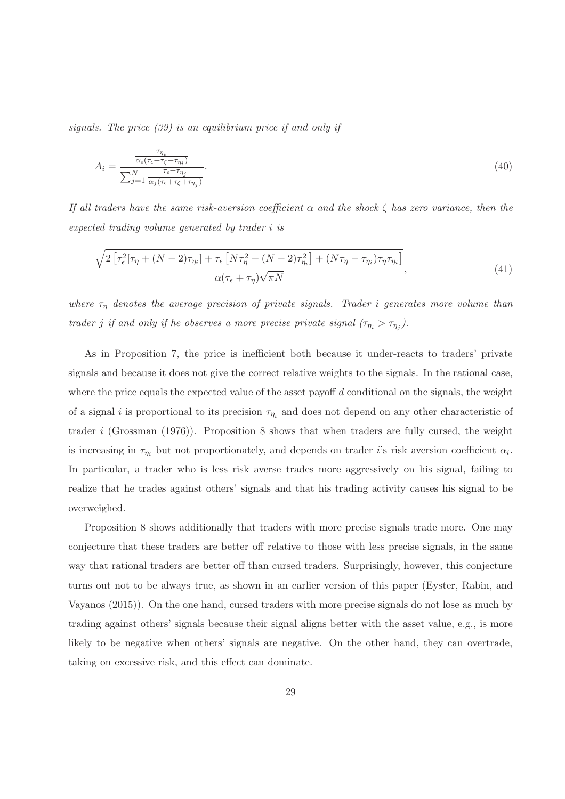signals. The price (39) is an equilibrium price if and only if

$$
A_i = \frac{\frac{\tau_{\eta_i}}{\alpha_i (\tau_{\epsilon} + \tau_{\zeta} + \tau_{\eta_i})}}{\sum_{j=1}^N \frac{\tau_{\epsilon} + \tau_{\eta_j}}{\alpha_j (\tau_{\epsilon} + \tau_{\zeta} + \tau_{\eta_j})}}.
$$
\n(40)

If all traders have the same risk-aversion coefficient  $\alpha$  and the shock  $\zeta$  has zero variance, then the expected trading volume generated by trader i is

$$
\frac{\sqrt{2\left[\tau_{\epsilon}^{2}[\tau_{\eta} + (N-2)\tau_{\eta_{i}}] + \tau_{\epsilon}\left[N\tau_{\eta}^{2} + (N-2)\tau_{\eta_{i}}^{2}\right] + (N\tau_{\eta} - \tau_{\eta_{i}})\tau_{\eta}\tau_{\eta_{i}}\right]}{\alpha(\tau_{\epsilon} + \tau_{\eta})\sqrt{\pi N}},
$$
\n(41)

where  $\tau_{\eta}$  denotes the average precision of private signals. Trader i generates more volume than trader j if and only if he observes a more precise private signal  $(\tau_{\eta_i} > \tau_{\eta_j})$ .

As in Proposition 7, the price is inefficient both because it under-reacts to traders' private signals and because it does not give the correct relative weights to the signals. In the rational case, where the price equals the expected value of the asset payoff  $d$  conditional on the signals, the weight of a signal i is proportional to its precision  $\tau_{\eta_i}$  and does not depend on any other characteristic of trader i (Grossman (1976)). Proposition 8 shows that when traders are fully cursed, the weight is increasing in  $\tau_{\eta_i}$  but not proportionately, and depends on trader *i*'s risk aversion coefficient  $\alpha_i$ . In particular, a trader who is less risk averse trades more aggressively on his signal, failing to realize that he trades against others' signals and that his trading activity causes his signal to be overweighed.

Proposition 8 shows additionally that traders with more precise signals trade more. One may conjecture that these traders are better off relative to those with less precise signals, in the same way that rational traders are better off than cursed traders. Surprisingly, however, this conjecture turns out not to be always true, as shown in an earlier version of this paper (Eyster, Rabin, and Vayanos (2015)). On the one hand, cursed traders with more precise signals do not lose as much by trading against others' signals because their signal aligns better with the asset value, e.g., is more likely to be negative when others' signals are negative. On the other hand, they can overtrade, taking on excessive risk, and this effect can dominate.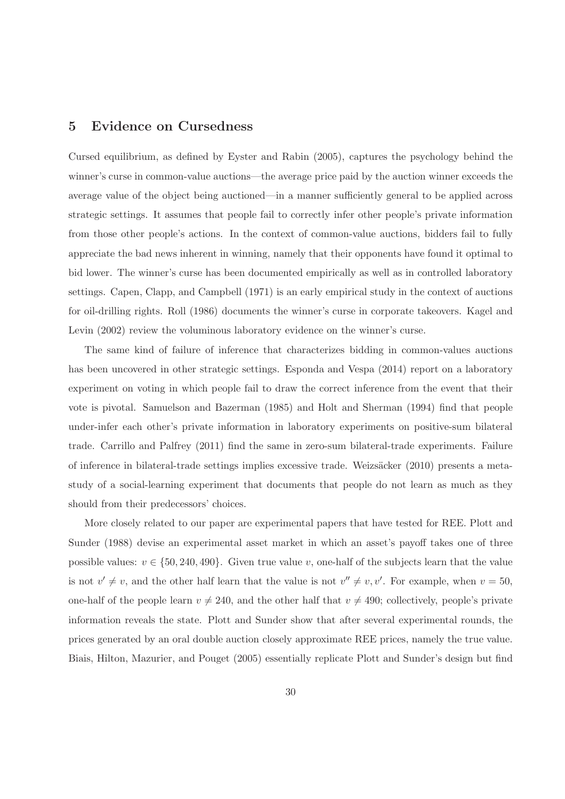# 5 Evidence on Cursedness

Cursed equilibrium, as defined by Eyster and Rabin (2005), captures the psychology behind the winner's curse in common-value auctions—the average price paid by the auction winner exceeds the average value of the object being auctioned—in a manner sufficiently general to be applied across strategic settings. It assumes that people fail to correctly infer other people's private information from those other people's actions. In the context of common-value auctions, bidders fail to fully appreciate the bad news inherent in winning, namely that their opponents have found it optimal to bid lower. The winner's curse has been documented empirically as well as in controlled laboratory settings. Capen, Clapp, and Campbell (1971) is an early empirical study in the context of auctions for oil-drilling rights. Roll (1986) documents the winner's curse in corporate takeovers. Kagel and Levin  $(2002)$  review the voluminous laboratory evidence on the winner's curse.

The same kind of failure of inference that characterizes bidding in common-values auctions has been uncovered in other strategic settings. Esponda and Vespa (2014) report on a laboratory experiment on voting in which people fail to draw the correct inference from the event that their vote is pivotal. Samuelson and Bazerman (1985) and Holt and Sherman (1994) find that people under-infer each other's private information in laboratory experiments on positive-sum bilateral trade. Carrillo and Palfrey (2011) find the same in zero-sum bilateral-trade experiments. Failure of inference in bilateral-trade settings implies excessive trade. Weizs¨acker (2010) presents a metastudy of a social-learning experiment that documents that people do not learn as much as they should from their predecessors' choices.

More closely related to our paper are experimental papers that have tested for REE. Plott and Sunder (1988) devise an experimental asset market in which an asset's payoff takes one of three possible values:  $v \in \{50, 240, 490\}$ . Given true value v, one-half of the subjects learn that the value is not  $v' \neq v$ , and the other half learn that the value is not  $v'' \neq v, v'$ . For example, when  $v = 50$ , one-half of the people learn  $v \neq 240$ , and the other half that  $v \neq 490$ ; collectively, people's private information reveals the state. Plott and Sunder show that after several experimental rounds, the prices generated by an oral double auction closely approximate REE prices, namely the true value. Biais, Hilton, Mazurier, and Pouget (2005) essentially replicate Plott and Sunder's design but find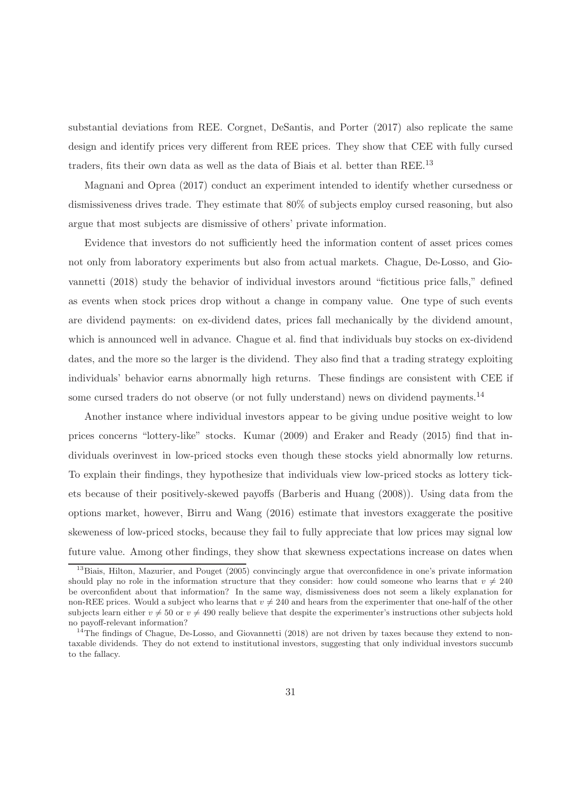substantial deviations from REE. Corgnet, DeSantis, and Porter (2017) also replicate the same design and identify prices very different from REE prices. They show that CEE with fully cursed traders, fits their own data as well as the data of Biais et al. better than REE.<sup>13</sup>

Magnani and Oprea (2017) conduct an experiment intended to identify whether cursedness or dismissiveness drives trade. They estimate that 80% of subjects employ cursed reasoning, but also argue that most subjects are dismissive of others' private information.

Evidence that investors do not sufficiently heed the information content of asset prices comes not only from laboratory experiments but also from actual markets. Chague, De-Losso, and Giovannetti (2018) study the behavior of individual investors around "fictitious price falls," defined as events when stock prices drop without a change in company value. One type of such events are dividend payments: on ex-dividend dates, prices fall mechanically by the dividend amount, which is announced well in advance. Chague et al. find that individuals buy stocks on ex-dividend dates, and the more so the larger is the dividend. They also find that a trading strategy exploiting individuals' behavior earns abnormally high returns. These findings are consistent with CEE if some cursed traders do not observe (or not fully understand) news on dividend payments.<sup>14</sup>

Another instance where individual investors appear to be giving undue positive weight to low prices concerns "lottery-like" stocks. Kumar (2009) and Eraker and Ready (2015) find that individuals overinvest in low-priced stocks even though these stocks yield abnormally low returns. To explain their findings, they hypothesize that individuals view low-priced stocks as lottery tickets because of their positively-skewed payoffs (Barberis and Huang (2008)). Using data from the options market, however, Birru and Wang (2016) estimate that investors exaggerate the positive skeweness of low-priced stocks, because they fail to fully appreciate that low prices may signal low future value. Among other findings, they show that skewness expectations increase on dates when

<sup>&</sup>lt;sup>13</sup>Biais, Hilton, Mazurier, and Pouget (2005) convincingly argue that overconfidence in one's private information should play no role in the information structure that they consider: how could someone who learns that  $v \neq 240$ be overconfident about that information? In the same way, dismissiveness does not seem a likely explanation for non-REE prices. Would a subject who learns that  $v \neq 240$  and hears from the experimenter that one-half of the other subjects learn either  $v \neq 50$  or  $v \neq 490$  really believe that despite the experimenter's instructions other subjects hold no payoff-relevant information?

 $14$ The findings of Chague, De-Losso, and Giovannetti (2018) are not driven by taxes because they extend to nontaxable dividends. They do not extend to institutional investors, suggesting that only individual investors succumb to the fallacy.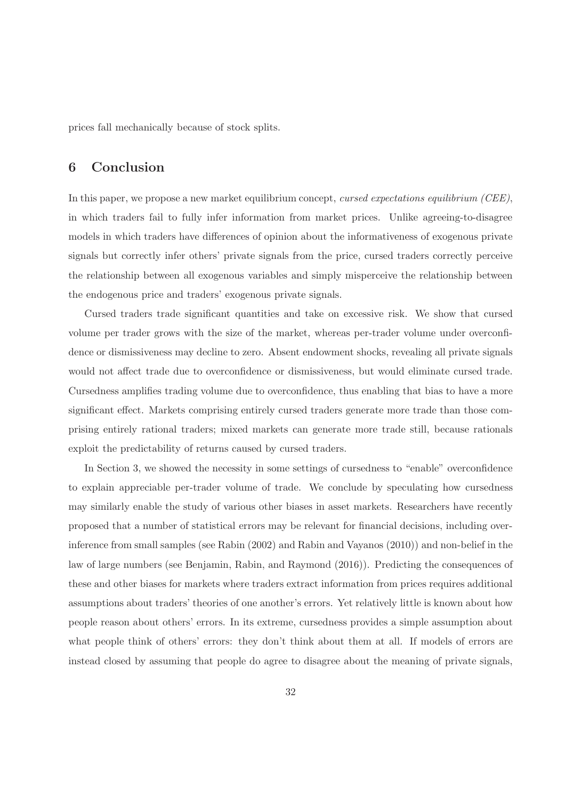prices fall mechanically because of stock splits.

# 6 Conclusion

In this paper, we propose a new market equilibrium concept, cursed expectations equilibrium (CEE), in which traders fail to fully infer information from market prices. Unlike agreeing-to-disagree models in which traders have differences of opinion about the informativeness of exogenous private signals but correctly infer others' private signals from the price, cursed traders correctly perceive the relationship between all exogenous variables and simply misperceive the relationship between the endogenous price and traders' exogenous private signals.

Cursed traders trade significant quantities and take on excessive risk. We show that cursed volume per trader grows with the size of the market, whereas per-trader volume under overconfidence or dismissiveness may decline to zero. Absent endowment shocks, revealing all private signals would not affect trade due to overconfidence or dismissiveness, but would eliminate cursed trade. Cursedness amplifies trading volume due to overconfidence, thus enabling that bias to have a more significant effect. Markets comprising entirely cursed traders generate more trade than those comprising entirely rational traders; mixed markets can generate more trade still, because rationals exploit the predictability of returns caused by cursed traders.

In Section 3, we showed the necessity in some settings of cursedness to "enable" overconfidence to explain appreciable per-trader volume of trade. We conclude by speculating how cursedness may similarly enable the study of various other biases in asset markets. Researchers have recently proposed that a number of statistical errors may be relevant for financial decisions, including overinference from small samples (see Rabin (2002) and Rabin and Vayanos (2010)) and non-belief in the law of large numbers (see Benjamin, Rabin, and Raymond (2016)). Predicting the consequences of these and other biases for markets where traders extract information from prices requires additional assumptions about traders' theories of one another's errors. Yet relatively little is known about how people reason about others' errors. In its extreme, cursedness provides a simple assumption about what people think of others' errors: they don't think about them at all. If models of errors are instead closed by assuming that people do agree to disagree about the meaning of private signals,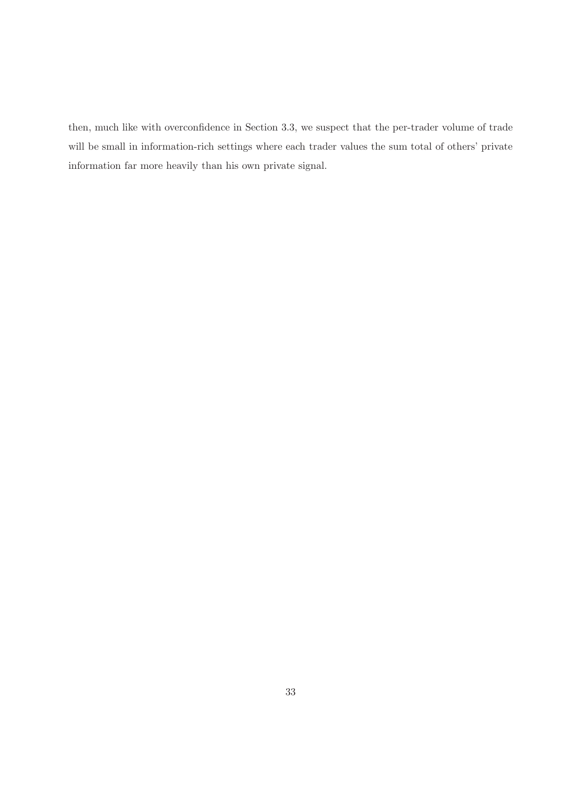then, much like with overconfidence in Section 3.3, we suspect that the per-trader volume of trade will be small in information-rich settings where each trader values the sum total of others' private information far more heavily than his own private signal.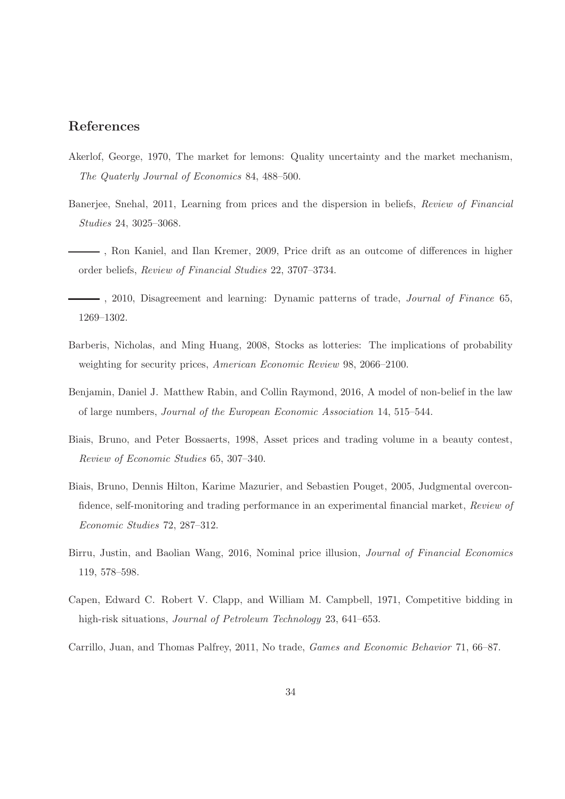# References

- Akerlof, George, 1970, The market for lemons: Quality uncertainty and the market mechanism, The Quaterly Journal of Economics 84, 488–500.
- Banerjee, Snehal, 2011, Learning from prices and the dispersion in beliefs, Review of Financial Studies 24, 3025–3068.
- , Ron Kaniel, and Ilan Kremer, 2009, Price drift as an outcome of differences in higher order beliefs, Review of Financial Studies 22, 3707–3734.
- $-$ , 2010, Disagreement and learning: Dynamic patterns of trade, *Journal of Finance* 65, 1269–1302.
- Barberis, Nicholas, and Ming Huang, 2008, Stocks as lotteries: The implications of probability weighting for security prices, American Economic Review 98, 2066–2100.
- Benjamin, Daniel J. Matthew Rabin, and Collin Raymond, 2016, A model of non-belief in the law of large numbers, Journal of the European Economic Association 14, 515–544.
- Biais, Bruno, and Peter Bossaerts, 1998, Asset prices and trading volume in a beauty contest, Review of Economic Studies 65, 307–340.
- Biais, Bruno, Dennis Hilton, Karime Mazurier, and Sebastien Pouget, 2005, Judgmental overconfidence, self-monitoring and trading performance in an experimental financial market, Review of Economic Studies 72, 287–312.
- Birru, Justin, and Baolian Wang, 2016, Nominal price illusion, Journal of Financial Economics 119, 578–598.
- Capen, Edward C. Robert V. Clapp, and William M. Campbell, 1971, Competitive bidding in high-risk situations, Journal of Petroleum Technology 23, 641–653.
- Carrillo, Juan, and Thomas Palfrey, 2011, No trade, Games and Economic Behavior 71, 66–87.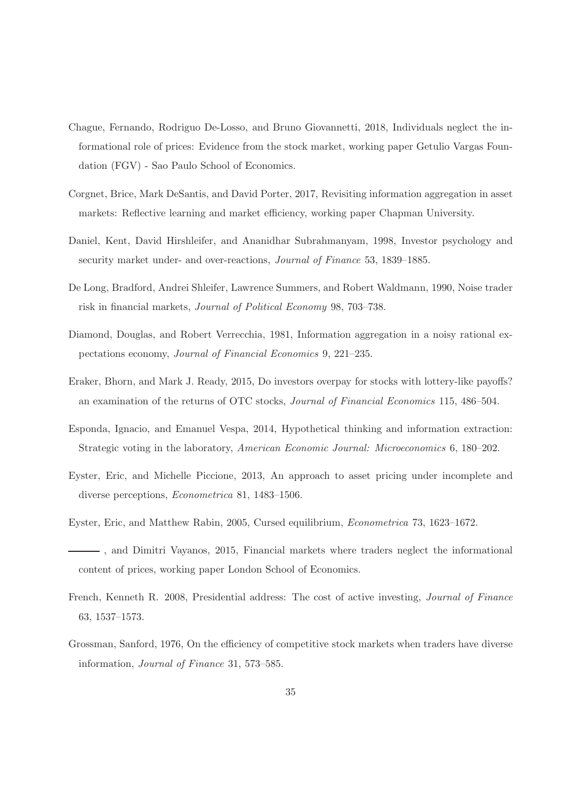- Chague, Fernando, Rodriguo De-Losso, and Bruno Giovannetti, 2018, Individuals neglect the informational role of prices: Evidence from the stock market, working paper Getulio Vargas Foundation (FGV) - Sao Paulo School of Economics.
- Corgnet, Brice, Mark DeSantis, and David Porter, 2017, Revisiting information aggregation in asset markets: Reflective learning and market efficiency, working paper Chapman University.
- Daniel, Kent, David Hirshleifer, and Ananidhar Subrahmanyam, 1998, Investor psychology and security market under- and over-reactions, Journal of Finance 53, 1839–1885.
- De Long, Bradford, Andrei Shleifer, Lawrence Summers, and Robert Waldmann, 1990, Noise trader risk in financial markets, Journal of Political Economy 98, 703–738.
- Diamond, Douglas, and Robert Verrecchia, 1981, Information aggregation in a noisy rational expectations economy, Journal of Financial Economics 9, 221–235.
- Eraker, Bhorn, and Mark J. Ready, 2015, Do investors overpay for stocks with lottery-like payoffs? an examination of the returns of OTC stocks, Journal of Financial Economics 115, 486–504.
- Esponda, Ignacio, and Emanuel Vespa, 2014, Hypothetical thinking and information extraction: Strategic voting in the laboratory, American Economic Journal: Microeconomics 6, 180–202.
- Eyster, Eric, and Michelle Piccione, 2013, An approach to asset pricing under incomplete and diverse perceptions, Econometrica 81, 1483–1506.
- Eyster, Eric, and Matthew Rabin, 2005, Cursed equilibrium, Econometrica 73, 1623–1672.
- , and Dimitri Vayanos, 2015, Financial markets where traders neglect the informational content of prices, working paper London School of Economics.
- French, Kenneth R. 2008, Presidential address: The cost of active investing, Journal of Finance 63, 1537–1573.
- Grossman, Sanford, 1976, On the efficiency of competitive stock markets when traders have diverse information, Journal of Finance 31, 573–585.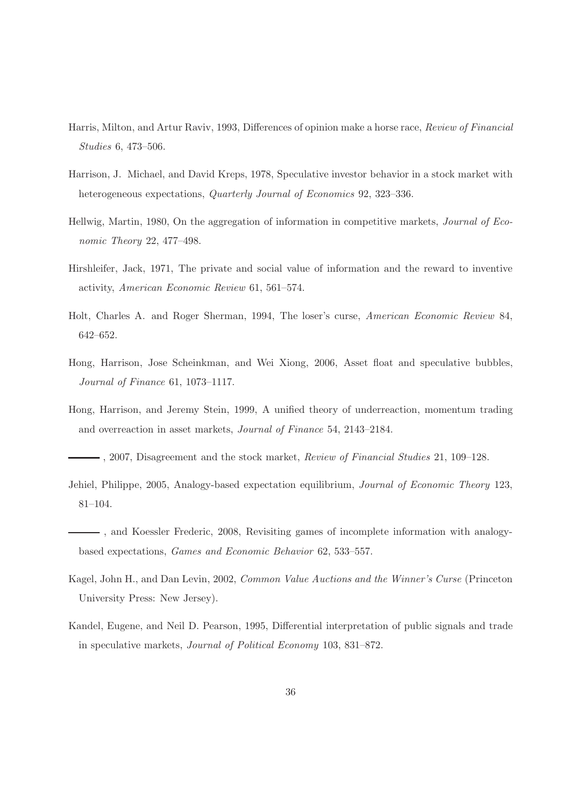- Harris, Milton, and Artur Raviv, 1993, Differences of opinion make a horse race, Review of Financial Studies 6, 473–506.
- Harrison, J. Michael, and David Kreps, 1978, Speculative investor behavior in a stock market with heterogeneous expectations, Quarterly Journal of Economics 92, 323–336.
- Hellwig, Martin, 1980, On the aggregation of information in competitive markets, Journal of Economic Theory 22, 477–498.
- Hirshleifer, Jack, 1971, The private and social value of information and the reward to inventive activity, American Economic Review 61, 561–574.
- Holt, Charles A. and Roger Sherman, 1994, The loser's curse, American Economic Review 84, 642–652.
- Hong, Harrison, Jose Scheinkman, and Wei Xiong, 2006, Asset float and speculative bubbles, Journal of Finance 61, 1073–1117.
- Hong, Harrison, and Jeremy Stein, 1999, A unified theory of underreaction, momentum trading and overreaction in asset markets, Journal of Finance 54, 2143–2184.
- $-$ , 2007, Disagreement and the stock market, Review of Financial Studies 21, 109–128.
- Jehiel, Philippe, 2005, Analogy-based expectation equilibrium, Journal of Economic Theory 123, 81–104.
- , and Koessler Frederic, 2008, Revisiting games of incomplete information with analogybased expectations, Games and Economic Behavior 62, 533–557.
- Kagel, John H., and Dan Levin, 2002, Common Value Auctions and the Winner's Curse (Princeton University Press: New Jersey).
- Kandel, Eugene, and Neil D. Pearson, 1995, Differential interpretation of public signals and trade in speculative markets, Journal of Political Economy 103, 831–872.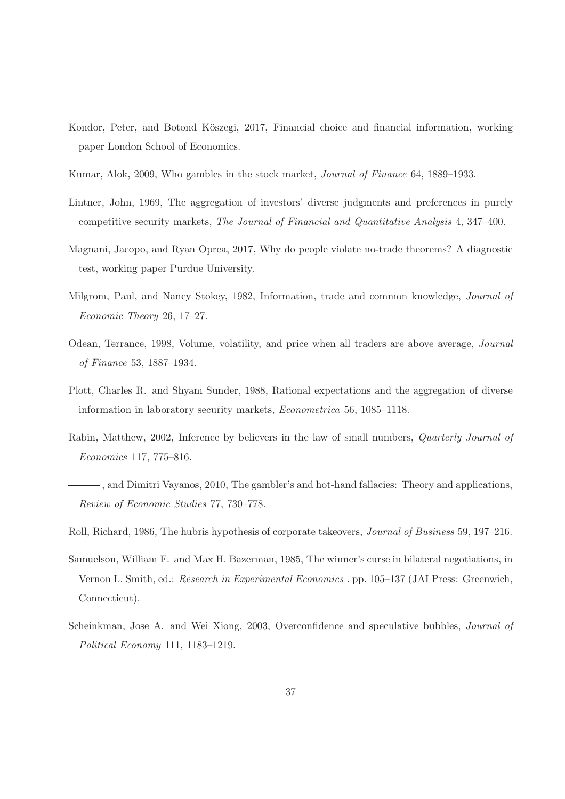- Kondor, Peter, and Botond Köszegi, 2017, Financial choice and financial information, working paper London School of Economics.
- Kumar, Alok, 2009, Who gambles in the stock market, Journal of Finance 64, 1889–1933.
- Lintner, John, 1969, The aggregation of investors' diverse judgments and preferences in purely competitive security markets, The Journal of Financial and Quantitative Analysis 4, 347–400.
- Magnani, Jacopo, and Ryan Oprea, 2017, Why do people violate no-trade theorems? A diagnostic test, working paper Purdue University.
- Milgrom, Paul, and Nancy Stokey, 1982, Information, trade and common knowledge, Journal of Economic Theory 26, 17–27.
- Odean, Terrance, 1998, Volume, volatility, and price when all traders are above average, Journal of Finance 53, 1887–1934.
- Plott, Charles R. and Shyam Sunder, 1988, Rational expectations and the aggregation of diverse information in laboratory security markets, Econometrica 56, 1085–1118.
- Rabin, Matthew, 2002, Inference by believers in the law of small numbers, Quarterly Journal of Economics 117, 775–816.
- , and Dimitri Vayanos, 2010, The gambler's and hot-hand fallacies: Theory and applications, Review of Economic Studies 77, 730–778.
- Roll, Richard, 1986, The hubris hypothesis of corporate takeovers, Journal of Business 59, 197–216.
- Samuelson, William F. and Max H. Bazerman, 1985, The winner's curse in bilateral negotiations, in Vernon L. Smith, ed.: Research in Experimental Economics . pp. 105–137 (JAI Press: Greenwich, Connecticut).
- Scheinkman, Jose A. and Wei Xiong, 2003, Overconfidence and speculative bubbles, Journal of Political Economy 111, 1183–1219.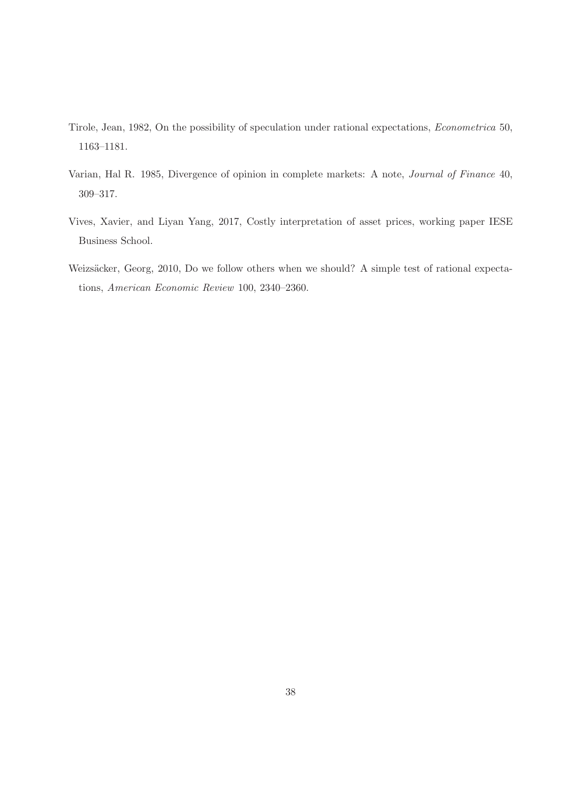- Tirole, Jean, 1982, On the possibility of speculation under rational expectations, Econometrica 50, 1163–1181.
- Varian, Hal R. 1985, Divergence of opinion in complete markets: A note, Journal of Finance 40, 309–317.
- Vives, Xavier, and Liyan Yang, 2017, Costly interpretation of asset prices, working paper IESE Business School.
- Weizsäcker, Georg, 2010, Do we follow others when we should? A simple test of rational expectations, American Economic Review 100, 2340–2360.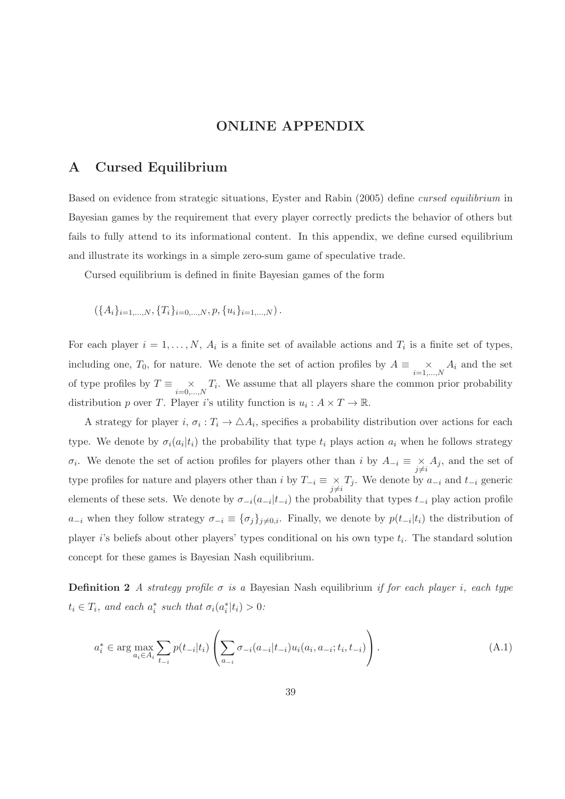## ONLINE APPENDIX

## A Cursed Equilibrium

Based on evidence from strategic situations, Eyster and Rabin (2005) define cursed equilibrium in Bayesian games by the requirement that every player correctly predicts the behavior of others but fails to fully attend to its informational content. In this appendix, we define cursed equilibrium and illustrate its workings in a simple zero-sum game of speculative trade.

Cursed equilibrium is defined in finite Bayesian games of the form

 $({A_i}_{i=1,...,N}, {T_i}_{i=0,...,N}, p, {u_i}_{i=1,...,N}).$ 

For each player  $i = 1, ..., N$ ,  $A_i$  is a finite set of available actions and  $T_i$  is a finite set of types, including one,  $T_0$ , for nature. We denote the set of action profiles by  $A \equiv \underset{i=1,...,N}{\times} A_i$  and the set of type profiles by  $T \equiv \underset{i=0,...,N}{\times} T_i$ . We assume that all players share the common prior probability distribution p over T. Player i's utility function is  $u_i : A \times T \to \mathbb{R}$ .

A strategy for player  $i, \sigma_i : T_i \to \Delta A_i$ , specifies a probability distribution over actions for each type. We denote by  $\sigma_i(a_i|t_i)$  the probability that type  $t_i$  plays action  $a_i$  when he follows strategy  $\sigma_i$ . We denote the set of action profiles for players other than i by  $A_{-i} \equiv \underset{j \neq i}{\times} A_j$ , and the set of type profiles for nature and players other than i by  $T_{-i} \equiv \underset{j \neq i}{\times} T_j$ . We denote by  $a_{-i}$  and  $t_{-i}$  generic elements of these sets. We denote by  $\sigma_{-i}(a_{-i}|t_{-i})$  the probability that types  $t_{-i}$  play action profile  $a_{-i}$  when they follow strategy  $\sigma_{-i} \equiv {\{\sigma_j\}}_{j\neq 0,i}$ . Finally, we denote by  $p(t_{-i}|t_i)$  the distribution of player *i*'s beliefs about other players' types conditional on his own type  $t_i$ . The standard solution concept for these games is Bayesian Nash equilibrium.

Definition 2 A strategy profile  $\sigma$  is a Bayesian Nash equilibrium if for each player i, each type  $t_i \in T_i$ , and each  $a_i^*$  such that  $\sigma_i(a_i^*|t_i) > 0$ :

$$
a_i^* \in \arg\max_{a_i \in A_i} \sum_{t_{-i}} p(t_{-i}|t_i) \left( \sum_{a_{-i}} \sigma_{-i}(a_{-i}|t_{-i}) u_i(a_i, a_{-i}; t_i, t_{-i}) \right).
$$
 (A.1)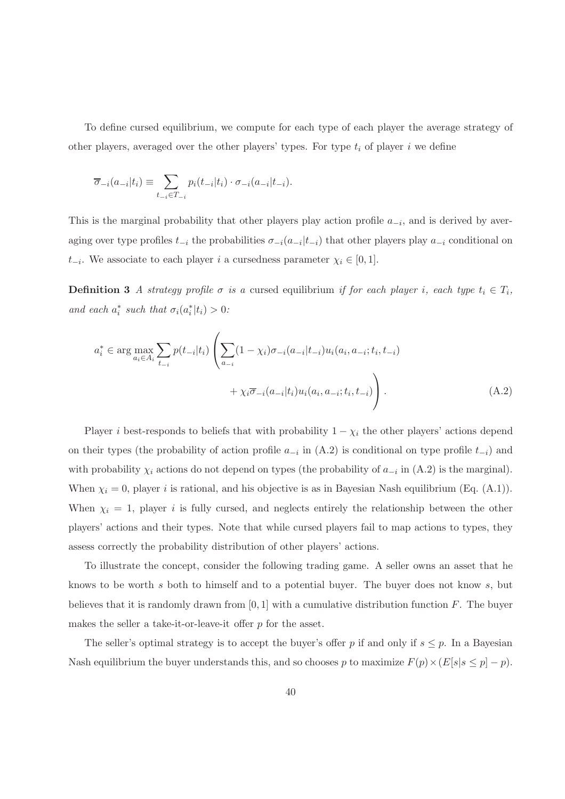To define cursed equilibrium, we compute for each type of each player the average strategy of other players, averaged over the other players' types. For type  $t_i$  of player i we define

$$
\overline{\sigma}_{-i}(a_{-i}|t_i) \equiv \sum_{t_{-i} \in T_{-i}} p_i(t_{-i}|t_i) \cdot \sigma_{-i}(a_{-i}|t_{-i}).
$$

This is the marginal probability that other players play action profile  $a_{-i}$ , and is derived by averaging over type profiles  $t_{-i}$  the probabilities  $\sigma_{-i}(a_{-i}|t_{-i})$  that other players play  $a_{-i}$  conditional on  $t_{-i}$ . We associate to each player *i* a cursedness parameter  $\chi_i$  ∈ [0, 1].

**Definition 3** A strategy profile  $\sigma$  is a cursed equilibrium if for each player i, each type  $t_i \in T_i$ , and each  $a_i^*$  such that  $\sigma_i(a_i^*|t_i) > 0$ :

$$
a_i^* \in \arg \max_{a_i \in A_i} \sum_{t_{-i}} p(t_{-i}|t_i) \left( \sum_{a_{-i}} (1 - \chi_i) \sigma_{-i}(a_{-i}|t_{-i}) u_i(a_i, a_{-i}; t_i, t_{-i}) + \chi_i \overline{\sigma}_{-i}(a_{-i}|t_i) u_i(a_i, a_{-i}; t_i, t_{-i}) \right).
$$
(A.2)

Player *i* best-responds to beliefs that with probability  $1 - \chi_i$  the other players' actions depend on their types (the probability of action profile  $a_{-i}$  in (A.2) is conditional on type profile  $t_{-i}$ ) and with probability  $\chi_i$  actions do not depend on types (the probability of  $a_{-i}$  in (A.2) is the marginal). When  $\chi_i = 0$ , player *i* is rational, and his objective is as in Bayesian Nash equilibrium (Eq. (A.1)). When  $\chi_i = 1$ , player i is fully cursed, and neglects entirely the relationship between the other players' actions and their types. Note that while cursed players fail to map actions to types, they assess correctly the probability distribution of other players' actions.

To illustrate the concept, consider the following trading game. A seller owns an asset that he knows to be worth s both to himself and to a potential buyer. The buyer does not know s, but believes that it is randomly drawn from  $[0, 1]$  with a cumulative distribution function F. The buyer makes the seller a take-it-or-leave-it offer p for the asset.

The seller's optimal strategy is to accept the buyer's offer p if and only if  $s \leq p$ . In a Bayesian Nash equilibrium the buyer understands this, and so chooses p to maximize  $F(p) \times (E[s|s \le p] - p)$ .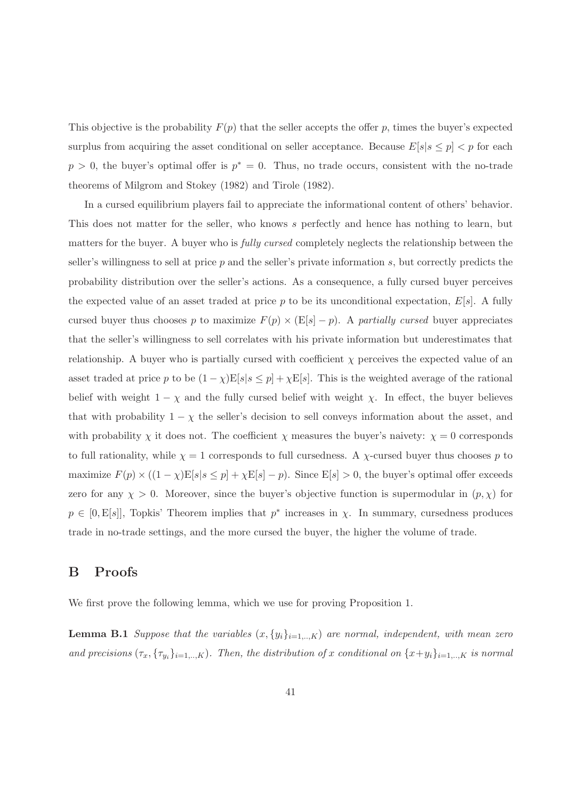This objective is the probability  $F(p)$  that the seller accepts the offer p, times the buyer's expected surplus from acquiring the asset conditional on seller acceptance. Because  $E[s|s \leq p] < p$  for each  $p > 0$ , the buyer's optimal offer is  $p^* = 0$ . Thus, no trade occurs, consistent with the no-trade theorems of Milgrom and Stokey (1982) and Tirole (1982).

In a cursed equilibrium players fail to appreciate the informational content of others' behavior. This does not matter for the seller, who knows s perfectly and hence has nothing to learn, but matters for the buyer. A buyer who is *fully cursed* completely neglects the relationship between the seller's willingness to sell at price  $p$  and the seller's private information  $s$ , but correctly predicts the probability distribution over the seller's actions. As a consequence, a fully cursed buyer perceives the expected value of an asset traded at price p to be its unconditional expectation,  $E[s]$ . A fully cursed buyer thus chooses p to maximize  $F(p) \times (E[s] - p)$ . A partially cursed buyer appreciates that the seller's willingness to sell correlates with his private information but underestimates that relationship. A buyer who is partially cursed with coefficient  $\chi$  perceives the expected value of an asset traded at price p to be  $(1 - \chi)E[s] \leq p] + \chi E[s]$ . This is the weighted average of the rational belief with weight  $1 - \chi$  and the fully cursed belief with weight  $\chi$ . In effect, the buyer believes that with probability  $1 - \chi$  the seller's decision to sell conveys information about the asset, and with probability  $\chi$  it does not. The coefficient  $\chi$  measures the buyer's naivety:  $\chi = 0$  corresponds to full rationality, while  $\chi = 1$  corresponds to full cursedness. A  $\chi$ -cursed buyer thus chooses p to maximize  $F(p) \times ((1 - \chi)E[s] \leq p] + \chi E[s] - p)$ . Since  $E[s] > 0$ , the buyer's optimal offer exceeds zero for any  $\chi > 0$ . Moreover, since the buyer's objective function is supermodular in  $(p, \chi)$  for  $p \in [0, E[s]]$ , Topkis' Theorem implies that  $p^*$  increases in  $\chi$ . In summary, cursedness produces trade in no-trade settings, and the more cursed the buyer, the higher the volume of trade.

## B Proofs

We first prove the following lemma, which we use for proving Proposition 1.

**Lemma B.1** Suppose that the variables  $(x, \{y_i\}_{i=1,..,K})$  are normal, independent, with mean zero and precisions  $(\tau_x, \{\tau_{y_i}\}_{i=1,..,K})$ . Then, the distribution of x conditional on  $\{x+y_i\}_{i=1,..,K}$  is normal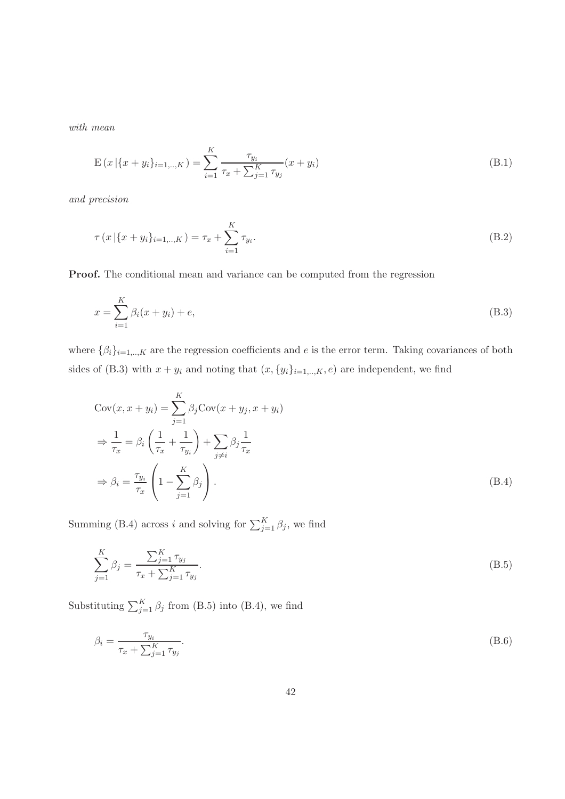with mean

$$
E(x | \{x + y_i\}_{i=1,\dots,K}) = \sum_{i=1}^{K} \frac{\tau_{y_i}}{\tau_x + \sum_{j=1}^{K} \tau_{y_j}} (x + y_i)
$$
(B.1)

and precision

$$
\tau(x | \{x + y_i\}_{i=1,..,K}) = \tau_x + \sum_{i=1}^{K} \tau_{y_i}.
$$
\n(B.2)

Proof. The conditional mean and variance can be computed from the regression

$$
x = \sum_{i=1}^{K} \beta_i (x + y_i) + e,
$$
 (B.3)

where  $\{\beta_i\}_{i=1,..,K}$  are the regression coefficients and e is the error term. Taking covariances of both sides of (B.3) with  $x + y_i$  and noting that  $(x, \{y_i\}_{i=1,\dots,K}, e)$  are independent, we find

$$
Cov(x, x + y_i) = \sum_{j=1}^{K} \beta_j Cov(x + y_j, x + y_i)
$$
  
\n
$$
\Rightarrow \frac{1}{\tau_x} = \beta_i \left( \frac{1}{\tau_x} + \frac{1}{\tau_{y_i}} \right) + \sum_{j \neq i} \beta_j \frac{1}{\tau_x}
$$
  
\n
$$
\Rightarrow \beta_i = \frac{\tau_{y_i}}{\tau_x} \left( 1 - \sum_{j=1}^{K} \beta_j \right).
$$
 (B.4)

Summing (B.4) across *i* and solving for  $\sum_{j=1}^{K} \beta_j$ , we find

$$
\sum_{j=1}^{K} \beta_j = \frac{\sum_{j=1}^{K} \tau_{y_j}}{\tau_x + \sum_{j=1}^{K} \tau_{y_j}}.
$$
\n(B.5)

Substituting  $\sum_{j=1}^{K} \beta_j$  from (B.5) into (B.4), we find

$$
\beta_i = \frac{\tau_{y_i}}{\tau_x + \sum_{j=1}^K \tau_{y_j}}.\tag{B.6}
$$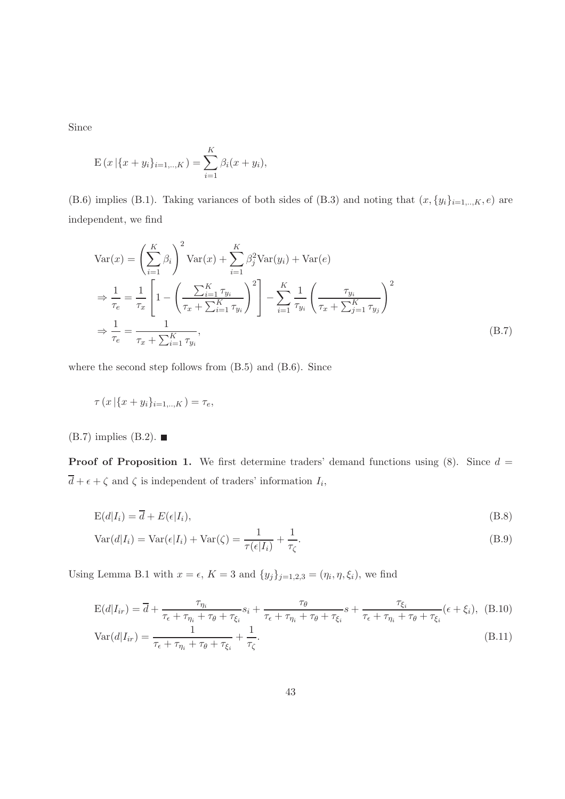Since

$$
E(x | {x + y_i}_{i=1,..,K}) = \sum_{i=1}^{K} \beta_i (x + y_i),
$$

(B.6) implies (B.1). Taking variances of both sides of (B.3) and noting that  $(x, \{y_i\}_{i=1,..,K}, e)$  are independent, we find

$$
\begin{split} \text{Var}(x) &= \left(\sum_{i=1}^{K} \beta_i\right)^2 \text{Var}(x) + \sum_{i=1}^{K} \beta_j^2 \text{Var}(y_i) + \text{Var}(e) \\ &\Rightarrow \frac{1}{\tau_e} = \frac{1}{\tau_x} \left[1 - \left(\frac{\sum_{i=1}^{K} \tau_{y_i}}{\tau_x + \sum_{i=1}^{K} \tau_{y_i}}\right)^2\right] - \sum_{i=1}^{K} \frac{1}{\tau_{y_i}} \left(\frac{\tau_{y_i}}{\tau_x + \sum_{j=1}^{K} \tau_{y_j}}\right)^2 \\ &\Rightarrow \frac{1}{\tau_e} = \frac{1}{\tau_x + \sum_{i=1}^{K} \tau_{y_i}}, \end{split} \tag{B.7}
$$

where the second step follows from (B.5) and (B.6). Since

$$
\tau(x | \{x + y_i\}_{i=1,..,K}) = \tau_e,
$$

 $(B.7)$  implies  $(B.2)$ .

**Proof of Proposition 1.** We first determine traders' demand functions using  $(8)$ . Since  $d =$  $d + \epsilon + \zeta$  and  $\zeta$  is independent of traders' information  $I_i$ ,

$$
E(d|I_i) = \overline{d} + E(\epsilon|I_i),
$$
\n(B.8)

$$
Var(d|I_i) = Var(\epsilon|I_i) + Var(\zeta) = \frac{1}{\tau(\epsilon|I_i)} + \frac{1}{\tau_{\zeta}}.
$$
\n(B.9)

Using Lemma B.1 with  $x = \epsilon$ ,  $K = 3$  and  $\{y_j\}_{j=1,2,3} = (\eta_i, \eta, \xi_i)$ , we find

$$
E(d|I_{ir}) = \overline{d} + \frac{\tau_{\eta_i}}{\tau_{\epsilon} + \tau_{\eta_i} + \tau_{\theta} + \tau_{\xi_i}} s_i + \frac{\tau_{\theta}}{\tau_{\epsilon} + \tau_{\eta_i} + \tau_{\theta} + \tau_{\xi_i}} s + \frac{\tau_{\xi_i}}{\tau_{\epsilon} + \tau_{\eta_i} + \tau_{\theta} + \tau_{\xi_i}} (\epsilon + \xi_i), \quad (B.10)
$$

$$
\text{Var}(d|I_{ir}) = \frac{1}{\tau_{\epsilon} + \tau_{\eta_i} + \tau_{\theta} + \tau_{\xi_i}} + \frac{1}{\tau_{\zeta}}.\tag{B.11}
$$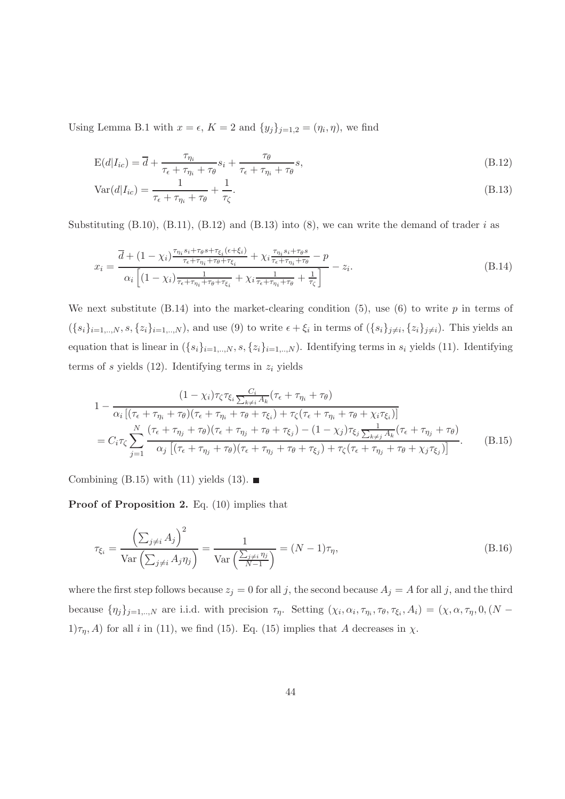Using Lemma B.1 with  $x = \epsilon$ ,  $K = 2$  and  $\{y_j\}_{j=1,2} = (\eta_i, \eta)$ , we find

$$
E(d|I_{ic}) = \overline{d} + \frac{\tau_{\eta_i}}{\tau_{\epsilon} + \tau_{\eta_i} + \tau_{\theta}} s_i + \frac{\tau_{\theta}}{\tau_{\epsilon} + \tau_{\eta_i} + \tau_{\theta}} s,
$$
\n(B.12)

$$
Var(d|I_{ic}) = \frac{1}{\tau_{\epsilon} + \tau_{\eta_i} + \tau_{\theta}} + \frac{1}{\tau_{\zeta}}.
$$
\n(B.13)

Substituting  $(B.10)$ ,  $(B.11)$ ,  $(B.12)$  and  $(B.13)$  into  $(8)$ , we can write the demand of trader i as

$$
x_i = \frac{\overline{d} + (1 - \chi_i) \frac{\tau_{\eta_i} s_i + \tau_{\theta} s + \tau_{\xi_i} (\epsilon + \xi_i)}{\tau_{\epsilon} + \tau_{\eta_i} + \tau_{\theta} + \tau_{\xi_i}} + \chi_i \frac{\tau_{\eta_i} s_i + \tau_{\theta} s}{\tau_{\epsilon} + \tau_{\eta_i} + \tau_{\theta}} - p}{\alpha_i \left[ (1 - \chi_i) \frac{1}{\tau_{\epsilon} + \tau_{\eta_i} + \tau_{\theta} + \tau_{\xi_i}} + \chi_i \frac{1}{\tau_{\epsilon} + \tau_{\eta_i} + \tau_{\theta}} + \frac{1}{\tau_{\zeta}} \right]} - z_i.
$$
\n(B.14)

We next substitute  $(B.14)$  into the market-clearing condition  $(5)$ , use  $(6)$  to write p in terms of  $(\{s_i\}_{i=1,..,N}, s, \{z_i\}_{i=1,..,N})$ , and use (9) to write  $\epsilon + \xi_i$  in terms of  $(\{s_i\}_{j\neq i}, \{z_i\}_{j\neq i})$ . This yields an equation that is linear in  $({s_i}_{i=1,..,N}, s, {z_i}_{i=1,..,N})$ . Identifying terms in  $s_i$  yields (11). Identifying terms of s yields  $(12)$ . Identifying terms in  $z_i$  yields

$$
1 - \frac{(1 - \chi_i)\tau_{\zeta}\tau_{\xi_i}\frac{C_i}{\sum_{k \neq i} A_k}(\tau_{\epsilon} + \tau_{\eta_i} + \tau_{\theta})}{\alpha_i\left[(\tau_{\epsilon} + \tau_{\eta_i} + \tau_{\theta})(\tau_{\epsilon} + \tau_{\eta_i} + \tau_{\theta} + \tau_{\xi_i}) + \tau_{\zeta}(\tau_{\epsilon} + \tau_{\eta_i} + \tau_{\theta} + \chi_i\tau_{\xi_i})\right]}
$$
  
=  $C_i\tau_{\zeta}\sum_{j=1}^N \frac{(\tau_{\epsilon} + \tau_{\eta_j} + \tau_{\theta})(\tau_{\epsilon} + \tau_{\eta_j} + \tau_{\theta} + \tau_{\xi_j}) - (1 - \chi_j)\tau_{\xi_j}\frac{1}{\sum_{k \neq j} A_k}(\tau_{\epsilon} + \tau_{\eta_j} + \tau_{\theta})}{\alpha_j\left[(\tau_{\epsilon} + \tau_{\eta_j} + \tau_{\theta})(\tau_{\epsilon} + \tau_{\eta_j} + \tau_{\theta} + \tau_{\xi_j}) + \tau_{\zeta}(\tau_{\epsilon} + \tau_{\eta_j} + \tau_{\theta} + \chi_j\tau_{\xi_j})\right]}.$  (B.15)

Combining (B.15) with (11) yields (13).  $\blacksquare$ 

Proof of Proposition 2. Eq. (10) implies that

$$
\tau_{\xi_i} = \frac{\left(\sum_{j \neq i} A_j\right)^2}{\text{Var}\left(\sum_{j \neq i} A_j \eta_j\right)} = \frac{1}{\text{Var}\left(\frac{\sum_{j \neq i} \eta_j}{N-1}\right)} = (N-1)\tau_\eta,
$$
\n(B.16)

where the first step follows because  $z_j = 0$  for all j, the second because  $A_j = A$  for all j, and the third because  $\{\eta_j\}_{j=1,\dots,N}$  are i.i.d. with precision  $\tau_\eta$ . Setting  $(\chi_i, \alpha_i, \tau_{\eta_i}, \tau_\theta, \tau_{\xi_i}, A_i) = (\chi, \alpha, \tau_\eta, 0, (N 1/\tau_{\eta}$ , A) for all i in (11), we find (15). Eq. (15) implies that A decreases in  $\chi$ .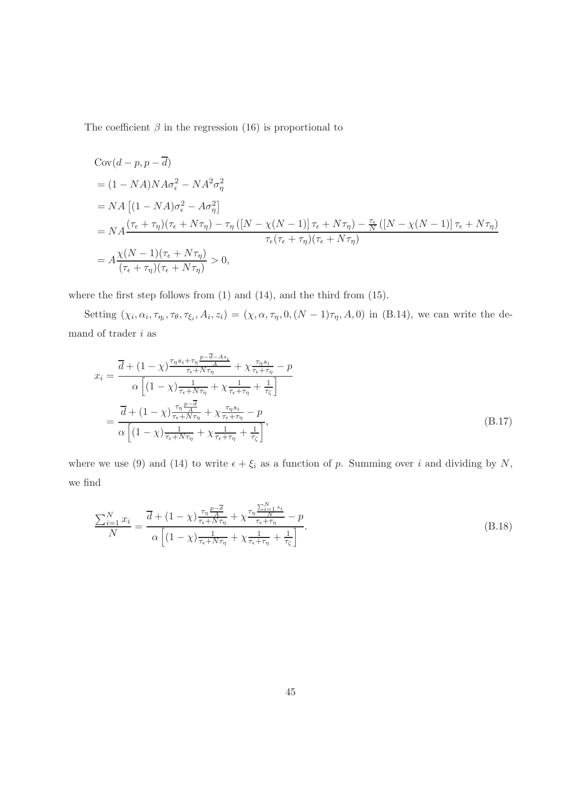The coefficient  $\beta$  in the regression (16) is proportional to

$$
Cov(d - p, p - \overline{d})
$$
  
=  $(1 - NA)NA\sigma_{\epsilon}^{2} - NA^{2}\sigma_{\eta}^{2}$   
=  $NA [(1 - NA)\sigma_{\epsilon}^{2} - A\sigma_{\eta}^{2}]$   
=  $NA \frac{(\tau_{\epsilon} + \tau_{\eta})(\tau_{\epsilon} + N\tau_{\eta}) - \tau_{\eta} ([N - \chi(N - 1)] \tau_{\epsilon} + N\tau_{\eta}) - \frac{\tau_{\epsilon}}{N} ([N - \chi(N - 1)] \tau_{\epsilon} + N\tau_{\eta})}{\tau_{\epsilon} (\tau_{\epsilon} + \tau_{\eta})(\tau_{\epsilon} + N\tau_{\eta})}$   
=  $A \frac{\chi(N - 1)(\tau_{\epsilon} + N\tau_{\eta})}{(\tau_{\epsilon} + \tau_{\eta})(\tau_{\epsilon} + N\tau_{\eta})} > 0,$ 

where the first step follows from  $(1)$  and  $(14)$ , and the third from  $(15)$ .

Setting  $(\chi_i, \alpha_i, \tau_{\eta_i}, \tau_{\theta}, \tau_{\xi_i}, A_i, z_i) = (\chi, \alpha, \tau_{\eta}, 0, (N-1)\tau_{\eta}, A, 0)$  in (B.14), we can write the demand of trader  $i$  as

$$
x_{i} = \frac{\overline{d} + (1 - \chi)^{\frac{\tau_{\eta} s_{i} + \tau_{\eta}}{r_{\epsilon} + N\tau_{\eta}} + \chi \frac{\tau_{\eta} s_{i}}{\tau_{\epsilon} + \tau_{\eta}} - p}}{\alpha \left[ (1 - \chi)^{\frac{1}{\tau_{\epsilon} + N\tau_{\eta}} + \chi \frac{1}{\tau_{\epsilon} + \tau_{\eta}} + \frac{1}{\tau_{\zeta}}} \right]}
$$

$$
= \frac{\overline{d} + (1 - \chi)^{\frac{\tau_{\eta}}{r_{\epsilon} + N\tau_{\eta}} + \chi \frac{\tau_{\eta} s_{i}}{\tau_{\epsilon} + \tau_{\eta}} - p}}{\alpha \left[ (1 - \chi)^{\frac{1}{\tau_{\epsilon} + N\tau_{\eta}} + \chi \frac{1}{\tau_{\epsilon} + \tau_{\eta}} + \frac{1}{\tau_{\zeta}}} \right]},
$$
(B.17)

where we use (9) and (14) to write  $\epsilon + \xi_i$  as a function of p. Summing over i and dividing by N, we find

$$
\frac{\sum_{i=1}^{N} x_i}{N} = \frac{\overline{d} + (1 - \chi) \frac{\tau_\eta \frac{p - \overline{d}}{\tau_\epsilon + N\tau_\eta}}{\tau_\epsilon + N\tau_\eta} + \chi \frac{\tau_\eta \frac{\sum_{i=1}^{N} s_i}{N}}{\tau_\epsilon + \tau_\eta} - p}{\alpha \left[ (1 - \chi) \frac{1}{\tau_\epsilon + N\tau_\eta} + \chi \frac{1}{\tau_\epsilon + \tau_\eta} + \frac{1}{\tau_\zeta} \right]}.
$$
\n(B.18)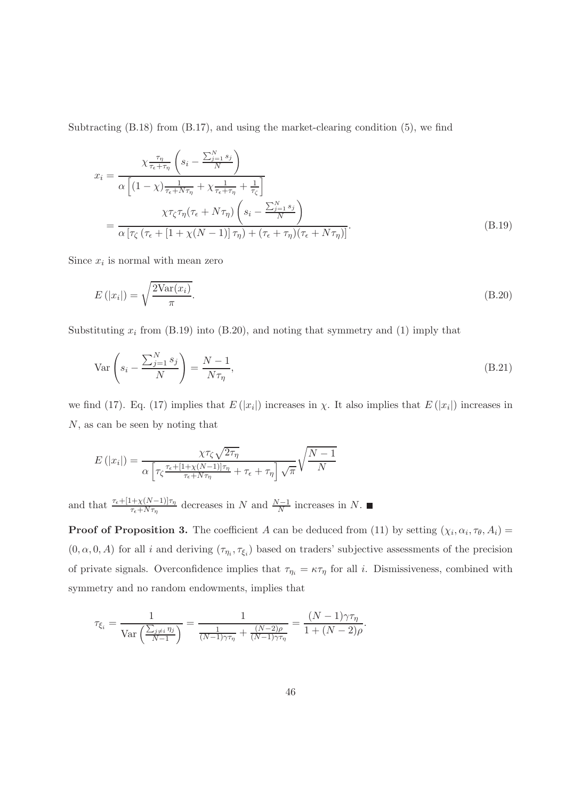Subtracting (B.18) from (B.17), and using the market-clearing condition (5), we find

$$
x_{i} = \frac{\chi \frac{\tau_{\eta}}{\tau_{\epsilon} + \tau_{\eta}} \left( s_{i} - \frac{\sum_{j=1}^{N} s_{j}}{N} \right)}{\alpha \left[ (1 - \chi) \frac{1}{\tau_{\epsilon} + N \tau_{\eta}} + \chi \frac{1}{\tau_{\epsilon} + \tau_{\eta}} + \frac{1}{\tau_{\zeta}} \right]}
$$

$$
= \frac{\chi \tau_{\zeta} \tau_{\eta} (\tau_{\epsilon} + N \tau_{\eta}) \left( s_{i} - \frac{\sum_{j=1}^{N} s_{j}}{N} \right)}{\alpha \left[ \tau_{\zeta} \left( \tau_{\epsilon} + \left[ 1 + \chi(N-1) \right] \tau_{\eta} \right) + \left( \tau_{\epsilon} + \tau_{\eta} \right) \left( \tau_{\epsilon} + N \tau_{\eta} \right) \right]}.
$$
(B.19)

Since  $x_i$  is normal with mean zero

$$
E\left(|x_i|\right) = \sqrt{\frac{2\text{Var}(x_i)}{\pi}}.\tag{B.20}
$$

Substituting  $x_i$  from (B.19) into (B.20), and noting that symmetry and (1) imply that

$$
\text{Var}\left(s_i - \frac{\sum_{j=1}^{N} s_j}{N}\right) = \frac{N-1}{N\tau_\eta},\tag{B.21}
$$

we find (17). Eq. (17) implies that  $E(|x_i|)$  increases in  $\chi$ . It also implies that  $E(|x_i|)$  increases in N, as can be seen by noting that

$$
E(|x_i|) = \frac{\chi \tau_{\zeta} \sqrt{2\tau_{\eta}}}{\alpha \left[ \tau_{\zeta} \frac{\tau_{\epsilon} + [1 + \chi(N-1)]\tau_{\eta}}{\tau_{\epsilon} + N\tau_{\eta}} + \tau_{\epsilon} + \tau_{\eta} \right] \sqrt{\pi}} \sqrt{\frac{N-1}{N}}
$$

and that  $\frac{\tau_{\epsilon} + [1 + \chi(N-1)]\tau_{\eta}}{\tau_{\epsilon} + N\tau_{\eta}}$  decreases in N and  $\frac{N-1}{N}$  increases in N.

**Proof of Proposition 3.** The coefficient A can be deduced from (11) by setting  $(\chi_i, \alpha_i, \tau_\theta, A_i)$  =  $(0, \alpha, 0, A)$  for all i and deriving  $(\tau_{\eta_i}, \tau_{\xi_i})$  based on traders' subjective assessments of the precision of private signals. Overconfidence implies that  $\tau_{\eta_i} = \kappa \tau_{\eta}$  for all *i*. Dismissiveness, combined with symmetry and no random endowments, implies that

$$
\tau_{\xi_i} = \frac{1}{\text{Var}\left(\frac{\sum_{j\neq i} \eta_j}{N-1}\right)} = \frac{1}{\frac{1}{(N-1)\gamma\tau_\eta} + \frac{(N-2)\rho}{(N-1)\gamma\tau_\eta}} = \frac{(N-1)\gamma\tau_\eta}{1 + (N-2)\rho}.
$$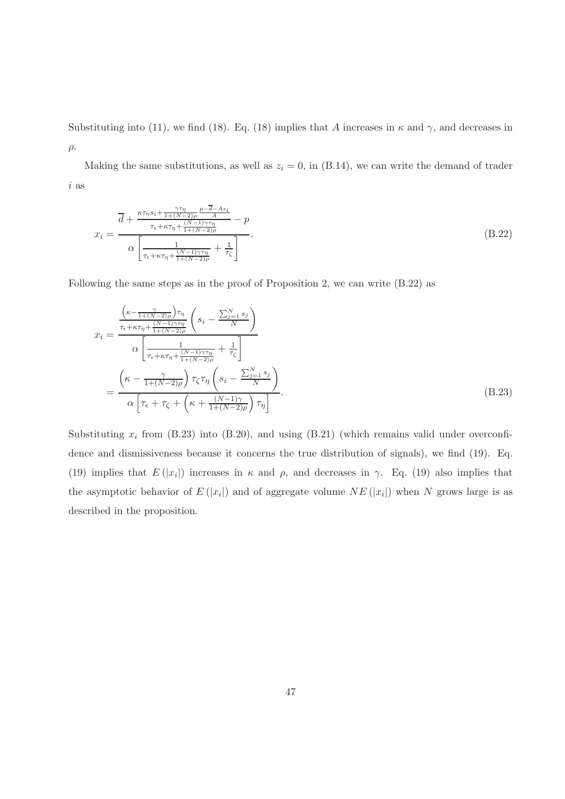Substituting into (11), we find (18). Eq. (18) implies that A increases in  $\kappa$  and  $\gamma$ , and decreases in  $ρ.$ 

Making the same substitutions, as well as  $z_i = 0$ , in (B.14), we can write the demand of trader i as

$$
x_{i} = \frac{\overline{d} + \frac{\kappa \tau_{\eta} s_{i} + \frac{\gamma \tau_{\eta}}{1 + (N-2)\rho} \frac{p - \overline{d} - As_{i}}{A}}{\tau_{\epsilon} + \kappa \tau_{\eta} + \frac{(N-1)\gamma \tau_{\eta}}{1 + (N-2)\rho}} - p}{\alpha \left[ \frac{1}{\tau_{\epsilon} + \kappa \tau_{\eta} + \frac{(N-1)\gamma \tau_{\eta}}{1 + (N-2)\rho}} + \frac{1}{\tau_{\zeta}} \right]}.
$$
(B.22)

Following the same steps as in the proof of Proposition 2, we can write (B.22) as

$$
x_{i} = \frac{\frac{\left(\kappa - \frac{\gamma}{1 + (N-2)\rho}\right)\tau_{\eta}}{\tau_{\epsilon} + \kappa\tau_{\eta} + \frac{(N-1)\gamma\tau_{\eta}}{1 + (N-2)\rho}}\left(s_{i} - \frac{\sum_{j=1}^{N}s_{j}}{N}\right)}{\alpha\left[\frac{1}{\tau_{\epsilon} + \kappa\tau_{\eta} + \frac{(N-1)\gamma\tau_{\eta}}{1 + (N-2)\rho}} + \frac{1}{\tau_{\zeta}}\right]}
$$

$$
= \frac{\left(\kappa - \frac{\gamma}{1 + (N-2)\rho}\right)\tau_{\zeta}\tau_{\eta}\left(s_{i} - \frac{\sum_{j=1}^{N}s_{j}}{N}\right)}{\alpha\left[\tau_{\epsilon} + \tau_{\zeta} + \left(\kappa + \frac{(N-1)\gamma}{1 + (N-2)\rho}\right)\tau_{\eta}\right]}.
$$
(B.23)

Substituting  $x_i$  from (B.23) into (B.20), and using (B.21) (which remains valid under overconfidence and dismissiveness because it concerns the true distribution of signals), we find (19). Eq. (19) implies that  $E(|x_i|)$  increases in  $\kappa$  and  $\rho$ , and decreases in  $\gamma$ . Eq. (19) also implies that the asymptotic behavior of  $E(|x_i|)$  and of aggregate volume  $NE(|x_i|)$  when N grows large is as described in the proposition.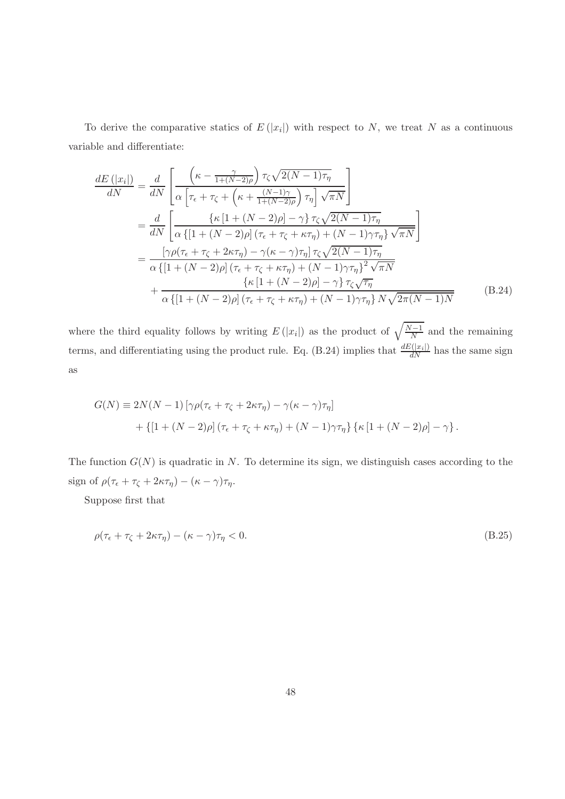To derive the comparative statics of  $E(|x_i|)$  with respect to N, we treat N as a continuous variable and differentiate:

$$
\frac{dE(|x_i|)}{dN} = \frac{d}{dN} \left[ \frac{\left(\kappa - \frac{\gamma}{1 + (N-2)\rho}\right) \tau_{\zeta} \sqrt{2(N-1)\tau_{\eta}}}{\alpha \left[\tau_{\epsilon} + \tau_{\zeta} + \left(\kappa + \frac{(N-1)\gamma}{1 + (N-2)\rho}\right) \tau_{\eta}\right] \sqrt{\pi N}} \right]
$$
\n
$$
= \frac{d}{dN} \left[ \frac{\left\{\kappa \left[1 + (N-2)\rho\right] - \gamma\right\} \tau_{\zeta} \sqrt{2(N-1)\tau_{\eta}}}{\alpha \left\{\left[1 + (N-2)\rho\right] \left(\tau_{\epsilon} + \tau_{\zeta} + \kappa \tau_{\eta}\right) + (N-1)\gamma \tau_{\eta}\right\} \sqrt{\pi N}} \right]
$$
\n
$$
= \frac{\left[\gamma \rho (\tau_{\epsilon} + \tau_{\zeta} + 2\kappa \tau_{\eta}) - \gamma (\kappa - \gamma)\tau_{\eta}\right] \tau_{\zeta} \sqrt{2(N-1)\tau_{\eta}}}{\alpha \left\{\left[1 + (N-2)\rho\right] \left(\tau_{\epsilon} + \tau_{\zeta} + \kappa \tau_{\eta}\right) + (N-1)\gamma \tau_{\eta}\right\}^{2} \sqrt{\pi N}} \left\{ \kappa \left[1 + (N-2)\rho\right] - \gamma\right\} \tau_{\zeta} \sqrt{\tau_{\eta}} \right\}
$$
\n
$$
+ \frac{\left\{\kappa \left[1 + (N-2)\rho\right] - \gamma\right\} \tau_{\zeta} \sqrt{\tau_{\eta}}}{\alpha \left\{\left[1 + (N-2)\rho\right] \left(\tau_{\epsilon} + \tau_{\zeta} + \kappa \tau_{\eta}\right) + (N-1)\gamma \tau_{\eta}\right\} N \sqrt{2\pi (N-1)N}} \tag{B.24}
$$

where the third equality follows by writing  $E(|x_i|)$  as the product of  $\sqrt{\frac{N-1}{N}}$  and the remaining terms, and differentiating using the product rule. Eq. (B.24) implies that  $\frac{dE(|x_i|)}{dN}$  has the same sign as

$$
G(N) \equiv 2N(N-1) \left[ \gamma \rho (\tau_{\epsilon} + \tau_{\zeta} + 2\kappa \tau_{\eta}) - \gamma (\kappa - \gamma) \tau_{\eta} \right]
$$

$$
+ \left\{ \left[ 1 + (N-2)\rho \right] (\tau_{\epsilon} + \tau_{\zeta} + \kappa \tau_{\eta}) + (N-1) \gamma \tau_{\eta} \right\} \left\{ \kappa \left[ 1 + (N-2)\rho \right] - \gamma \right\}.
$$

The function  $G(N)$  is quadratic in N. To determine its sign, we distinguish cases according to the sign of  $\rho(\tau_{\epsilon} + \tau_{\zeta} + 2\kappa\tau_{\eta}) - (\kappa - \gamma)\tau_{\eta}$ .

Suppose first that

$$
\rho(\tau_{\epsilon} + \tau_{\zeta} + 2\kappa\tau_{\eta}) - (\kappa - \gamma)\tau_{\eta} < 0. \tag{B.25}
$$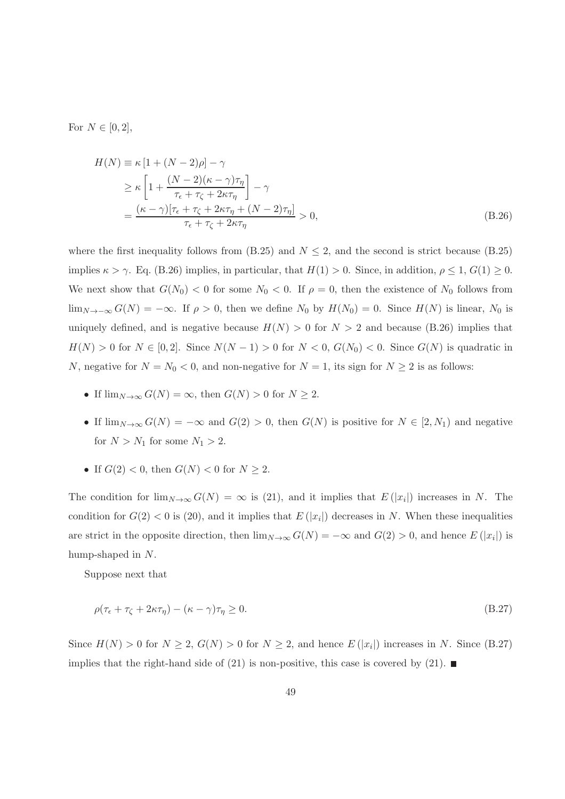For  $N \in [0, 2]$ ,

$$
H(N) \equiv \kappa \left[ 1 + (N - 2)\rho \right] - \gamma
$$
  
\n
$$
\geq \kappa \left[ 1 + \frac{(N - 2)(\kappa - \gamma)\tau_{\eta}}{\tau_{\epsilon} + \tau_{\zeta} + 2\kappa\tau_{\eta}} \right] - \gamma
$$
  
\n
$$
= \frac{(\kappa - \gamma)[\tau_{\epsilon} + \tau_{\zeta} + 2\kappa\tau_{\eta} + (N - 2)\tau_{\eta}]}{\tau_{\epsilon} + \tau_{\zeta} + 2\kappa\tau_{\eta}} > 0,
$$
\n(B.26)

where the first inequality follows from  $(B.25)$  and  $N \leq 2$ , and the second is strict because  $(B.25)$ implies  $\kappa > \gamma$ . Eq. (B.26) implies, in particular, that  $H(1) > 0$ . Since, in addition,  $\rho \leq 1$ ,  $G(1) \geq 0$ . We next show that  $G(N_0) < 0$  for some  $N_0 < 0$ . If  $\rho = 0$ , then the existence of  $N_0$  follows from  $\lim_{N\to-\infty} G(N) = -\infty$ . If  $\rho > 0$ , then we define  $N_0$  by  $H(N_0) = 0$ . Since  $H(N)$  is linear,  $N_0$  is uniquely defined, and is negative because  $H(N) > 0$  for  $N > 2$  and because (B.26) implies that  $H(N) > 0$  for  $N \in [0, 2]$ . Since  $N(N - 1) > 0$  for  $N < 0$ ,  $G(N_0) < 0$ . Since  $G(N)$  is quadratic in N, negative for  $N = N_0 < 0$ , and non-negative for  $N = 1$ , its sign for  $N \ge 2$  is as follows:

- If  $\lim_{N\to\infty} G(N) = \infty$ , then  $G(N) > 0$  for  $N \geq 2$ .
- If  $\lim_{N\to\infty} G(N) = -\infty$  and  $G(2) > 0$ , then  $G(N)$  is positive for  $N \in [2, N_1)$  and negative for  $N > N_1$  for some  $N_1 > 2$ .
- If  $G(2) < 0$ , then  $G(N) < 0$  for  $N \ge 2$ .

The condition for  $\lim_{N\to\infty} G(N) = \infty$  is (21), and it implies that  $E(|x_i|)$  increases in N. The condition for  $G(2) < 0$  is  $(20)$ , and it implies that  $E(|x_i|)$  decreases in N. When these inequalities are strict in the opposite direction, then  $\lim_{N\to\infty} G(N) = -\infty$  and  $G(2) > 0$ , and hence  $E(|x_i|)$  is hump-shaped in N.

Suppose next that

$$
\rho(\tau_{\epsilon} + \tau_{\zeta} + 2\kappa\tau_{\eta}) - (\kappa - \gamma)\tau_{\eta} \ge 0. \tag{B.27}
$$

Since  $H(N) > 0$  for  $N \ge 2$ ,  $G(N) > 0$  for  $N \ge 2$ , and hence  $E(|x_i|)$  increases in N. Since (B.27) implies that the right-hand side of (21) is non-positive, this case is covered by (21).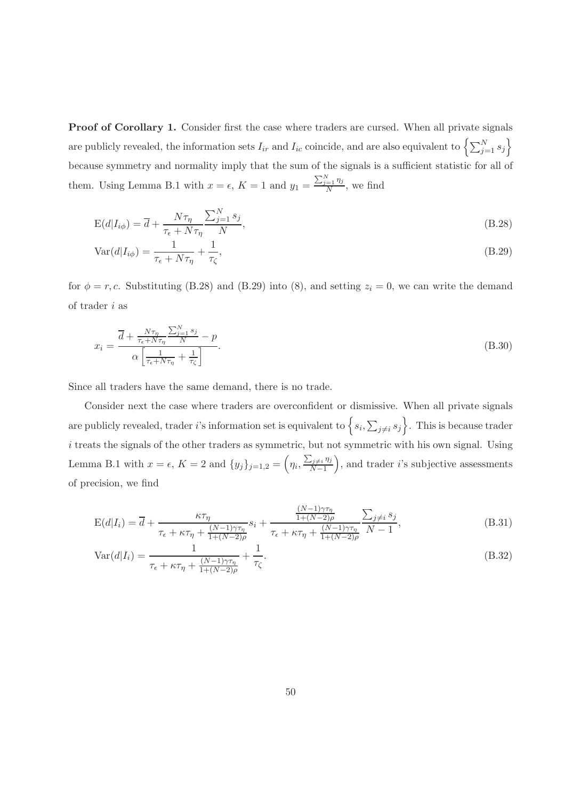Proof of Corollary 1. Consider first the case where traders are cursed. When all private signals are publicly revealed, the information sets  $I_{ir}$  and  $I_{ic}$  coincide, and are also equivalent to  $\left\{\sum_{j=1}^{N}s_j\right\}$ because symmetry and normality imply that the sum of the signals is a sufficient statistic for all of them. Using Lemma B.1 with  $x = \epsilon$ ,  $K = 1$  and  $y_1 = \frac{\sum_{j=1}^{N} \eta_j}{N}$  $\frac{=1 \eta}{N}$ , we find

$$
E(d|I_{i\phi}) = \overline{d} + \frac{N\tau_{\eta}}{\tau_{\epsilon} + N\tau_{\eta}} \frac{\sum_{j=1}^{N} s_j}{N},
$$
\n(B.28)

$$
Var(d|I_{i\phi}) = \frac{1}{\tau_{\epsilon} + N\tau_{\eta}} + \frac{1}{\tau_{\zeta}},
$$
\n(B.29)

for  $\phi = r, c$ . Substituting (B.28) and (B.29) into (8), and setting  $z_i = 0$ , we can write the demand of trader  $i$  as

$$
x_i = \frac{\overline{d} + \frac{N\tau_\eta}{\tau_\epsilon + N\tau_\eta} \frac{\sum_{j=1}^N s_j}{N} - p}{\alpha \left[ \frac{1}{\tau_\epsilon + N\tau_\eta} + \frac{1}{\tau_\zeta} \right]}.
$$
(B.30)

Since all traders have the same demand, there is no trade.

Consider next the case where traders are overconfident or dismissive. When all private signals are publicly revealed, trader i's information set is equivalent to  $\{s_i, \sum_{j\neq i} s_j\}$ . This is because trader  $i$  treats the signals of the other traders as symmetric, but not symmetric with his own signal. Using Lemma B.1 with  $x = \epsilon$ ,  $K = 2$  and  $\{y_j\}_{j=1,2} = \left(\eta_i, \frac{\sum_{j\neq i} \eta_j}{N-1}\right)$  $\left(\frac{\sum_{j\neq i}\eta_j}{N-1}\right)$ , and trader *i*'s subjective assessments of precision, we find

$$
E(d|I_i) = \overline{d} + \frac{\kappa \tau_\eta}{\tau_\epsilon + \kappa \tau_\eta + \frac{(N-1)\gamma \tau_\eta}{1 + (N-2)\rho}} s_i + \frac{\frac{(N-1)\gamma \tau_\eta}{1 + (N-2)\rho}}{\tau_\epsilon + \kappa \tau_\eta + \frac{(N-1)\gamma \tau_\eta}{1 + (N-2)\rho}} \frac{\sum_{j \neq i} s_j}{N-1},
$$
(B.31)

$$
\text{Var}(d|I_i) = \frac{1}{\tau_{\epsilon} + \kappa \tau_{\eta} + \frac{(N-1)\gamma \tau_{\eta}}{1 + (N-2)\rho}} + \frac{1}{\tau_{\zeta}}.\tag{B.32}
$$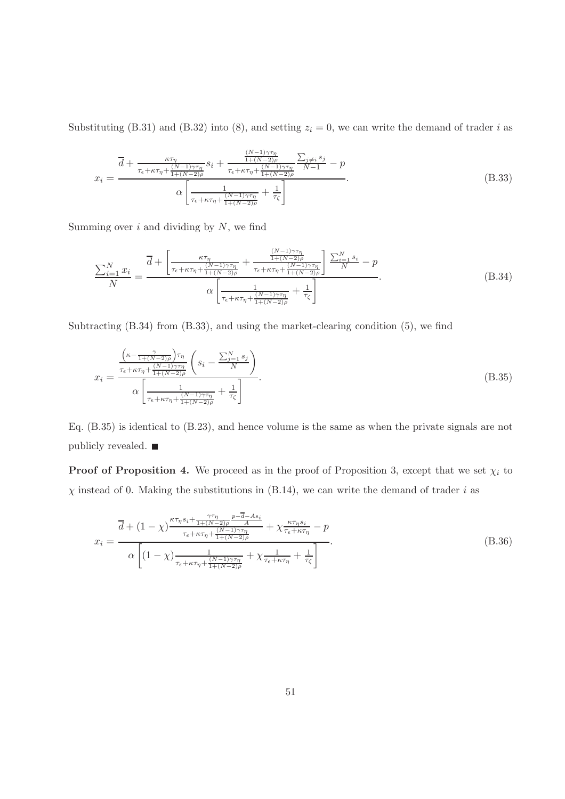Substituting (B.31) and (B.32) into (8), and setting  $z<sub>i</sub> = 0$ , we can write the demand of trader i as

$$
x_i = \frac{\overline{d} + \frac{\kappa \tau_{\eta}}{\tau_{\epsilon} + \kappa \tau_{\eta} + \frac{(N-1)\gamma \tau_{\eta}}{1 + (N-2)\rho}} s_i + \frac{\frac{(N-1)\gamma \tau_{\eta}}{1 + (N-2)\rho}}{\tau_{\epsilon} + \kappa \tau_{\eta} + \frac{(N-1)\gamma \tau_{\eta}}{1 + (N-2)\rho}} \frac{\sum_{j \neq i} s_j}{N-1} - p}{\alpha \left[ \frac{1}{\tau_{\epsilon} + \kappa \tau_{\eta} + \frac{(N-1)\gamma \tau_{\eta}}{1 + (N-2)\rho}} + \frac{1}{\tau_{\zeta}} \right]}.
$$
(B.33)

Summing over  $i$  and dividing by  $N$ , we find

$$
\frac{\sum_{i=1}^{N} x_i}{N} = \frac{\overline{d} + \left[ \frac{\kappa \tau_{\eta}}{\tau_{\epsilon} + \kappa \tau_{\eta} + \frac{(N-1)\gamma \tau_{\eta}}{1 + (N-2)\rho}} + \frac{\frac{(N-1)\gamma \tau_{\eta}}{1 + (N-2)\rho}}{\tau_{\epsilon} + \kappa \tau_{\eta} + \frac{(N-1)\gamma \tau_{\eta}}{1 + (N-2)\rho}} \right] \frac{\sum_{i=1}^{N} s_i}{N} - p}{\alpha \left[ \frac{1}{\tau_{\epsilon} + \kappa \tau_{\eta} + \frac{(N-1)\gamma \tau_{\eta}}{1 + (N-2)\rho}} + \frac{1}{\tau_{\zeta}} \right]}.
$$
(B.34)

Subtracting (B.34) from (B.33), and using the market-clearing condition (5), we find

$$
x_i = \frac{\frac{\left(\kappa - \frac{\gamma}{1 + (N-2)\rho}\right)\tau_{\eta}}{\tau_{\epsilon} + \kappa\tau_{\eta} + \frac{(N-1)\gamma\tau_{\eta}}{1 + (N-2)\rho}}\left(s_i - \frac{\sum_{j=1}^N s_j}{N}\right)}{\alpha \left[\frac{1}{\tau_{\epsilon} + \kappa\tau_{\eta} + \frac{(N-1)\gamma\tau_{\eta}}{1 + (N-2)\rho}} + \frac{1}{\tau_{\zeta}}\right]}.
$$
\n(B.35)

Eq. (B.35) is identical to (B.23), and hence volume is the same as when the private signals are not publicly revealed. ■

**Proof of Proposition 4.** We proceed as in the proof of Proposition 3, except that we set  $\chi_i$  to  $\chi$  instead of 0. Making the substitutions in (B.14), we can write the demand of trader i as

$$
x_{i} = \frac{\overline{d} + (1 - \chi)^{\frac{\kappa \tau_{\eta} s_{i} + \frac{\gamma \tau_{\eta}}{1 + (N - 2)\rho}} \frac{p - \overline{d} - As_{i}}{A}}{\tau_{\epsilon} + \kappa \tau_{\eta} + \frac{(N - 1)\gamma \tau_{\eta}}{1 + (N - 2)\rho}} + \chi^{\frac{\kappa \tau_{\eta} s_{i}}{\tau_{\epsilon} + \kappa \tau_{\eta}}} - p}{\alpha \left[ (1 - \chi)^{\frac{1}{\tau_{\epsilon} + \kappa \tau_{\eta} + \frac{(N - 1)\gamma \tau_{\eta}}{1 + (N - 2)\rho}} + \chi^{\frac{1}{\tau_{\epsilon} + \kappa \tau_{\eta}}} + \frac{1}{\tau_{\zeta}}} \right]}.
$$
(B.36)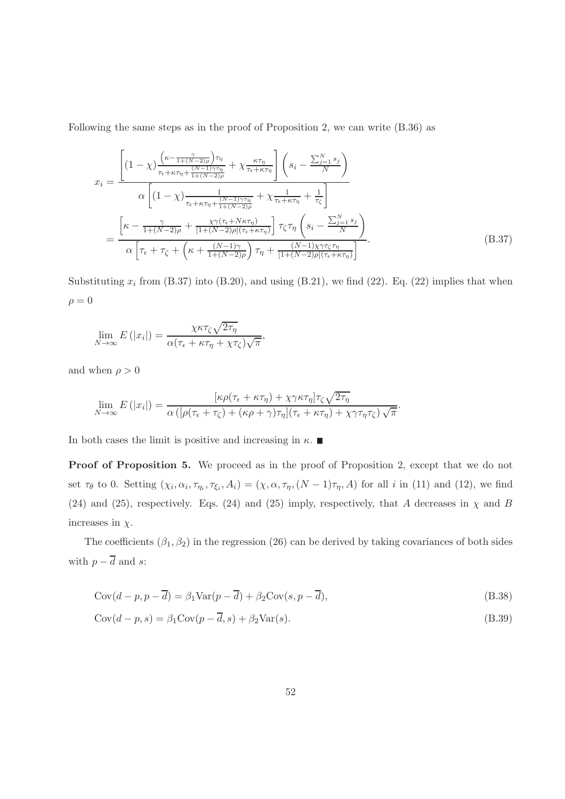Following the same steps as in the proof of Proposition 2, we can write (B.36) as

$$
x_{i} = \frac{\left[ (1-\chi) \frac{\left(\kappa - \frac{\gamma}{1+(N-2)\rho}\right)\tau_{\eta}}{\tau_{\epsilon} + \kappa\tau_{\eta} + \frac{(N-1)\gamma\tau_{\eta}}{1+(N-2)\rho}} + \chi \frac{\kappa\tau_{\eta}}{\tau_{\epsilon} + \kappa\tau_{\eta}} \right] \left(s_{i} - \frac{\sum_{j=1}^{N} s_{j}}{N} \right)}{\alpha \left[ (1-\chi) \frac{1}{\tau_{\epsilon} + \kappa\tau_{\eta} + \frac{(N-1)\gamma\tau_{\eta}}{1+(N-2)\rho}} + \chi \frac{1}{\tau_{\epsilon} + \kappa\tau_{\eta}} + \frac{1}{\tau_{\zeta}} \right]} - \frac{\left[ \kappa - \frac{\gamma}{1+(N-2)\rho} + \frac{\chi\gamma(\tau_{\epsilon} + N\kappa\tau_{\eta})}{[1+(N-2)\rho](\tau_{\epsilon} + \kappa\tau_{\eta})} \right] \tau_{\zeta}\tau_{\eta} \left(s_{i} - \frac{\sum_{j=1}^{N} s_{j}}{N} \right)}{\alpha \left[ \tau_{\epsilon} + \tau_{\zeta} + \left( \kappa + \frac{(N-1)\gamma}{1+(N-2)\rho} \right) \tau_{\eta} + \frac{(N-1)\chi\gamma\tau_{\zeta}\tau_{\eta}}{[1+(N-2)\rho](\tau_{\epsilon} + \kappa\tau_{\eta})} \right]} . \tag{B.37}
$$

Substituting  $x_i$  from (B.37) into (B.20), and using (B.21), we find (22). Eq. (22) implies that when  $\rho = 0$ 

$$
\lim_{N \to \infty} E(|x_i|) = \frac{\chi \kappa \tau_{\zeta} \sqrt{2\tau_{\eta}}}{\alpha(\tau_{\epsilon} + \kappa \tau_{\eta} + \chi \tau_{\zeta})\sqrt{\pi}},
$$

and when  $\rho > 0$ 

$$
\lim_{N \to \infty} E(|x_i|) = \frac{\left[\kappa \rho(\tau_{\epsilon} + \kappa \tau_{\eta}) + \chi \gamma \kappa \tau_{\eta}\right] \tau_{\zeta} \sqrt{2 \tau_{\eta}}}{\alpha \left(\left[\rho(\tau_{\epsilon} + \tau_{\zeta}) + (\kappa \rho + \gamma)\tau_{\eta}\right](\tau_{\epsilon} + \kappa \tau_{\eta}) + \chi \gamma \tau_{\eta} \tau_{\zeta}\right) \sqrt{\pi}}
$$

In both cases the limit is positive and increasing in  $\kappa$ .

Proof of Proposition 5. We proceed as in the proof of Proposition 2, except that we do not set  $\tau_{\theta}$  to 0. Setting  $(\chi_i, \alpha_i, \tau_{\eta_i}, \tau_{\xi_i}, A_i) = (\chi, \alpha, \tau_{\eta}, (N-1)\tau_{\eta}, A)$  for all *i* in (11) and (12), we find (24) and (25), respectively. Eqs. (24) and (25) imply, respectively, that A decreases in  $\chi$  and B increases in  $\chi$ .

.

The coefficients  $(\beta_1, \beta_2)$  in the regression (26) can be derived by taking covariances of both sides with  $p - \overline{d}$  and s:

$$
Cov(d - p, p - \overline{d}) = \beta_1 Var(p - \overline{d}) + \beta_2 Cov(s, p - \overline{d}),
$$
\n(B.38)

$$
Cov(d-p,s) = \beta_1 Cov(p-d,s) + \beta_2 Var(s).
$$
\n(B.39)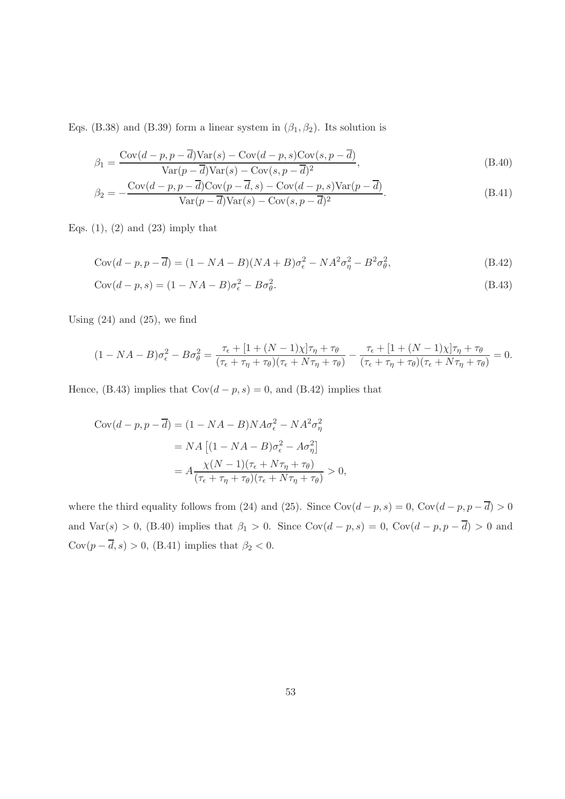Eqs. (B.38) and (B.39) form a linear system in  $(\beta_1, \beta_2)$ . Its solution is

$$
\beta_1 = \frac{\text{Cov}(d-p, p-\overline{d})\text{Var}(s) - \text{Cov}(d-p, s)\text{Cov}(s, p-\overline{d})}{\text{Var}(p-\overline{d})\text{Var}(s) - \text{Cov}(s, p-\overline{d})^2},\tag{B.40}
$$

$$
\beta_2 = -\frac{\text{Cov}(d-p, p-\overline{d})\text{Cov}(p-\overline{d}, s) - \text{Cov}(d-p, s)\text{Var}(p-\overline{d})}{\text{Var}(p-\overline{d})\text{Var}(s) - \text{Cov}(s, p-\overline{d})^2}.
$$
(B.41)

Eqs.  $(1)$ ,  $(2)$  and  $(23)$  imply that

$$
Cov(d - p, p - \overline{d}) = (1 - NA - B)(NA + B)\sigma_{\epsilon}^2 - NA^2\sigma_{\eta}^2 - B^2\sigma_{\theta}^2,
$$
\n(B.42)

$$
Cov(d - p, s) = (1 - NA - B)\sigma_{\epsilon}^{2} - B\sigma_{\theta}^{2}.
$$
\n(B.43)

Using  $(24)$  and  $(25)$ , we find

$$
(1 - NA - B)\sigma_{\epsilon}^{2} - B\sigma_{\theta}^{2} = \frac{\tau_{\epsilon} + [1 + (N - 1)\chi]\tau_{\eta} + \tau_{\theta}}{(\tau_{\epsilon} + \tau_{\eta} + \tau_{\theta})(\tau_{\epsilon} + N\tau_{\eta} + \tau_{\theta})} - \frac{\tau_{\epsilon} + [1 + (N - 1)\chi]\tau_{\eta} + \tau_{\theta}}{(\tau_{\epsilon} + \tau_{\eta} + \tau_{\theta})(\tau_{\epsilon} + N\tau_{\eta} + \tau_{\theta})} = 0.
$$

Hence, (B.43) implies that  $Cov(d - p, s) = 0$ , and (B.42) implies that

$$
Cov(d - p, p - \overline{d}) = (1 - NA - B)NA\sigma_{\epsilon}^{2} - NA^{2}\sigma_{\eta}^{2}
$$

$$
= NA \left[ (1 - NA - B)\sigma_{\epsilon}^{2} - A\sigma_{\eta}^{2} \right]
$$

$$
= A \frac{\chi(N - 1)(\tau_{\epsilon} + N\tau_{\eta} + \tau_{\theta})}{(\tau_{\epsilon} + \tau_{\eta} + \tau_{\theta})(\tau_{\epsilon} + N\tau_{\eta} + \tau_{\theta})} > 0,
$$

where the third equality follows from (24) and (25). Since  $Cov(d - p, s) = 0$ ,  $Cov(d - p, p - \overline{d}) > 0$ and Var(s) > 0, (B.40) implies that  $\beta_1 > 0$ . Since Cov(d – p, s) = 0, Cov(d – p, p –  $\overline{d}$ ) > 0 and  $\text{Cov}(p - \overline{d}, s) > 0,$  (B.41) implies that  $\beta_2 < 0.$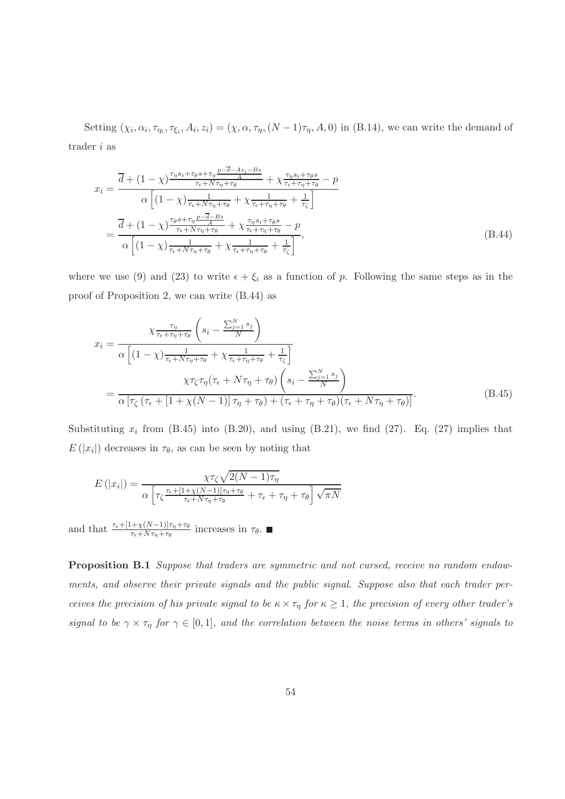Setting  $(\chi_i, \alpha_i, \tau_{\eta_i}, \tau_{\xi_i}, A_i, z_i) = (\chi, \alpha, \tau_{\eta}, (N-1)\tau_{\eta}, A, 0)$  in (B.14), we can write the demand of trader i as

$$
x_{i} = \frac{\overline{d} + (1 - \chi)^{\frac{\tau_{\eta} s_{i} + \tau_{\theta} s + \tau_{\eta}}{r_{\epsilon} + N\tau_{\eta} + \tau_{\theta}}} + \chi^{\frac{\tau_{\eta} s_{i} + \tau_{\theta} s}{\tau_{\epsilon} + \tau_{\eta} + \tau_{\theta}} - p}}{\alpha \left[ (1 - \chi)^{\frac{1}{\tau_{\epsilon} + N\tau_{\eta} + \tau_{\theta}}} + \chi^{\frac{1}{\tau_{\epsilon} + \tau_{\eta} + \tau_{\theta}} + \frac{1}{\tau_{\zeta}}} \right]}{\alpha \left[ (1 - \chi)^{\frac{\tau_{\theta} s + \tau_{\eta}}{r_{\epsilon} + N\tau_{\eta} + \tau_{\theta}}} + \chi^{\frac{\tau_{\eta} s_{i} + \tau_{\theta} s}{\tau_{\epsilon} + \tau_{\eta} + \tau_{\theta}} - p}}{\alpha \left[ (1 - \chi)^{\frac{1}{\tau_{\epsilon} + N\tau_{\eta} + \tau_{\theta}}} + \chi^{\frac{1}{\tau_{\epsilon} + \tau_{\eta} + \tau_{\theta}} + \frac{1}{\tau_{\zeta}}} \right]},
$$
\n(B.44)

where we use (9) and (23) to write  $\epsilon + \xi_i$  as a function of p. Following the same steps as in the proof of Proposition 2, we can write (B.44) as

$$
x_{i} = \frac{\chi_{\overline{\tau_{\tau}}}}{\alpha \left[ (1 - \chi) \frac{1}{\tau_{\epsilon} + N\tau_{\eta} + \tau_{\theta}} + \chi \frac{1}{\tau_{\epsilon} + \tau_{\eta} + \tau_{\theta}} + \frac{1}{\tau_{\zeta}} \right]}}{\chi \tau_{\zeta} \tau_{\eta} (\tau_{\epsilon} + N\tau_{\eta} + \tau_{\theta}) + \eta_{\theta} \left( s_{i} - \frac{\sum_{j=1}^{N} s_{j}}{N} \right)}
$$
\n
$$
= \frac{\chi \tau_{\zeta} \tau_{\eta} (\tau_{\epsilon} + N\tau_{\eta} + \tau_{\theta}) \left( s_{i} - \frac{\sum_{j=1}^{N} s_{j}}{N} \right)}{\alpha \left[ \tau_{\zeta} (\tau_{\epsilon} + [1 + \chi(N-1)] \tau_{\eta} + \tau_{\theta}) + (\tau_{\epsilon} + \tau_{\eta} + \tau_{\theta}) (\tau_{\epsilon} + N\tau_{\eta} + \tau_{\theta}) \right]}.
$$
\n(B.45)

Substituting  $x_i$  from (B.45) into (B.20), and using (B.21), we find (27). Eq. (27) implies that  $E(|x_i|)$  decreases in  $\tau_{\theta}$ , as can be seen by noting that

$$
E(|x_i|) = \frac{\chi \tau_{\zeta} \sqrt{2(N-1)\tau_{\eta}}}{\alpha \left[ \tau_{\zeta} \frac{\tau_{\epsilon} + [1 + \chi(N-1)]\tau_{\eta} + \tau_{\theta}}{\tau_{\epsilon} + N\tau_{\eta} + \tau_{\theta}} + \tau_{\epsilon} + \tau_{\eta} + \tau_{\theta} \right] \sqrt{\pi N}}
$$

and that  $\frac{\tau_{\epsilon} + [1 + \chi(N-1)]\tau_{\eta} + \tau_{\theta}}{\tau_{\epsilon} + N\tau_{\eta} + \tau_{\theta}}$  increases in  $\tau_{\theta}$ .

Proposition B.1 Suppose that traders are symmetric and not cursed, receive no random endowments, and observe their private signals and the public signal. Suppose also that each trader perceives the precision of his private signal to be  $\kappa \times \tau_{\eta}$  for  $\kappa \geq 1$ , the precision of every other trader's signal to be  $\gamma \times \tau_{\eta}$  for  $\gamma \in [0,1]$ , and the correlation between the noise terms in others' signals to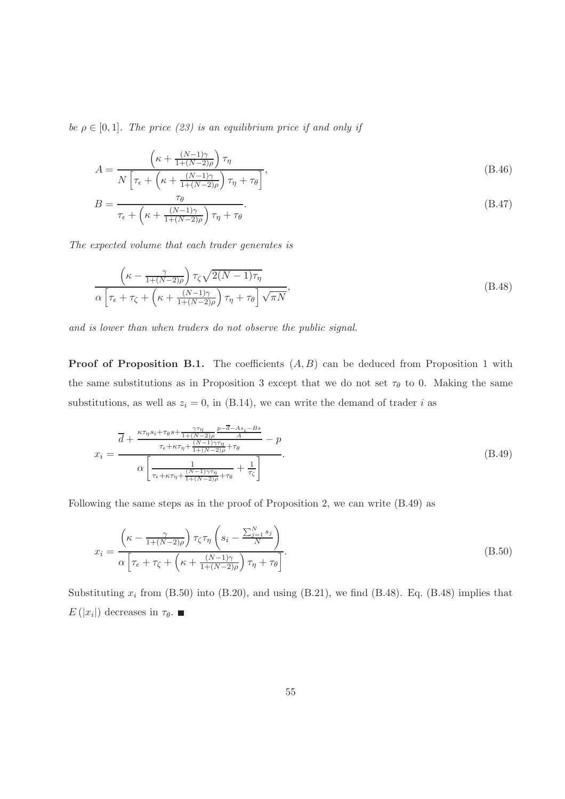be  $\rho \in [0,1]$ . The price (23) is an equilibrium price if and only if

$$
A = \frac{\left(\kappa + \frac{(N-1)\gamma}{1 + (N-2)\rho}\right)\tau_{\eta}}{N\left[\tau_{\epsilon} + \left(\kappa + \frac{(N-1)\gamma}{1 + (N-2)\rho}\right)\tau_{\eta} + \tau_{\theta}\right]},
$$
\n(B.46)

$$
B = \frac{\tau_{\theta}}{\tau_{\epsilon} + \left(\kappa + \frac{(N-1)\gamma}{1 + (N-2)\rho}\right)\tau_{\eta} + \tau_{\theta}}.
$$
\n(B.47)

The expected volume that each trader generates is

$$
\frac{\left(\kappa - \frac{\gamma}{1 + (N-2)\rho}\right)\tau_{\zeta}\sqrt{2(N-1)\tau_{\eta}}}{\alpha\left[\tau_{\epsilon} + \tau_{\zeta} + \left(\kappa + \frac{(N-1)\gamma}{1 + (N-2)\rho}\right)\tau_{\eta} + \tau_{\theta}\right]\sqrt{\pi N}},\tag{B.48}
$$

and is lower than when traders do not observe the public signal.

**Proof of Proposition B.1.** The coefficients  $(A, B)$  can be deduced from Proposition 1 with the same substitutions as in Proposition 3 except that we do not set  $\tau_{\theta}$  to 0. Making the same substitutions, as well as  $z_i = 0$ , in (B.14), we can write the demand of trader i as

$$
x_{i} = \frac{\overline{d} + \frac{\kappa \tau_{\eta} s_{i} + \tau_{\theta} s + \frac{\gamma \tau_{\eta}}{1 + (N-2)\rho} \frac{p - \overline{d} - As_{i} - Bs}{A}}{\tau_{\epsilon} + \kappa \tau_{\eta} + \frac{(N-1)\gamma \tau_{\eta}}{1 + (N-2)\rho} + \tau_{\theta}} - p}{\alpha \left[ \frac{1}{\tau_{\epsilon} + \kappa \tau_{\eta} + \frac{(N-1)\gamma \tau_{\eta}}{1 + (N-2)\rho} + \tau_{\theta}} + \frac{1}{\tau_{\zeta}} \right]}.
$$
(B.49)

Following the same steps as in the proof of Proposition 2, we can write (B.49) as

$$
x_i = \frac{\left(\kappa - \frac{\gamma}{1 + (N - 2)\rho}\right)\tau_{\zeta}\tau_{\eta}\left(s_i - \frac{\sum_{j=1}^N s_j}{N}\right)}{\alpha\left[\tau_{\epsilon} + \tau_{\zeta} + \left(\kappa + \frac{(N - 1)\gamma}{1 + (N - 2)\rho}\right)\tau_{\eta} + \tau_{\theta}\right]}.
$$
\n(B.50)

Substituting  $x_i$  from (B.50) into (B.20), and using (B.21), we find (B.48). Eq. (B.48) implies that  $E(|x_i|)$  decreases in  $\tau_{\theta}$ .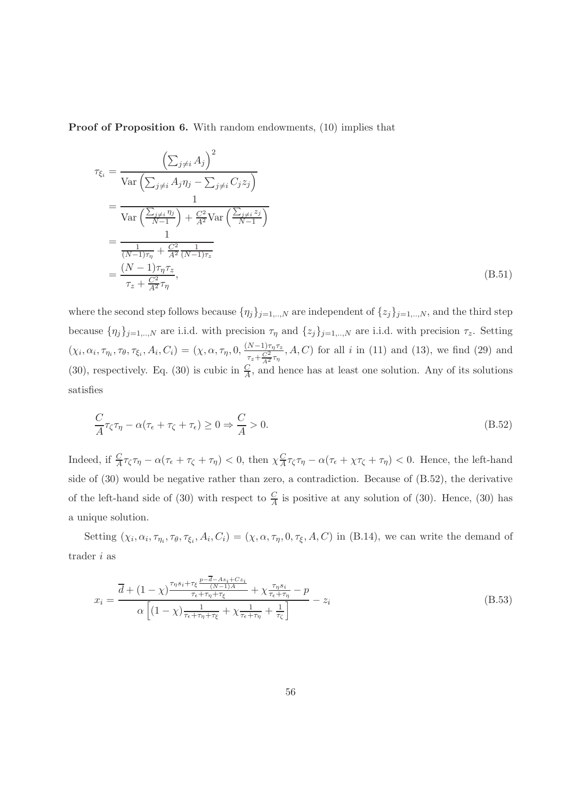Proof of Proposition 6. With random endowments, (10) implies that

$$
\tau_{\xi_i} = \frac{\left(\sum_{j\neq i} A_j\right)^2}{\text{Var}\left(\sum_{j\neq i} A_j \eta_j - \sum_{j\neq i} C_j z_j\right)}
$$
\n
$$
= \frac{1}{\text{Var}\left(\frac{\sum_{j\neq i} \eta_j}{N-1}\right) + \frac{C^2}{A^2} \text{Var}\left(\frac{\sum_{j\neq i} z_j}{N-1}\right)}
$$
\n
$$
= \frac{1}{\frac{1}{(N-1)\tau_{\eta}} + \frac{C^2}{A^2} \frac{1}{(N-1)\tau_z}}
$$
\n
$$
= \frac{(N-1)\tau_{\eta}\tau_z}{\tau_z + \frac{C^2}{A^2} \tau_{\eta}},
$$
\n(B.51)

where the second step follows because  $\{\eta_j\}_{j=1,\dots,N}$  are independent of  $\{z_j\}_{j=1,\dots,N}$ , and the third step because  $\{\eta_j\}_{j=1,\dots,N}$  are i.i.d. with precision  $\tau_{\eta}$  and  $\{z_j\}_{j=1,\dots,N}$  are i.i.d. with precision  $\tau_z$ . Setting  $(\chi_i, \alpha_i, \tau_{\eta_i}, \tau_{\theta}, \tau_{\xi_i}, A_i, C_i) = (\chi, \alpha, \tau_{\eta}, 0, \frac{(N-1)\tau_{\eta}\tau_z}{\sigma^2 - 1})$  $\frac{\frac{N-1}{T_2+C_2}}{\frac{T_2+C_2}{T_1}}$ , A, C) for all i in (11) and (13), we find (29) and (30), respectively. Eq. (30) is cubic in  $\frac{C}{A}$ , and hence has at least one solution. Any of its solutions satisfies

$$
\frac{C}{A}\tau_{\zeta}\tau_{\eta} - \alpha(\tau_{\epsilon} + \tau_{\zeta} + \tau_{\epsilon}) \ge 0 \Rightarrow \frac{C}{A} > 0.
$$
\n(B.52)

Indeed, if  $\frac{C}{A}\tau_{\zeta}\tau_{\eta} - \alpha(\tau_{\epsilon} + \tau_{\zeta} + \tau_{\eta}) < 0$ , then  $\chi_{\overline{A}}^{\overline{C}}$  $\frac{C}{A}\tau_{\zeta}\tau_{\eta} - \alpha(\tau_{\epsilon} + \chi\tau_{\zeta} + \tau_{\eta}) < 0.$  Hence, the left-hand side of (30) would be negative rather than zero, a contradiction. Because of (B.52), the derivative of the left-hand side of (30) with respect to  $\frac{C}{A}$  is positive at any solution of (30). Hence, (30) has a unique solution.

Setting  $(\chi_i, \alpha_i, \tau_{\eta_i}, \tau_{\theta}, \tau_{\xi_i}, A_i, C_i) = (\chi, \alpha, \tau_{\eta}, 0, \tau_{\xi}, A, C)$  in (B.14), we can write the demand of trader i as

$$
x_{i} = \frac{\overline{d} + (1 - \chi)^{\frac{\tau_{\eta} s_{i} + \tau_{\xi}}{n} \frac{p - \overline{d} - As_{i} + Cz_{i}}{(N-1)A}}}{\alpha \left[ (1 - \chi)^{\frac{1}{\tau_{\epsilon} + \tau_{\eta} + \tau_{\xi}}} + \chi^{\frac{\tau_{\eta} s_{i}}{\tau_{\epsilon} + \tau_{\eta}} - p} - z_{i} \right]}
$$
(B.53)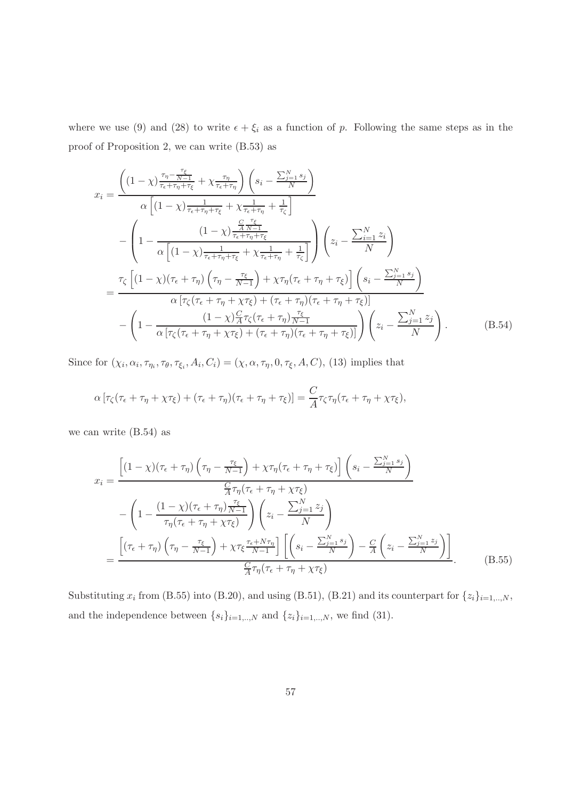where we use (9) and (28) to write  $\epsilon + \xi_i$  as a function of p. Following the same steps as in the proof of Proposition 2, we can write (B.53) as

$$
x_{i} = \frac{\left((1-\chi)\frac{\tau_{\eta}-\frac{\tau_{\xi}}{N-1}}{\tau_{\epsilon}+\tau_{\eta}+\tau_{\xi}}+\chi\frac{\tau_{\eta}}{\tau_{\epsilon}+\tau_{\eta}}\right)\left(s_{i}-\frac{\sum_{j=1}^{N}s_{j}}{N}\right)}{\alpha\left[(1-\chi)\frac{1}{\tau_{\epsilon}+\tau_{\eta}+\tau_{\xi}}+\chi\frac{1}{\tau_{\epsilon}+\tau_{\eta}}+\frac{1}{\tau_{\zeta}}\right]}
$$

$$
-\left(1-\frac{(1-\chi)\frac{\frac{C}{A} \frac{\tau_{\xi}}{N-1}}{\tau_{\epsilon}+\tau_{\eta}+\tau_{\xi}}+\chi\frac{1}{\tau_{\epsilon}+\tau_{\eta}}+\frac{1}{\tau_{\zeta}}\right)\left(z_{i}-\frac{\sum_{i=1}^{N}z_{i}}{N}\right)}
$$

$$
=\frac{\tau_{\zeta}\left[(1-\chi)(\tau_{\epsilon}+\tau_{\eta})\left(\tau_{\eta}-\frac{\tau_{\xi}}{N-1}\right)+\chi\tau_{\eta}(\tau_{\epsilon}+\tau_{\eta}+\tau_{\xi})\right]\left(s_{i}-\frac{\sum_{j=1}^{N}s_{j}}{N}\right)}{\alpha\left[\tau_{\zeta}(\tau_{\epsilon}+\tau_{\eta}+\chi\tau_{\xi})+(\tau_{\epsilon}+\tau_{\eta})(\tau_{\epsilon}+\tau_{\eta}+\tau_{\xi})\right]}
$$

$$
-\left(1-\frac{(1-\chi)\frac{C}{A}\tau_{\zeta}(\tau_{\epsilon}+\tau_{\eta})\frac{\tau_{\xi}}{N-1}}{\alpha\left[\tau_{\zeta}(\tau_{\epsilon}+\tau_{\eta}+\chi\tau_{\xi})+(\tau_{\epsilon}+\tau_{\eta})(\tau_{\epsilon}+\tau_{\eta}+\tau_{\xi})\right]}\right)\left(z_{i}-\frac{\sum_{j=1}^{N}z_{j}}{N}\right).
$$
(B.54)

Since for  $(\chi_i, \alpha_i, \tau_{\eta_i}, \tau_{\theta}, \tau_{\xi_i}, A_i, C_i) = (\chi, \alpha, \tau_{\eta}, 0, \tau_{\xi}, A, C)$ , (13) implies that

$$
\alpha \left[ \tau_{\zeta}(\tau_{\epsilon} + \tau_{\eta} + \chi \tau_{\xi}) + (\tau_{\epsilon} + \tau_{\eta})(\tau_{\epsilon} + \tau_{\eta} + \tau_{\xi}) \right] = \frac{C}{A} \tau_{\zeta} \tau_{\eta}(\tau_{\epsilon} + \tau_{\eta} + \chi \tau_{\xi}),
$$

we can write (B.54) as

$$
x_{i} = \frac{\left[ (1 - \chi)(\tau_{\epsilon} + \tau_{\eta}) \left( \tau_{\eta} - \frac{\tau_{\xi}}{N-1} \right) + \chi \tau_{\eta} (\tau_{\epsilon} + \tau_{\eta} + \tau_{\xi}) \right] \left( s_{i} - \frac{\sum_{j=1}^{N} s_{j}}{N} \right)}{\frac{C}{A} \tau_{\eta} (\tau_{\epsilon} + \tau_{\eta} + \chi \tau_{\xi})}
$$

$$
- \left( 1 - \frac{(1 - \chi)(\tau_{\epsilon} + \tau_{\eta}) \frac{\tau_{\xi}}{N-1}}{\tau_{\eta} (\tau_{\epsilon} + \tau_{\eta} + \chi \tau_{\xi})} \right) \left( z_{i} - \frac{\sum_{j=1}^{N} z_{j}}{N} \right)
$$

$$
= \frac{\left[ (\tau_{\epsilon} + \tau_{\eta}) \left( \tau_{\eta} - \frac{\tau_{\xi}}{N-1} \right) + \chi \tau_{\xi} \frac{\tau_{\epsilon} + N \tau_{\eta}}{N-1} \right] \left[ \left( s_{i} - \frac{\sum_{j=1}^{N} s_{j}}{N} \right) - \frac{C}{A} \left( z_{i} - \frac{\sum_{j=1}^{N} z_{j}}{N} \right) \right]}{\frac{C}{A} \tau_{\eta} (\tau_{\epsilon} + \tau_{\eta} + \chi \tau_{\xi})} . \tag{B.55}
$$

Substituting  $x_i$  from (B.55) into (B.20), and using (B.51), (B.21) and its counterpart for  $\{z_i\}_{i=1,..,N}$ , and the independence between  $\{s_i\}_{i=1,..,N}$  and  $\{z_i\}_{i=1,..,N}$ , we find (31).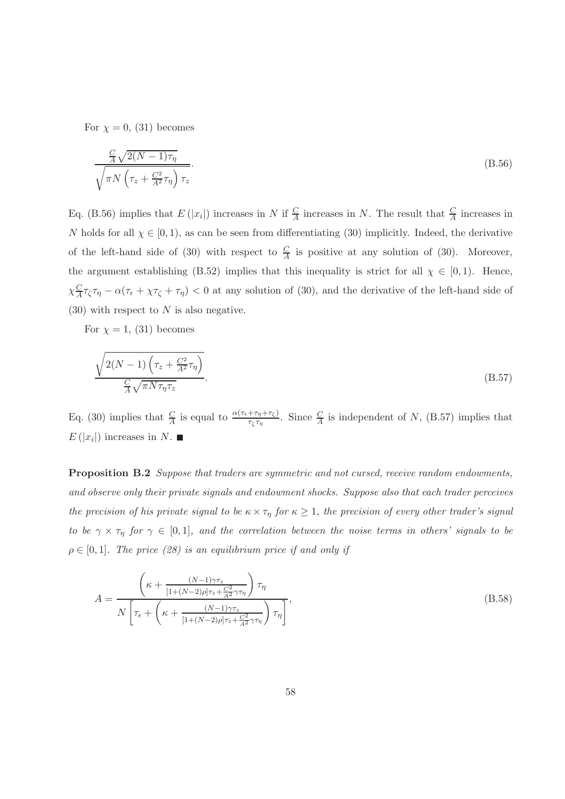For  $\chi = 0$ , (31) becomes

$$
\frac{\frac{C}{A}\sqrt{2(N-1)\tau_{\eta}}}{\sqrt{\pi N\left(\tau_{z} + \frac{C^{2}}{A^{2}}\tau_{\eta}\right)\tau_{z}}}.
$$
\n(B.56)

Eq. (B.56) implies that  $E(|x_i|)$  increases in N if  $\frac{C}{A}$  increases in N. The result that  $\frac{C}{A}$  increases in N holds for all  $\chi \in [0,1)$ , as can be seen from differentiating (30) implicitly. Indeed, the derivative of the left-hand side of (30) with respect to  $\frac{C}{A}$  is positive at any solution of (30). Moreover, the argument establishing (B.52) implies that this inequality is strict for all  $\chi \in [0,1)$ . Hence,  $\chi_{\frac{C}{4}}^{C}$  $\frac{C}{A}\tau_{\zeta}\tau_{\eta} - \alpha(\tau_{\epsilon} + \chi\tau_{\zeta} + \tau_{\eta}) < 0$  at any solution of (30), and the derivative of the left-hand side of  $(30)$  with respect to N is also negative.

For  $\chi = 1$ , (31) becomes

$$
\frac{\sqrt{2(N-1)\left(\tau_z + \frac{C^2}{A^2}\tau_\eta\right)}}{\frac{C}{A}\sqrt{\pi N\tau_\eta\tau_z}}.\tag{B.57}
$$

Eq. (30) implies that  $\frac{C}{A}$  is equal to  $\frac{\alpha(\tau_{\epsilon}+\tau_{\eta}+\tau_{\zeta})}{\tau_{\zeta}\tau_{\eta}}$ . Since  $\frac{C}{A}$  is independent of N, (B.57) implies that  $E(|x_i|)$  increases in N.

Proposition B.2 Suppose that traders are symmetric and not cursed, receive random endowments, and observe only their private signals and endowment shocks. Suppose also that each trader perceives the precision of his private signal to be  $\kappa \times \tau_{\eta}$  for  $\kappa \geq 1$ , the precision of every other trader's signal to be  $\gamma \times \tau_{\eta}$  for  $\gamma \in [0,1]$ , and the correlation between the noise terms in others' signals to be  $\rho \in [0, 1]$ . The price (28) is an equilibrium price if and only if

$$
A = \frac{\left(\kappa + \frac{(N-1)\gamma\tau_z}{[1 + (N-2)\rho]\tau_z + \frac{C^2}{A^2}\gamma\tau_\eta}\right)\tau_\eta}{N\left[\tau_\epsilon + \left(\kappa + \frac{(N-1)\gamma\tau_z}{[1 + (N-2)\rho]\tau_z + \frac{C^2}{A^2}\gamma\tau_\eta}\right)\tau_\eta\right]},
$$
(B.58)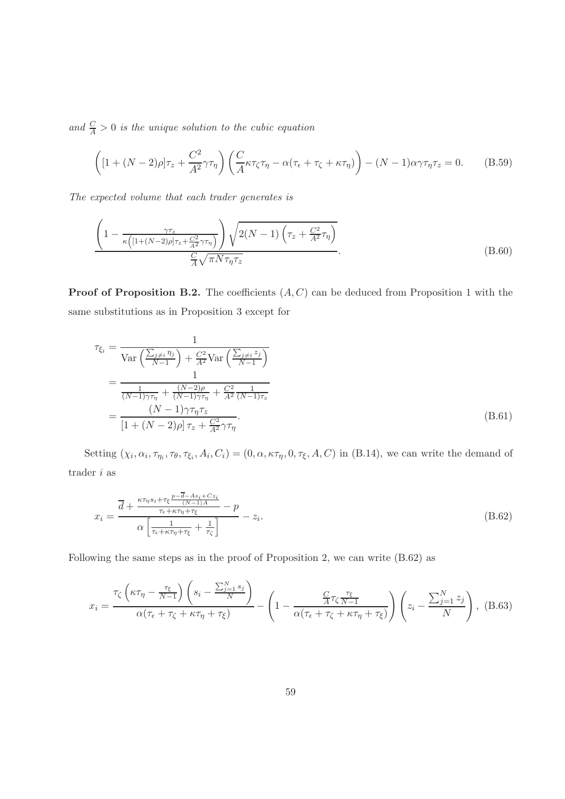and  $\frac{C}{A} > 0$  is the unique solution to the cubic equation

$$
\left( [1 + (N-2)\rho] \tau_z + \frac{C^2}{A^2} \gamma \tau_\eta \right) \left( \frac{C}{A} \kappa \tau_\zeta \tau_\eta - \alpha (\tau_\epsilon + \tau_\zeta + \kappa \tau_\eta) \right) - (N-1)\alpha \gamma \tau_\eta \tau_z = 0. \tag{B.59}
$$

The expected volume that each trader generates is

$$
\frac{\left(1 - \frac{\gamma \tau_z}{\kappa \left( \left[1 + (N-2)\rho\right] \tau_z + \frac{C^2}{A^2} \gamma \tau_\eta \right)}\right) \sqrt{2(N-1) \left(\tau_z + \frac{C^2}{A^2} \tau_\eta\right)}}{\frac{C}{A} \sqrt{\pi N \tau_\eta \tau_z}}.
$$
\n(B.60)

**Proof of Proposition B.2.** The coefficients  $(A, C)$  can be deduced from Proposition 1 with the same substitutions as in Proposition 3 except for

$$
\tau_{\xi_i} = \frac{1}{\text{Var}\left(\frac{\sum_{j\neq i} \eta_j}{N-1}\right) + \frac{C^2}{A^2} \text{Var}\left(\frac{\sum_{j\neq i} z_j}{N-1}\right)} \\
= \frac{1}{\frac{1}{(N-1)\gamma\tau_{\eta}} + \frac{(N-2)\rho}{(N-1)\gamma\tau_{\eta}} + \frac{C^2}{A^2} \frac{1}{(N-1)\tau_z}} \\
= \frac{(N-1)\gamma\tau_{\eta}\tau_z}{[1 + (N-2)\rho]\tau_z + \frac{C^2}{A^2}\gamma\tau_{\eta}}.
$$
\n(B.61)

Setting  $(\chi_i, \alpha_i, \tau_{\eta_i}, \tau_{\theta}, \tau_{\xi_i}, A_i, C_i) = (0, \alpha, \kappa\tau_{\eta}, 0, \tau_{\xi}, A, C)$  in (B.14), we can write the demand of trader i as

$$
x_{i} = \frac{\overline{d} + \frac{\kappa \tau_{\eta} s_{i} + \tau_{\xi} \frac{p - \overline{d} - As_{i} + Cz_{i}}{(N-1)A}}{\tau_{\epsilon} + \kappa \tau_{\eta} + \tau_{\xi}} - p}{\alpha \left[ \frac{1}{\tau_{\epsilon} + \kappa \tau_{\eta} + \tau_{\xi}} + \frac{1}{\tau_{\zeta}} \right]} - z_{i}.
$$
\n(B.62)

Following the same steps as in the proof of Proposition 2, we can write (B.62) as

$$
x_i = \frac{\tau_{\zeta} \left( \kappa \tau_{\eta} - \frac{\tau_{\xi}}{N-1} \right) \left( s_i - \frac{\sum_{j=1}^{N} s_j}{N} \right)}{\alpha(\tau_{\epsilon} + \tau_{\zeta} + \kappa \tau_{\eta} + \tau_{\xi})} - \left( 1 - \frac{\frac{C}{A} \tau_{\zeta} \frac{\tau_{\xi}}{N-1}}{\alpha(\tau_{\epsilon} + \tau_{\zeta} + \kappa \tau_{\eta} + \tau_{\xi})} \right) \left( z_i - \frac{\sum_{j=1}^{N} z_j}{N} \right), \quad (B.63)
$$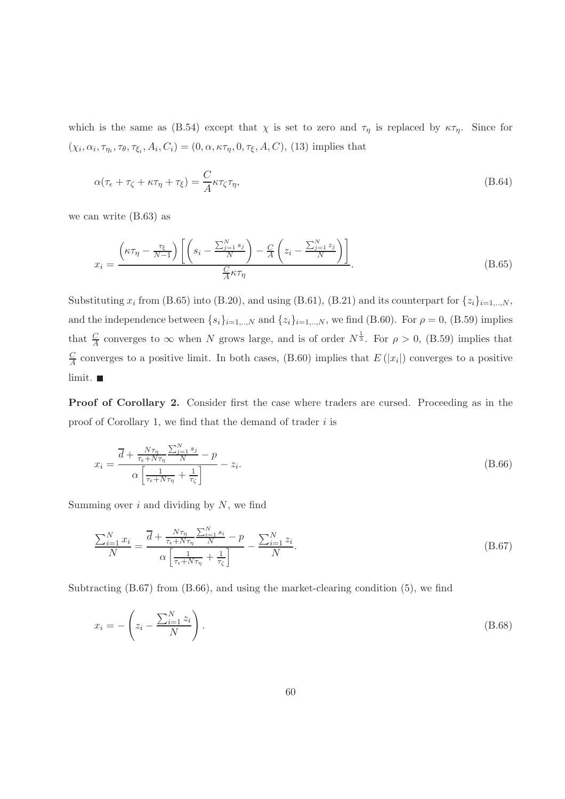which is the same as (B.54) except that  $\chi$  is set to zero and  $\tau_{\eta}$  is replaced by  $\kappa \tau_{\eta}$ . Since for  $(\chi_i, \alpha_i, \tau_{\eta_i}, \tau_{\theta}, \tau_{\xi_i}, A_i, C_i) = (0, \alpha, \kappa \tau_{\eta}, 0, \tau_{\xi}, A, C),$  (13) implies that

$$
\alpha(\tau_{\epsilon} + \tau_{\zeta} + \kappa \tau_{\eta} + \tau_{\xi}) = \frac{C}{A} \kappa \tau_{\zeta} \tau_{\eta},\tag{B.64}
$$

we can write (B.63) as

$$
x_i = \frac{\left(\kappa \tau_\eta - \frac{\tau_\xi}{N-1}\right) \left[ \left(s_i - \frac{\sum_{j=1}^N s_j}{N}\right) - \frac{C}{A} \left(z_i - \frac{\sum_{j=1}^N z_j}{N}\right) \right]}{\frac{C}{A} \kappa \tau_\eta}.
$$
\n(B.65)

Substituting  $x_i$  from (B.65) into (B.20), and using (B.61), (B.21) and its counterpart for  $\{z_i\}_{i=1,..,N}$ , and the independence between  $\{s_i\}_{i=1,..,N}$  and  $\{z_i\}_{i=1,..,N}$ , we find (B.60). For  $\rho = 0$ , (B.59) implies that  $\frac{C}{A}$  converges to  $\infty$  when N grows large, and is of order  $N^{\frac{1}{3}}$ . For  $\rho > 0$ , (B.59) implies that C  $\frac{C}{A}$  converges to a positive limit. In both cases, (B.60) implies that  $E(|x_i|)$  converges to a positive limit.

Proof of Corollary 2. Consider first the case where traders are cursed. Proceeding as in the proof of Corollary 1, we find that the demand of trader  $i$  is

$$
x_i = \frac{\overline{d} + \frac{N\tau_{\eta}}{\tau_{\epsilon} + N\tau_{\eta}} \frac{\sum_{j=1}^{N} s_j}{N} - p}{\alpha \left[ \frac{1}{\tau_{\epsilon} + N\tau_{\eta}} + \frac{1}{\tau_{\zeta}} \right]} - z_i.
$$
\n(B.66)

Summing over  $i$  and dividing by  $N$ , we find

$$
\frac{\sum_{i=1}^{N} x_i}{N} = \frac{\overline{d} + \frac{N\tau_{\eta}}{\tau_{\epsilon} + N\tau_{\eta}} \frac{\sum_{i=1}^{N} s_i}{N} - p}{\alpha \left[ \frac{1}{\tau_{\epsilon} + N\tau_{\eta}} + \frac{1}{\tau_{\zeta}} \right]} - \frac{\sum_{i=1}^{N} z_i}{N}.
$$
\n(B.67)

Subtracting (B.67) from (B.66), and using the market-clearing condition (5), we find

$$
x_i = -\left(z_i - \frac{\sum_{i=1}^{N} z_i}{N}\right). \tag{B.68}
$$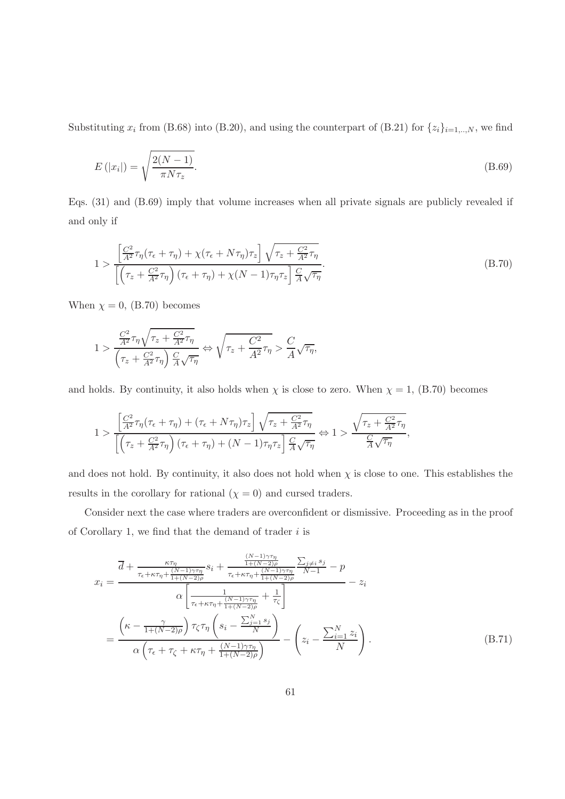Substituting  $x_i$  from (B.68) into (B.20), and using the counterpart of (B.21) for  $\{z_i\}_{i=1,\dots,N}$ , we find

$$
E\left(|x_i|\right) = \sqrt{\frac{2(N-1)}{\pi N \tau_z}}.\tag{B.69}
$$

Eqs. (31) and (B.69) imply that volume increases when all private signals are publicly revealed if and only if

$$
1 > \frac{\left[\frac{C^2}{A^2}\tau_\eta(\tau_\epsilon + \tau_\eta) + \chi(\tau_\epsilon + N\tau_\eta)\tau_z\right]\sqrt{\tau_z + \frac{C^2}{A^2}\tau_\eta}}{\left[\left(\tau_z + \frac{C^2}{A^2}\tau_\eta\right)(\tau_\epsilon + \tau_\eta) + \chi(N-1)\tau_\eta\tau_z\right]\frac{C}{A}\sqrt{\tau_\eta}}.
$$
\n(B.70)

When  $\chi = 0$ , (B.70) becomes

$$
1 > \frac{\frac{C^2}{A^2}\tau_\eta\sqrt{\tau_z + \frac{C^2}{A^2}\tau_\eta}}{\left(\tau_z + \frac{C^2}{A^2}\tau_\eta\right)\frac{C}{A}\sqrt{\tau_\eta}} \Leftrightarrow \sqrt{\tau_z + \frac{C^2}{A^2}\tau_\eta} > \frac{C}{A}\sqrt{\tau_\eta},
$$

and holds. By continuity, it also holds when  $\chi$  is close to zero. When  $\chi = 1$ , (B.70) becomes

$$
1 > \frac{\left[\frac{C^2}{A^2}\tau_\eta(\tau_\epsilon + \tau_\eta) + (\tau_\epsilon + N\tau_\eta)\tau_z\right]\sqrt{\tau_z + \frac{C^2}{A^2}\tau_\eta}}{\left[\left(\tau_z + \frac{C^2}{A^2}\tau_\eta\right)(\tau_\epsilon + \tau_\eta) + (N-1)\tau_\eta\tau_z\right]\frac{C}{A}\sqrt{\tau_\eta}} \Leftrightarrow 1 > \frac{\sqrt{\tau_z + \frac{C^2}{A^2}\tau_\eta}}{\frac{C}{A}\sqrt{\tau_\eta}},
$$

and does not hold. By continuity, it also does not hold when  $\chi$  is close to one. This establishes the results in the corollary for rational  $(\chi = 0)$  and cursed traders.

Consider next the case where traders are overconfident or dismissive. Proceeding as in the proof of Corollary 1, we find that the demand of trader  $i$  is

$$
x_{i} = \frac{\overline{d} + \frac{\kappa\tau_{\eta}}{\tau_{\epsilon} + \kappa\tau_{\eta} + \frac{(N-1)\gamma\tau_{\eta}}{1+(\kappa-2)\rho}}s_{i} + \frac{\frac{(N-1)\gamma\tau_{\eta}}{1+(\kappa-2)\rho}}{\tau_{\epsilon} + \kappa\tau_{\eta} + \frac{(N-1)\gamma\tau_{\eta}}{1+(\kappa-2)\rho}} \frac{\sum_{j\neq i} s_{j}}{N-1} - p}{N-1} - z_{i}
$$

$$
\alpha \left[ \frac{1}{\tau_{\epsilon} + \kappa\tau_{\eta} + \frac{(N-1)\gamma\tau_{\eta}}{1+(\kappa-2)\rho}} + \frac{1}{\tau_{\zeta}} \right]
$$

$$
= \frac{\left(\kappa - \frac{\gamma}{1+(\kappa-2)\rho}\right)\tau_{\zeta}\tau_{\eta}\left(s_{i} - \frac{\sum_{j=1}^{N} s_{j}}{N}\right)}{\alpha\left(\tau_{\epsilon} + \tau_{\zeta} + \kappa\tau_{\eta} + \frac{(N-1)\gamma\tau_{\eta}}{1+(\kappa-2)\rho}\right)} - \left(z_{i} - \frac{\sum_{i=1}^{N} z_{i}}{N}\right).
$$
(B.71)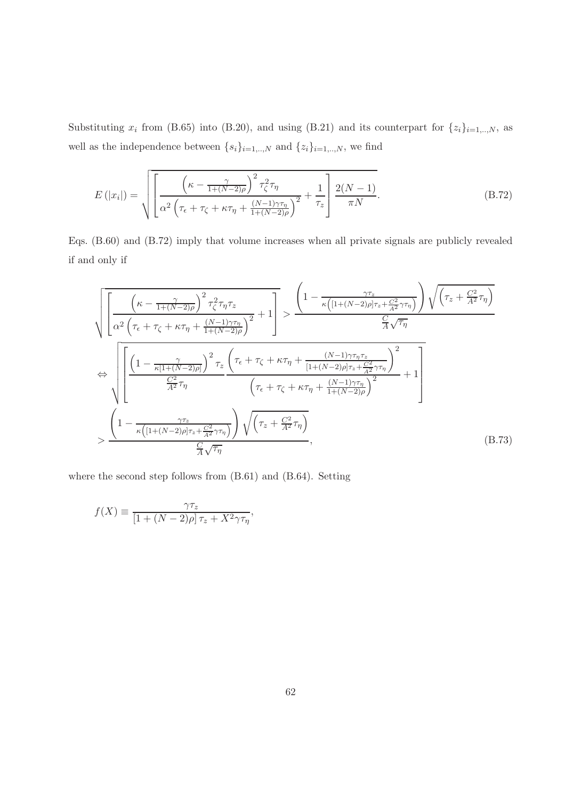Substituting  $x_i$  from (B.65) into (B.20), and using (B.21) and its counterpart for  $\{z_i\}_{i=1,..,N}$ , as well as the independence between  $\{s_i\}_{i=1,..,N}$  and  $\{z_i\}_{i=1,..,N},$  we find

$$
E(|x_i|) = \sqrt{\left[\frac{\left(\kappa - \frac{\gamma}{1 + (N-2)\rho}\right)^2 \tau_{\zeta}^2 \tau_{\eta}}{\alpha^2 \left(\tau_{\epsilon} + \tau_{\zeta} + \kappa \tau_{\eta} + \frac{(N-1)\gamma \tau_{\eta}}{1 + (N-2)\rho}\right)^2} + \frac{1}{\tau_z}\right] \frac{2(N-1)}{\pi N}}.
$$
\n(B.72)

Eqs. (B.60) and (B.72) imply that volume increases when all private signals are publicly revealed if and only if

$$
\sqrt{\left[\frac{\left(\kappa-\frac{\gamma}{1+(N-2)\rho}\right)^{2}\tau_{\zeta}^{2}\tau_{\eta}\tau_{z}}{\alpha^{2}\left(\tau_{\epsilon}+\tau_{\zeta}+\kappa\tau_{\eta}+\frac{(N-1)\gamma\tau_{\eta}}{1+(N-2)\rho}\right)^{2}}+1\right]}\n\n\leftrightarrow\n\sqrt{\left[\frac{\left(1-\frac{\gamma}{\kappa\left(1+(N-2)\rho\right)\tau_{z}+\frac{C^{2}}{A^{2}}\tau_{\eta}\right)}\right)\sqrt{\left(\tau_{z}+\frac{C^{2}}{A^{2}}\tau_{\eta}\right)}}{\frac{C_{1}}{A}\sqrt{\tau_{\eta}}}\n\n\leftrightarrow\n\sqrt{\left[\frac{\left(1-\frac{\gamma}{\kappa\left(1+(N-2)\rho\right)}\right)^{2}\tau_{z}\left(\tau_{\epsilon}+\tau_{\zeta}+\kappa\tau_{\eta}+\frac{(N-1)\gamma\tau_{\eta}\tau_{z}}{[1+(N-2)\rho]\tau_{z}+\frac{C^{2}}{A^{2}}\tau_{\eta}\right)^{2}}+1\right]}\n\n\to\n\left[\frac{\left(1-\frac{\gamma}{\kappa\left(1+(N-2)\rho\right)\tau_{z}+\frac{C^{2}}{A^{2}}\tau_{\eta}\right)}\left(\tau_{\epsilon}+\tau_{\zeta}+\kappa\tau_{\eta}+\frac{(N-1)\gamma\tau_{\eta}}{1+(N-2)\rho}\right)^{2}}+1\right]\n\n\to\n\frac{\left(1-\frac{\gamma\tau_{z}}{\kappa\left([1+(N-2)\rho]\tau_{z}+\frac{C^{2}}{A^{2}}\tau_{\eta}\right)}\right)\sqrt{\left(\tau_{z}+\frac{C^{2}}{A^{2}}\tau_{\eta}\right)}}{\frac{C_{1}}{A}\sqrt{\tau_{\eta}}},\n(B.73)
$$

where the second step follows from (B.61) and (B.64). Setting

$$
f(X) \equiv \frac{\gamma \tau_z}{\left[1 + (N - 2)\rho\right] \tau_z + X^2 \gamma \tau_\eta},
$$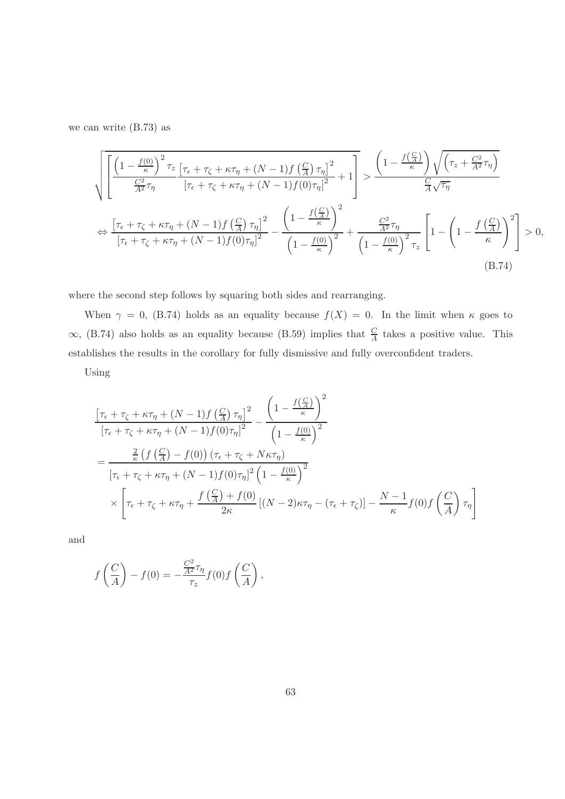we can write (B.73) as

$$
\sqrt{\left[\frac{\left(1-\frac{f(0)}{\kappa}\right)^{2}\tau_{z}}{\frac{C^{2}}{A^{2}}\tau_{\eta}}\frac{\left[\tau_{\epsilon}+\tau_{\zeta}+\kappa\tau_{\eta}+(N-1)f\left(\frac{C}{A}\right)\tau_{\eta}\right]^{2}}{\left[\tau_{\epsilon}+\tau_{\zeta}+\kappa\tau_{\eta}+(N-1)f(0)\tau_{\eta}\right]^{2}}+1\right] > \frac{\left(1-\frac{f\left(\frac{C}{A}\right)}{\kappa}\right)\sqrt{\left(\tau_{z}+\frac{C^{2}}{A^{2}}\tau_{\eta}\right)}}{\frac{C}{A}\sqrt{\tau_{\eta}}}\n\n\Leftrightarrow \frac{\left[\tau_{\epsilon}+\tau_{\zeta}+\kappa\tau_{\eta}+(N-1)f\left(\frac{C}{A}\right)\tau_{\eta}\right]^{2}}{\left[\tau_{\epsilon}+\tau_{\zeta}+\kappa\tau_{\eta}+(N-1)f(0)\tau_{\eta}\right]^{2}} - \frac{\left(1-\frac{f\left(\frac{C}{A}\right)}{\kappa}\right)^{2}}{\left(1-\frac{f(0)}{\kappa}\right)^{2}} + \frac{\frac{C^{2}}{A^{2}}\tau_{\eta}}{\left(1-\frac{f(0)}{\kappa}\right)^{2}\tau_{z}}\left[1-\left(1-\frac{f\left(\frac{C}{A}\right)}{\kappa}\right)^{2}\right] > 0,\n\n(B.74)
$$

where the second step follows by squaring both sides and rearranging.

When  $\gamma = 0$ , (B.74) holds as an equality because  $f(X) = 0$ . In the limit when  $\kappa$  goes to  $\infty$ , (B.74) also holds as an equality because (B.59) implies that  $\frac{C}{A}$  $\frac{C}{A}$  takes a positive value. This establishes the results in the corollary for fully dismissive and fully overconfident traders.

Using

$$
\frac{\left[\tau_{\epsilon} + \tau_{\zeta} + \kappa\tau_{\eta} + (N-1)f\left(\frac{C}{A}\right)\tau_{\eta}\right]^{2}}{\left[\tau_{\epsilon} + \tau_{\zeta} + \kappa\tau_{\eta} + (N-1)f(0)\tau_{\eta}\right]^{2}} - \frac{\left(1 - \frac{f\left(\frac{C}{A}\right)}{\kappa}\right)^{2}}{\left(1 - \frac{f(0)}{\kappa}\right)^{2}}
$$
\n
$$
= \frac{\frac{2}{\kappa}\left(f\left(\frac{C}{A}\right) - f(0)\right)\left(\tau_{\epsilon} + \tau_{\zeta} + N\kappa\tau_{\eta}\right)}{\left[\tau_{\epsilon} + \tau_{\zeta} + \kappa\tau_{\eta} + (N-1)f(0)\tau_{\eta}\right]^{2}\left(1 - \frac{f(0)}{\kappa}\right)^{2}}
$$
\n
$$
\times \left[\tau_{\epsilon} + \tau_{\zeta} + \kappa\tau_{\eta} + \frac{f\left(\frac{C}{A}\right) + f(0)}{2\kappa}\left[(N-2)\kappa\tau_{\eta} - (\tau_{\epsilon} + \tau_{\zeta})\right] - \frac{N-1}{\kappa}f(0)f\left(\frac{C}{A}\right)\tau_{\eta}\right]
$$

and

$$
f\left(\frac{C}{A}\right) - f(0) = -\frac{\frac{C^2}{A^2}\tau_\eta}{\tau_z}f(0)f\left(\frac{C}{A}\right),
$$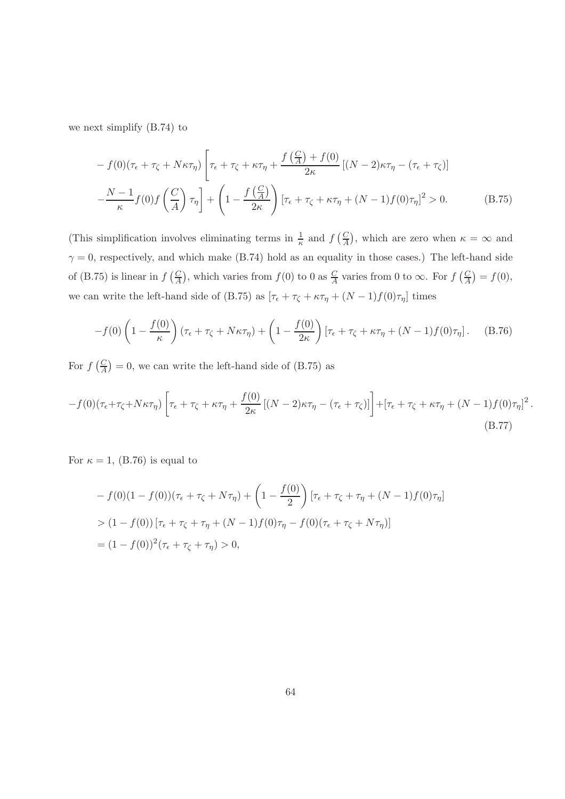we next simplify (B.74) to

$$
- f(0)(\tau_{\epsilon} + \tau_{\zeta} + N\kappa\tau_{\eta}) \left[ \tau_{\epsilon} + \tau_{\zeta} + \kappa\tau_{\eta} + \frac{f(\frac{C}{A}) + f(0)}{2\kappa} \left[ (N - 2)\kappa\tau_{\eta} - (\tau_{\epsilon} + \tau_{\zeta}) \right] \right]
$$

$$
- \frac{N - 1}{\kappa} f(0) f\left(\frac{C}{A}\right) \tau_{\eta} \left] + \left( 1 - \frac{f(\frac{C}{A})}{2\kappa} \right) \left[ \tau_{\epsilon} + \tau_{\zeta} + \kappa\tau_{\eta} + (N - 1)f(0)\tau_{\eta} \right]^{2} > 0. \tag{B.75}
$$

(This simplification involves eliminating terms in  $\frac{1}{\kappa}$  and  $f\left(\frac{C}{A}\right)$  $\frac{C}{A}$ , which are zero when  $\kappa = \infty$  and  $\gamma = 0$ , respectively, and which make (B.74) hold as an equality in those cases.) The left-hand side of (B.75) is linear in  $f\left(\frac{C}{4}\right)$  $\frac{C}{A}$ , which varies from  $f(0)$  to 0 as  $\frac{C}{A}$  varies from 0 to  $\infty$ . For  $f\left(\frac{C}{A}\right)$  $\frac{C}{A}$ ) =  $f(0)$ , we can write the left-hand side of (B.75) as  $[\tau_{\epsilon} + \tau_{\zeta} + \kappa \tau_{\eta} + (N-1)f(0)\tau_{\eta}]$  times

$$
-f(0)\left(1 - \frac{f(0)}{\kappa}\right)(\tau_{\epsilon} + \tau_{\zeta} + N\kappa\tau_{\eta}) + \left(1 - \frac{f(0)}{2\kappa}\right)[\tau_{\epsilon} + \tau_{\zeta} + \kappa\tau_{\eta} + (N-1)f(0)\tau_{\eta}].
$$
 (B.76)

For  $f\left(\frac{C}{4}\right)$  $\binom{C}{A}$  = 0, we can write the left-hand side of (B.75) as

$$
-f(0)(\tau_{\epsilon}+\tau_{\zeta}+N\kappa\tau_{\eta})\left[\tau_{\epsilon}+\tau_{\zeta}+\kappa\tau_{\eta}+\frac{f(0)}{2\kappa}\left[(N-2)\kappa\tau_{\eta}-(\tau_{\epsilon}+\tau_{\zeta})\right]\right]+\left[\tau_{\epsilon}+\tau_{\zeta}+\kappa\tau_{\eta}+(N-1)f(0)\tau_{\eta}\right]^{2}.
$$
\n(B.77)

For  $\kappa = 1$ , (B.76) is equal to

$$
- f(0)(1 - f(0))(\tau_{\epsilon} + \tau_{\zeta} + N\tau_{\eta}) + \left(1 - \frac{f(0)}{2}\right)[\tau_{\epsilon} + \tau_{\zeta} + \tau_{\eta} + (N - 1)f(0)\tau_{\eta}]
$$
  
> 
$$
(1 - f(0))[\tau_{\epsilon} + \tau_{\zeta} + \tau_{\eta} + (N - 1)f(0)\tau_{\eta} - f(0)(\tau_{\epsilon} + \tau_{\zeta} + N\tau_{\eta})]
$$
  
= 
$$
(1 - f(0))^2(\tau_{\epsilon} + \tau_{\zeta} + \tau_{\eta}) > 0,
$$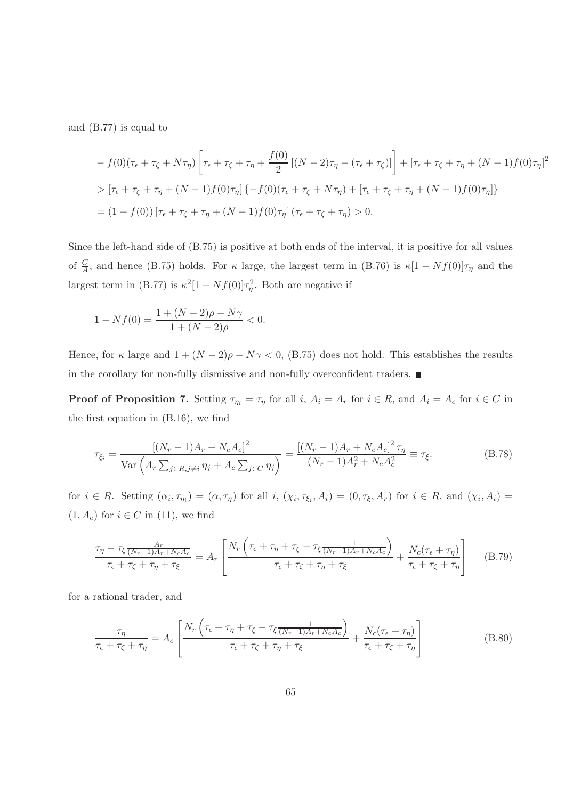and (B.77) is equal to

$$
- f(0)(\tau_{\epsilon} + \tau_{\zeta} + N\tau_{\eta}) \left[ \tau_{\epsilon} + \tau_{\zeta} + \tau_{\eta} + \frac{f(0)}{2} \left[ (N - 2)\tau_{\eta} - (\tau_{\epsilon} + \tau_{\zeta}) \right] \right] + \left[ \tau_{\epsilon} + \tau_{\zeta} + \tau_{\eta} + (N - 1)f(0)\tau_{\eta} \right]^{2}
$$
  
> 
$$
[\tau_{\epsilon} + \tau_{\zeta} + \tau_{\eta} + (N - 1)f(0)\tau_{\eta}] \{-f(0)(\tau_{\epsilon} + \tau_{\zeta} + N\tau_{\eta}) + [\tau_{\epsilon} + \tau_{\zeta} + \tau_{\eta} + (N - 1)f(0)\tau_{\eta}] \}
$$
  
= 
$$
(1 - f(0)) [\tau_{\epsilon} + \tau_{\zeta} + \tau_{\eta} + (N - 1)f(0)\tau_{\eta}] (\tau_{\epsilon} + \tau_{\zeta} + \tau_{\eta}) > 0.
$$

Since the left-hand side of (B.75) is positive at both ends of the interval, it is positive for all values of  $\frac{C}{A}$ , and hence (B.75) holds. For  $\kappa$  large, the largest term in (B.76) is  $\kappa[1-Nf(0)]\tau_{\eta}$  and the largest term in (B.77) is  $\kappa^2[1-Nf(0)]\tau_{\eta}^2$ . Both are negative if

$$
1 - Nf(0) = \frac{1 + (N - 2)\rho - N\gamma}{1 + (N - 2)\rho} < 0.
$$

Hence, for  $\kappa$  large and  $1 + (N-2)\rho - N\gamma < 0$ , (B.75) does not hold. This establishes the results in the corollary for non-fully dismissive and non-fully overconfident traders.  $\blacksquare$ 

**Proof of Proposition 7.** Setting  $\tau_{\eta_i} = \tau_{\eta}$  for all i,  $A_i = A_r$  for  $i \in R$ , and  $A_i = A_c$  for  $i \in C$  in the first equation in (B.16), we find

$$
\tau_{\xi_i} = \frac{[(N_r - 1)A_r + N_c A_c]^2}{\text{Var}\left(A_r \sum_{j \in R, j \neq i} \eta_j + A_c \sum_{j \in C} \eta_j\right)} = \frac{[(N_r - 1)A_r + N_c A_c]^2 \tau_\eta}{(N_r - 1)A_r^2 + N_c A_c^2} \equiv \tau_\xi. \tag{B.78}
$$

for  $i \in R$ . Setting  $(\alpha_i, \tau_{\eta_i}) = (\alpha, \tau_{\eta})$  for all  $i, (\chi_i, \tau_{\xi_i}, A_i) = (0, \tau_{\xi}, A_r)$  for  $i \in R$ , and  $(\chi_i, A_i) =$  $(1, A_c)$  for  $i \in C$  in (11), we find

$$
\frac{\tau_{\eta} - \tau_{\xi} \frac{A_r}{(N_r - 1)A_r + N_c A_c}}{\tau_{\epsilon} + \tau_{\zeta} + \tau_{\eta} + \tau_{\xi}} = A_r \left[ \frac{N_r \left( \tau_{\epsilon} + \tau_{\eta} + \tau_{\xi} - \tau_{\xi} \frac{1}{(N_r - 1)A_r + N_c A_c} \right)}{\tau_{\epsilon} + \tau_{\zeta} + \tau_{\eta} + \tau_{\xi}} + \frac{N_c (\tau_{\epsilon} + \tau_{\eta})}{\tau_{\epsilon} + \tau_{\zeta} + \tau_{\eta}} \right] \tag{B.79}
$$

for a rational trader, and

$$
\frac{\tau_{\eta}}{\tau_{\epsilon} + \tau_{\zeta} + \tau_{\eta}} = A_c \left[ \frac{N_r \left( \tau_{\epsilon} + \tau_{\eta} + \tau_{\xi} - \tau_{\xi} \frac{1}{(N_r - 1)A_r + N_c A_c} \right)}{\tau_{\epsilon} + \tau_{\zeta} + \tau_{\eta} + \tau_{\xi}} + \frac{N_c (\tau_{\epsilon} + \tau_{\eta})}{\tau_{\epsilon} + \tau_{\zeta} + \tau_{\eta}} \right]
$$
(B.80)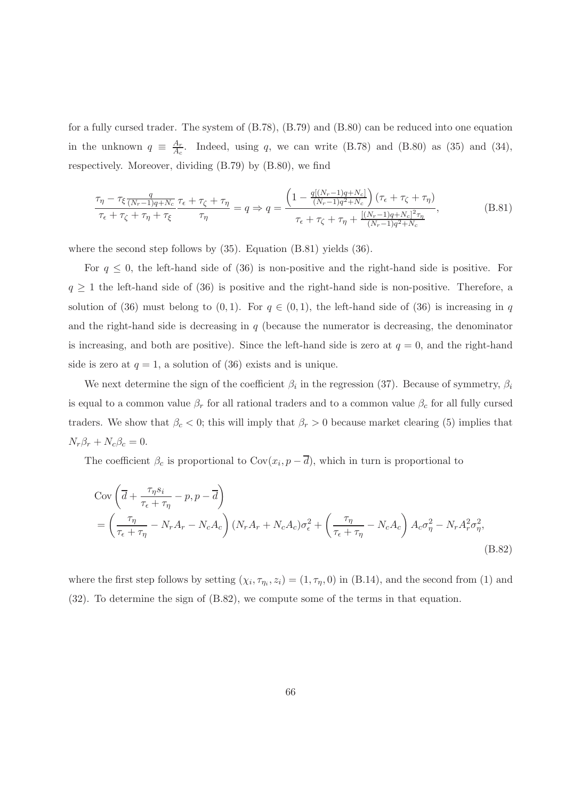for a fully cursed trader. The system of (B.78), (B.79) and (B.80) can be reduced into one equation in the unknown  $q \equiv \frac{A_r}{A_c}$  $\frac{A_r}{A_c}$ . Indeed, using q, we can write (B.78) and (B.80) as (35) and (34), respectively. Moreover, dividing (B.79) by (B.80), we find

$$
\frac{\tau_{\eta} - \tau_{\xi} \frac{q}{(N_r - 1)q + N_c}}{\tau_{\epsilon} + \tau_{\zeta} + \tau_{\eta} + \tau_{\xi}} \frac{\tau_{\epsilon} + \tau_{\zeta} + \tau_{\eta}}{\tau_{\eta}} = q \Rightarrow q = \frac{\left(1 - \frac{q[(N_r - 1)q + N_c]}{(N_r - 1)q^2 + N_c}\right)(\tau_{\epsilon} + \tau_{\zeta} + \tau_{\eta})}{(\tau_{\epsilon} + \tau_{\zeta} + \tau_{\eta} + \frac{[(N_r - 1)q + N_c]^2 \tau_{\eta}}{(N_r - 1)q^2 + N_c}},
$$
(B.81)

where the second step follows by  $(35)$ . Equation  $(B.81)$  yields  $(36)$ .

For  $q \leq 0$ , the left-hand side of (36) is non-positive and the right-hand side is positive. For  $q \geq 1$  the left-hand side of (36) is positive and the right-hand side is non-positive. Therefore, a solution of (36) must belong to (0,1). For  $q \in (0,1)$ , the left-hand side of (36) is increasing in q and the right-hand side is decreasing in  $q$  (because the numerator is decreasing, the denominator is increasing, and both are positive). Since the left-hand side is zero at  $q = 0$ , and the right-hand side is zero at  $q = 1$ , a solution of (36) exists and is unique.

We next determine the sign of the coefficient  $\beta_i$  in the regression (37). Because of symmetry,  $\beta_i$ is equal to a common value  $\beta_r$  for all rational traders and to a common value  $\beta_c$  for all fully cursed traders. We show that  $\beta_c < 0$ ; this will imply that  $\beta_r > 0$  because market clearing (5) implies that  $N_r \beta_r + N_c \beta_c = 0.$ 

The coefficient  $\beta_c$  is proportional to  $Cov(x_i, p-d)$ , which in turn is proportional to

$$
Cov\left(\overline{d} + \frac{\tau_{\eta}s_i}{\tau_{\epsilon} + \tau_{\eta}} - p, p - \overline{d}\right)
$$
  
=  $\left(\frac{\tau_{\eta}}{\tau_{\epsilon} + \tau_{\eta}} - N_{r}A_{r} - N_{c}A_{c}\right) (N_{r}A_{r} + N_{c}A_{c})\sigma_{\epsilon}^{2} + \left(\frac{\tau_{\eta}}{\tau_{\epsilon} + \tau_{\eta}} - N_{c}A_{c}\right) A_{c}\sigma_{\eta}^{2} - N_{r}A_{r}^{2}\sigma_{\eta}^{2},$ \n(B.82)

where the first step follows by setting  $(\chi_i, \tau_{\eta_i}, z_i) = (1, \tau_{\eta}, 0)$  in (B.14), and the second from (1) and (32). To determine the sign of (B.82), we compute some of the terms in that equation.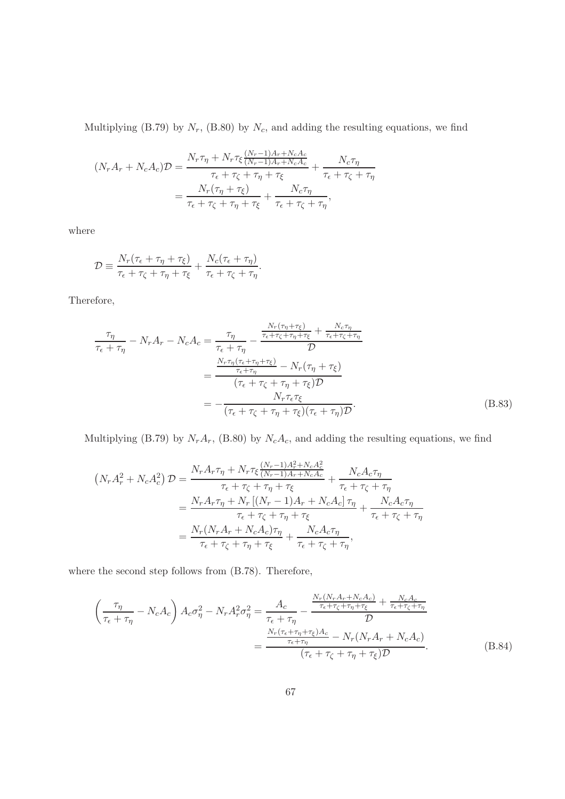Multiplying (B.79) by  $N_r$ , (B.80) by  $N_c$ , and adding the resulting equations, we find

$$
(N_r A_r + N_c A_c)D = \frac{N_r \tau_{\eta} + N_r \tau_{\xi} \frac{(N_r - 1)A_r + N_c A_c}{(N_r - 1)A_r + N_c A_c}}{\tau_{\epsilon} + \tau_{\zeta} + \tau_{\eta} + \tau_{\xi}} + \frac{N_c \tau_{\eta}}{\tau_{\epsilon} + \tau_{\zeta} + \tau_{\eta}}
$$

$$
= \frac{N_r (\tau_{\eta} + \tau_{\xi})}{\tau_{\epsilon} + \tau_{\zeta} + \tau_{\eta} + \tau_{\xi}} + \frac{N_c \tau_{\eta}}{\tau_{\epsilon} + \tau_{\zeta} + \tau_{\eta}},
$$

where

$$
\mathcal{D} \equiv \frac{N_r(\tau_{\epsilon} + \tau_{\eta} + \tau_{\xi})}{\tau_{\epsilon} + \tau_{\zeta} + \tau_{\eta} + \tau_{\xi}} + \frac{N_c(\tau_{\epsilon} + \tau_{\eta})}{\tau_{\epsilon} + \tau_{\zeta} + \tau_{\eta}}.
$$

Therefore,

$$
\frac{\tau_{\eta}}{\tau_{\epsilon} + \tau_{\eta}} - N_{r}A_{r} - N_{c}A_{c} = \frac{\tau_{\eta}}{\tau_{\epsilon} + \tau_{\eta}} - \frac{\frac{N_{r}(\tau_{\eta} + \tau_{\xi})}{\tau_{\epsilon} + \tau_{\zeta} + \tau_{\eta} + \tau_{\xi}} + \frac{N_{c}\tau_{\eta}}{\tau_{\epsilon} + \tau_{\zeta} + \tau_{\eta}}}{\mathcal{D}}
$$
\n
$$
= \frac{\frac{N_{r}\tau_{\eta}(\tau_{\epsilon} + \tau_{\eta} + \tau_{\xi})}{\tau_{\epsilon} + \tau_{\eta}} - N_{r}(\tau_{\eta} + \tau_{\xi})}{(\tau_{\epsilon} + \tau_{\zeta} + \tau_{\eta} + \tau_{\xi})\mathcal{D}}
$$
\n
$$
= -\frac{N_{r}\tau_{\epsilon}\tau_{\xi}}{(\tau_{\epsilon} + \tau_{\zeta} + \tau_{\eta} + \tau_{\xi})(\tau_{\epsilon} + \tau_{\eta})\mathcal{D}}.
$$
\n(B.83)

Multiplying (B.79) by  $N_rA_r$ , (B.80) by  $N_cA_c$ , and adding the resulting equations, we find

$$
(N_r A_r^2 + N_c A_c^2) \mathcal{D} = \frac{N_r A_r \tau_\eta + N_r \tau_\xi \frac{(N_r - 1)A_r^2 + N_c A_c^2}{(N_r - 1)A_r + N_c A_c}}{\tau_\epsilon + \tau_\zeta + \tau_\eta + \tau_\xi} + \frac{N_c A_c \tau_\eta}{\tau_\epsilon + \tau_\zeta + \tau_\eta}
$$

$$
= \frac{N_r A_r \tau_\eta + N_r [(N_r - 1)A_r + N_c A_c] \tau_\eta}{\tau_\epsilon + \tau_\zeta + \tau_\eta + \tau_\xi} + \frac{N_c A_c \tau_\eta}{\tau_\epsilon + \tau_\zeta + \tau_\eta}
$$

$$
= \frac{N_r (N_r A_r + N_c A_c) \tau_\eta}{\tau_\epsilon + \tau_\zeta + \tau_\eta + \tau_\xi} + \frac{N_c A_c \tau_\eta}{\tau_\epsilon + \tau_\zeta + \tau_\eta},
$$

where the second step follows from (B.78). Therefore,

$$
\left(\frac{\tau_{\eta}}{\tau_{\epsilon}+\tau_{\eta}}-N_{c}A_{c}\right)A_{c}\sigma_{\eta}^{2}-N_{r}A_{r}^{2}\sigma_{\eta}^{2}=\frac{A_{c}}{\tau_{\epsilon}+\tau_{\eta}}-\frac{\frac{N_{r}(N_{r}A_{r}+N_{c}A_{c})}{\tau_{\epsilon}+\tau_{\zeta}+\tau_{\eta}+\tau_{\xi}}+\frac{N_{c}A_{c}}{\tau_{\epsilon}+\tau_{\zeta}+\tau_{\eta}}}{\mathcal{D}}=\frac{\frac{N_{r}(\tau_{\epsilon}+\tau_{\eta}+\tau_{\xi})A_{c}}{\tau_{\epsilon}+\tau_{\eta}}-N_{r}(N_{r}A_{r}+N_{c}A_{c})}{(\tau_{\epsilon}+\tau_{\zeta}+\tau_{\eta}+\tau_{\xi})\mathcal{D}}.
$$
(B.84)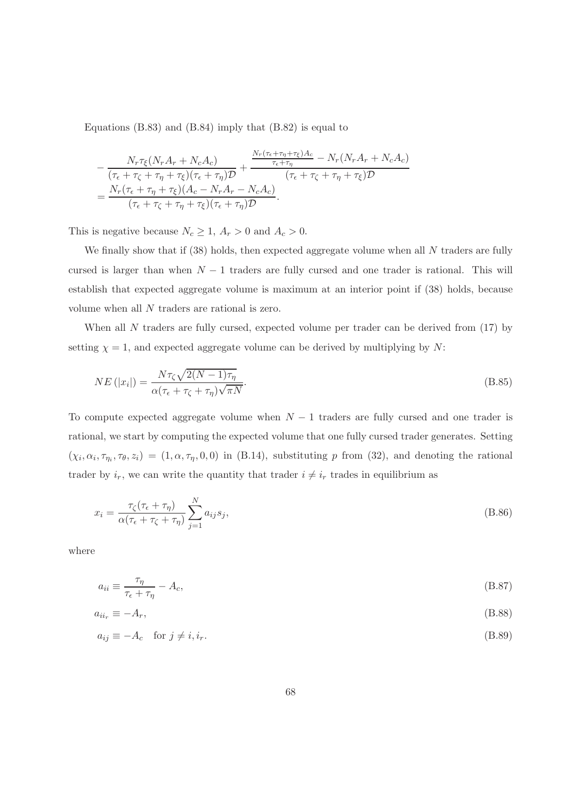Equations (B.83) and (B.84) imply that (B.82) is equal to

$$
-\frac{N_r \tau_{\xi} (N_r A_r + N_c A_c)}{(\tau_{\epsilon} + \tau_{\zeta} + \tau_{\eta} + \tau_{\xi})(\tau_{\epsilon} + \tau_{\eta})\mathcal{D}} + \frac{\frac{N_r(\tau_{\epsilon} + \tau_{\eta} + \tau_{\xi})A_c}{\tau_{\epsilon} + \tau_{\eta}} - N_r (N_r A_r + N_c A_c)}{(\tau_{\epsilon} + \tau_{\zeta} + \tau_{\eta} + \tau_{\xi})\mathcal{D}}
$$
  
= 
$$
\frac{N_r(\tau_{\epsilon} + \tau_{\eta} + \tau_{\xi})(A_c - N_r A_r - N_c A_c)}{(\tau_{\epsilon} + \tau_{\zeta} + \tau_{\eta} + \tau_{\xi})(\tau_{\epsilon} + \tau_{\eta})\mathcal{D}}.
$$

This is negative because  $N_c \geq 1$ ,  $A_r > 0$  and  $A_c > 0$ .

We finally show that if  $(38)$  holds, then expected aggregate volume when all N traders are fully cursed is larger than when  $N-1$  traders are fully cursed and one trader is rational. This will establish that expected aggregate volume is maximum at an interior point if (38) holds, because volume when all N traders are rational is zero.

When all  $N$  traders are fully cursed, expected volume per trader can be derived from  $(17)$  by setting  $\chi = 1$ , and expected aggregate volume can be derived by multiplying by N:

$$
NE\left(|x_i|\right) = \frac{N\tau_{\zeta}\sqrt{2(N-1)\tau_{\eta}}}{\alpha(\tau_{\epsilon} + \tau_{\zeta} + \tau_{\eta})\sqrt{\pi N}}.\tag{B.85}
$$

To compute expected aggregate volume when  $N-1$  traders are fully cursed and one trader is rational, we start by computing the expected volume that one fully cursed trader generates. Setting  $(\chi_i, \alpha_i, \tau_{\eta_i}, \tau_{\theta}, z_i) = (1, \alpha, \tau_{\eta}, 0, 0)$  in (B.14), substituting p from (32), and denoting the rational trader by  $i_r$ , we can write the quantity that trader  $i \neq i_r$  trades in equilibrium as

$$
x_i = \frac{\tau_{\zeta}(\tau_{\epsilon} + \tau_{\eta})}{\alpha(\tau_{\epsilon} + \tau_{\zeta} + \tau_{\eta})} \sum_{j=1}^{N} a_{ij} s_j,
$$
\n(B.86)

where

$$
a_{ii} \equiv \frac{\tau_{\eta}}{\tau_{\epsilon} + \tau_{\eta}} - A_c,\tag{B.87}
$$

$$
a_{ii_r} \equiv -A_r,\tag{B.88}
$$

$$
a_{ij} \equiv -A_c \quad \text{for } j \neq i, i_r. \tag{B.89}
$$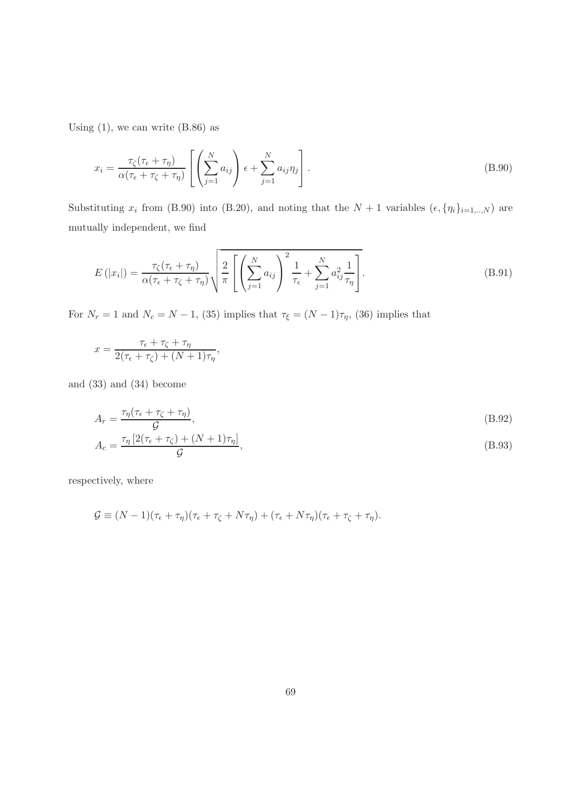Using  $(1)$ , we can write  $(B.86)$  as

$$
x_i = \frac{\tau_{\zeta}(\tau_{\epsilon} + \tau_{\eta})}{\alpha(\tau_{\epsilon} + \tau_{\zeta} + \tau_{\eta})} \left[ \left( \sum_{j=1}^N a_{ij} \right) \epsilon + \sum_{j=1}^N a_{ij} \eta_j \right].
$$
 (B.90)

Substituting  $x_i$  from (B.90) into (B.20), and noting that the  $N+1$  variables  $(\epsilon, \{\eta_i\}_{i=1,..,N})$  are mutually independent, we find

$$
E(|x_i|) = \frac{\tau_{\zeta}(\tau_{\epsilon} + \tau_{\eta})}{\alpha(\tau_{\epsilon} + \tau_{\zeta} + \tau_{\eta})} \sqrt{\frac{2}{\pi} \left[ \left( \sum_{j=1}^N a_{ij} \right)^2 \frac{1}{\tau_{\epsilon}} + \sum_{j=1}^N a_{ij}^2 \frac{1}{\tau_{\eta}} \right]}.
$$
(B.91)

For  $N_r = 1$  and  $N_c = N - 1$ , (35) implies that  $\tau_{\xi} = (N - 1)\tau_{\eta}$ , (36) implies that

$$
x = \frac{\tau_{\epsilon} + \tau_{\zeta} + \tau_{\eta}}{2(\tau_{\epsilon} + \tau_{\zeta}) + (N+1)\tau_{\eta}},
$$

and (33) and (34) become

$$
A_r = \frac{\tau_\eta(\tau_\epsilon + \tau_\zeta + \tau_\eta)}{\mathcal{G}},
$$
  
\n
$$
A_c = \frac{\tau_\eta[2(\tau_\epsilon + \tau_\zeta) + (N+1)\tau_\eta]}{\mathcal{G}},
$$
\n(B.93)

respectively, where

$$
\mathcal{G} \equiv (N-1)(\tau_{\epsilon} + \tau_{\eta})(\tau_{\epsilon} + \tau_{\zeta} + N\tau_{\eta}) + (\tau_{\epsilon} + N\tau_{\eta})(\tau_{\epsilon} + \tau_{\zeta} + \tau_{\eta}).
$$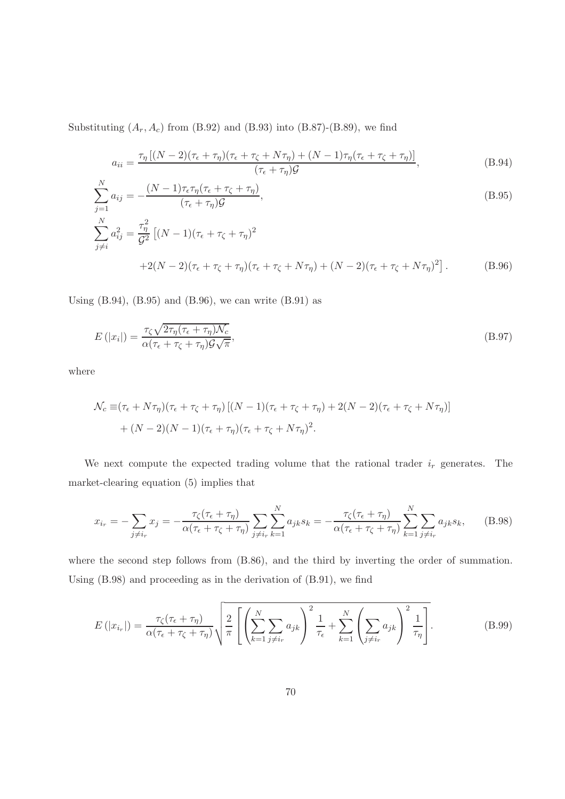Substituting  $(A_r, A_c)$  from (B.92) and (B.93) into (B.87)-(B.89), we find

$$
a_{ii} = \frac{\tau_{\eta} \left[ (N-2)(\tau_{\epsilon} + \tau_{\eta})(\tau_{\epsilon} + \tau_{\zeta} + N\tau_{\eta}) + (N-1)\tau_{\eta}(\tau_{\epsilon} + \tau_{\zeta} + \tau_{\eta}) \right]}{(\tau_{\epsilon} + \tau_{\eta})\mathcal{G}}, \tag{B.94}
$$

$$
\sum_{j=1}^{N} a_{ij} = -\frac{(N-1)\tau_{\epsilon}\tau_{\eta}(\tau_{\epsilon} + \tau_{\zeta} + \tau_{\eta})}{(\tau_{\epsilon} + \tau_{\eta})\mathcal{G}},
$$
\n
$$
\sum_{j \neq i}^{N} a_{ij}^{2} = \frac{\tau_{\eta}^{2}}{\mathcal{G}^{2}} \left[ (N-1)(\tau_{\epsilon} + \tau_{\zeta} + \tau_{\eta})^{2} \right]
$$
\n(B.95)

$$
+2(N-2)(\tau_{\epsilon}+\tau_{\zeta}+\tau_{\eta})(\tau_{\epsilon}+\tau_{\zeta}+N\tau_{\eta})+(N-2)(\tau_{\epsilon}+\tau_{\zeta}+N\tau_{\eta})^{2}].
$$
 (B.96)

Using  $(B.94)$ ,  $(B.95)$  and  $(B.96)$ , we can write  $(B.91)$  as

$$
E\left(|x_i|\right) = \frac{\tau_{\zeta}\sqrt{2\tau_{\eta}(\tau_{\epsilon} + \tau_{\eta})\mathcal{N}_c}}{\alpha(\tau_{\epsilon} + \tau_{\zeta} + \tau_{\eta})\mathcal{G}\sqrt{\pi}},\tag{B.97}
$$

where

 $j\neq i$ 

$$
\mathcal{N}_c \equiv (\tau_{\epsilon} + N\tau_{\eta})(\tau_{\epsilon} + \tau_{\zeta} + \tau_{\eta})[(N-1)(\tau_{\epsilon} + \tau_{\zeta} + \tau_{\eta}) + 2(N-2)(\tau_{\epsilon} + \tau_{\zeta} + N\tau_{\eta})] + (N-2)(N-1)(\tau_{\epsilon} + \tau_{\eta})(\tau_{\epsilon} + \tau_{\zeta} + N\tau_{\eta})^2.
$$

We next compute the expected trading volume that the rational trader  $i_r$  generates. The market-clearing equation (5) implies that

$$
x_{i_r} = -\sum_{j \neq i_r} x_j = -\frac{\tau_{\zeta}(\tau_{\epsilon} + \tau_{\eta})}{\alpha(\tau_{\epsilon} + \tau_{\zeta} + \tau_{\eta})} \sum_{j \neq i_r} \sum_{k=1}^N a_{jk} s_k = -\frac{\tau_{\zeta}(\tau_{\epsilon} + \tau_{\eta})}{\alpha(\tau_{\epsilon} + \tau_{\zeta} + \tau_{\eta})} \sum_{k=1}^N \sum_{j \neq i_r} a_{jk} s_k, \tag{B.98}
$$

where the second step follows from  $(B.86)$ , and the third by inverting the order of summation. Using (B.98) and proceeding as in the derivation of (B.91), we find

$$
E\left(|x_{i_r}|\right) = \frac{\tau_{\zeta}(\tau_{\epsilon} + \tau_{\eta})}{\alpha(\tau_{\epsilon} + \tau_{\zeta} + \tau_{\eta})} \sqrt{\frac{2}{\pi} \left[ \left( \sum_{k=1}^N \sum_{j \neq i_r} a_{jk} \right)^2 \frac{1}{\tau_{\epsilon}} + \sum_{k=1}^N \left( \sum_{j \neq i_r} a_{jk} \right)^2 \frac{1}{\tau_{\eta}} \right]}.
$$
(B.99)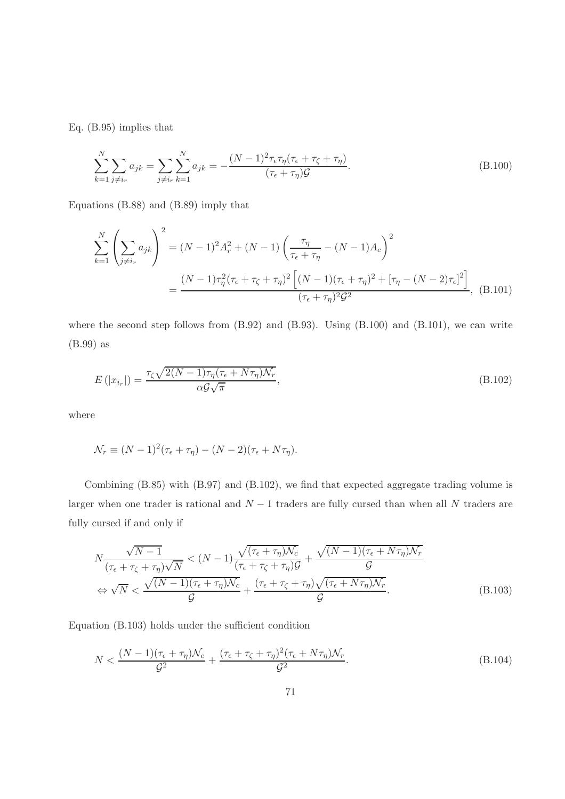Eq. (B.95) implies that

$$
\sum_{k=1}^{N} \sum_{j \neq i_r} a_{jk} = \sum_{j \neq i_r} \sum_{k=1}^{N} a_{jk} = -\frac{(N-1)^2 \tau_\epsilon \tau_\eta (\tau_\epsilon + \tau_\zeta + \tau_\eta)}{(\tau_\epsilon + \tau_\eta) \mathcal{G}}.
$$
\n(B.100)

Equations (B.88) and (B.89) imply that

$$
\sum_{k=1}^{N} \left( \sum_{j \neq i_{r}} a_{jk} \right)^{2} = (N-1)^{2} A_{r}^{2} + (N-1) \left( \frac{\tau_{\eta}}{\tau_{\epsilon} + \tau_{\eta}} - (N-1) A_{c} \right)^{2}
$$

$$
= \frac{(N-1)\tau_{\eta}^{2}(\tau_{\epsilon} + \tau_{\zeta} + \tau_{\eta})^{2} \left[ (N-1)(\tau_{\epsilon} + \tau_{\eta})^{2} + [\tau_{\eta} - (N-2)\tau_{\epsilon}]^{2} \right]}{(\tau_{\epsilon} + \tau_{\eta})^{2} \mathcal{G}^{2}}, \quad (B.101)
$$

where the second step follows from  $(B.92)$  and  $(B.93)$ . Using  $(B.100)$  and  $(B.101)$ , we can write (B.99) as

$$
E\left(|x_{i_r}|\right) = \frac{\tau_{\zeta}\sqrt{2(N-1)\tau_{\eta}(\tau_{\epsilon} + N\tau_{\eta})\mathcal{N}_r}}{\alpha\mathcal{G}\sqrt{\pi}},
$$
\n(B.102)

where

$$
\mathcal{N}_r \equiv (N-1)^2(\tau_\epsilon + \tau_\eta) - (N-2)(\tau_\epsilon + N\tau_\eta).
$$

Combining (B.85) with (B.97) and (B.102), we find that expected aggregate trading volume is larger when one trader is rational and  $N-1$  traders are fully cursed than when all N traders are fully cursed if and only if

$$
N\frac{\sqrt{N-1}}{(\tau_{\epsilon} + \tau_{\zeta} + \tau_{\eta})\sqrt{N}} < (N-1)\frac{\sqrt{(\tau_{\epsilon} + \tau_{\eta})N_c}}{(\tau_{\epsilon} + \tau_{\zeta} + \tau_{\eta})\mathcal{G}} + \frac{\sqrt{(N-1)(\tau_{\epsilon} + N\tau_{\eta})N_r}}{\mathcal{G}} \\
\Leftrightarrow \sqrt{N} < \frac{\sqrt{(N-1)(\tau_{\epsilon} + \tau_{\eta})N_c}}{\mathcal{G}} + \frac{(\tau_{\epsilon} + \tau_{\zeta} + \tau_{\eta})\sqrt{(\tau_{\epsilon} + N\tau_{\eta})N_r}}{\mathcal{G}}.\tag{B.103}
$$

Equation (B.103) holds under the sufficient condition

$$
N < \frac{(N-1)(\tau_{\epsilon} + \tau_{\eta})\mathcal{N}_c}{\mathcal{G}^2} + \frac{(\tau_{\epsilon} + \tau_{\zeta} + \tau_{\eta})^2(\tau_{\epsilon} + N\tau_{\eta})\mathcal{N}_r}{\mathcal{G}^2}.\tag{B.104}
$$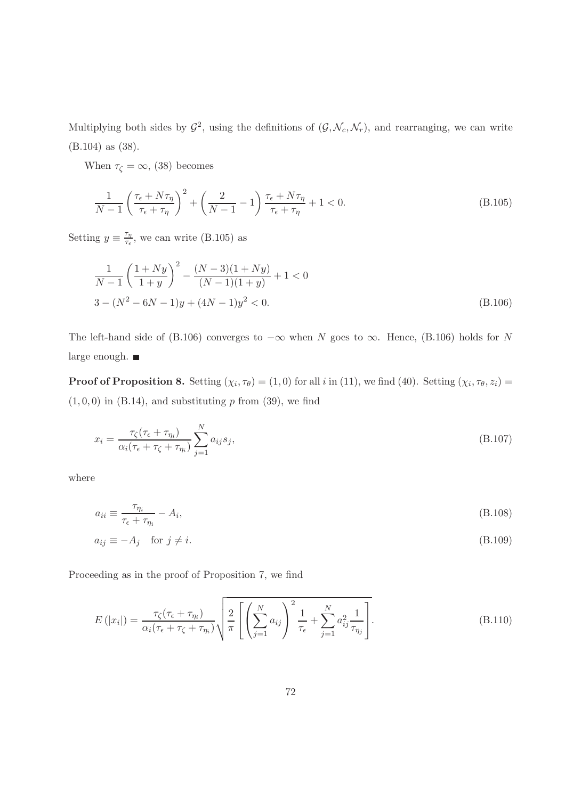Multiplying both sides by  $\mathcal{G}^2$ , using the definitions of  $(\mathcal{G}, \mathcal{N}_c, \mathcal{N}_r)$ , and rearranging, we can write (B.104) as (38).

When  $\tau_{\zeta} = \infty$ , (38) becomes

$$
\frac{1}{N-1} \left( \frac{\tau_{\epsilon} + N\tau_{\eta}}{\tau_{\epsilon} + \tau_{\eta}} \right)^2 + \left( \frac{2}{N-1} - 1 \right) \frac{\tau_{\epsilon} + N\tau_{\eta}}{\tau_{\epsilon} + \tau_{\eta}} + 1 < 0. \tag{B.105}
$$

Setting  $y \equiv \frac{\tau_{\eta}}{\tau_{\epsilon}}$  $\frac{r_{\eta}}{\tau_{\epsilon}}$ , we can write (B.105) as

$$
\frac{1}{N-1} \left( \frac{1+Ny}{1+y} \right)^2 - \frac{(N-3)(1+Ny)}{(N-1)(1+y)} + 1 < 0
$$
  
3 - (N<sup>2</sup> - 6N - 1)y + (4N - 1)y<sup>2</sup> < 0. (B.106)

The left-hand side of (B.106) converges to  $-\infty$  when N goes to  $\infty$ . Hence, (B.106) holds for N large enough.  $\blacksquare$ 

**Proof of Proposition 8.** Setting  $(\chi_i, \tau_{\theta}) = (1, 0)$  for all i in (11), we find (40). Setting  $(\chi_i, \tau_{\theta}, z_i) =$  $(1, 0, 0)$  in  $(B.14)$ , and substituting p from  $(39)$ , we find

$$
x_i = \frac{\tau_{\zeta}(\tau_{\epsilon} + \tau_{\eta_i})}{\alpha_i(\tau_{\epsilon} + \tau_{\zeta} + \tau_{\eta_i})} \sum_{j=1}^{N} a_{ij} s_j,
$$
\n(B.107)

where

$$
a_{ii} \equiv \frac{\tau_{\eta_i}}{\tau_{\epsilon} + \tau_{\eta_i}} - A_i,
$$
\n(B.108)

$$
a_{ij} \equiv -A_j \quad \text{for } j \neq i. \tag{B.109}
$$

Proceeding as in the proof of Proposition 7, we find

$$
E(|x_i|) = \frac{\tau_{\zeta}(\tau_{\epsilon} + \tau_{\eta_i})}{\alpha_i(\tau_{\epsilon} + \tau_{\zeta} + \tau_{\eta_i})} \sqrt{\frac{2}{\pi} \left[ \left( \sum_{j=1}^N a_{ij} \right)^2 \frac{1}{\tau_{\epsilon}} + \sum_{j=1}^N a_{ij}^2 \frac{1}{\tau_{\eta_j}} \right]}.
$$
(B.110)